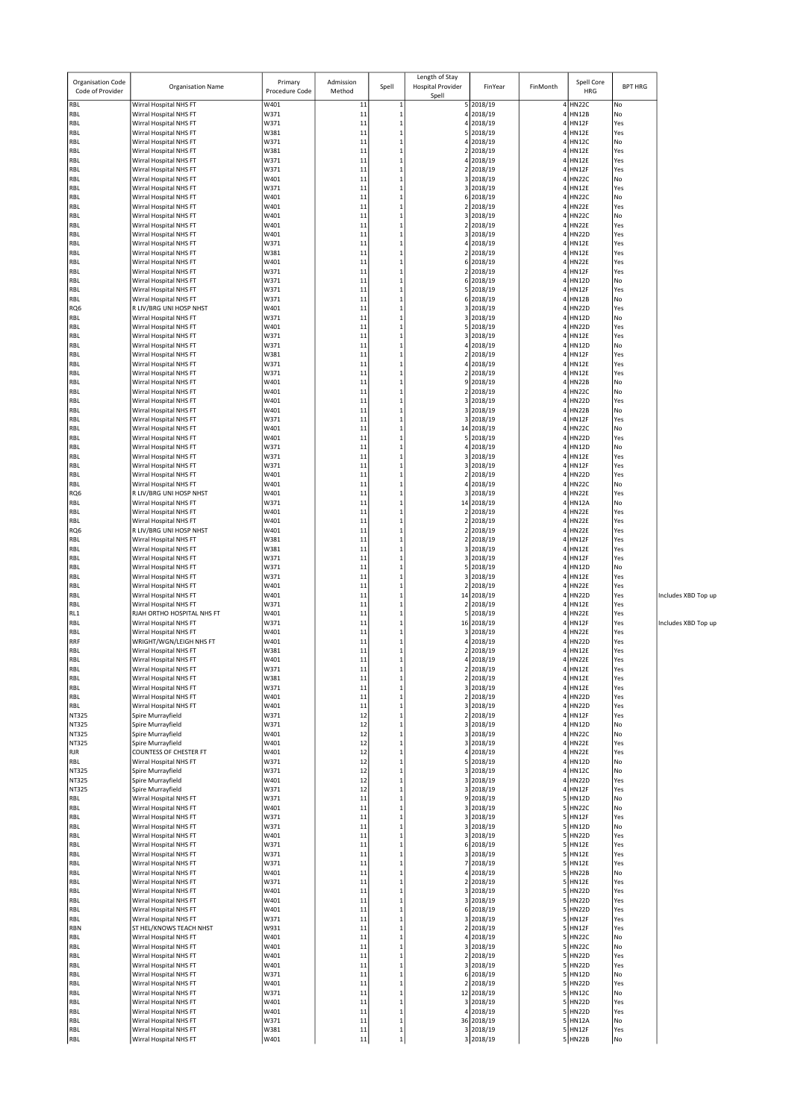| <b>Organisation Code</b><br>Code of Provider | Organisation Name                                        | Primary<br>Procedure Code | Admission<br>Method | Spell                        | Length of Stay<br><b>Hospital Provider</b><br>Spell | FinYear                 | FinMonth | Spell Core<br>HRG            | <b>BPT HRG</b> |                     |
|----------------------------------------------|----------------------------------------------------------|---------------------------|---------------------|------------------------------|-----------------------------------------------------|-------------------------|----------|------------------------------|----------------|---------------------|
| RBL                                          | Wirral Hospital NHS FT                                   | W401                      | 11                  | $\mathbf{1}$                 |                                                     | 5 2018/19               |          | 4 HN22C                      | No             |                     |
| RBL                                          | Wirral Hospital NHS FT                                   | W371                      | 11                  | $\mathbf 1$                  |                                                     | 4 2018/19               |          | 4 HN12B                      | No             |                     |
| RBL<br>RBL                                   | Wirral Hospital NHS FT<br>Wirral Hospital NHS FT         | W371<br>W381              | 11<br>11            | $\mathbf{1}$<br>$\mathbf 1$  | 4<br>5 <sup>1</sup>                                 | 2018/19<br>2018/19      |          | HN12F<br><b>HN12E</b>        | Yes<br>Yes     |                     |
| RBL                                          | Wirral Hospital NHS FT                                   | W371                      | 11                  | $\mathbf 1$                  |                                                     | 4 2018/19               |          | HN12C                        | No             |                     |
| RBL                                          | Wirral Hospital NHS FT                                   | W381                      | 11                  | $\mathbf 1$                  | 2                                                   | 2018/19                 |          | <b>HN12E</b>                 | Yes            |                     |
| RBL                                          | Wirral Hospital NHS FT                                   | W371                      | 11                  | $\mathbf{1}$                 | 4                                                   | 2018/19                 |          | <b>HN12E</b>                 | Yes            |                     |
| RBL                                          | Wirral Hospital NHS FT                                   | W371                      | 11                  | $\mathbf{1}$<br>$\mathbf{1}$ |                                                     | 2 2018/19               |          | 4 HN12F                      | Yes<br>No      |                     |
| RBL<br>RBL                                   | Wirral Hospital NHS FT<br>Wirral Hospital NHS FT         | W401<br>W371              | 11<br>11            | $\mathbf{1}$                 | 3<br>3                                              | 2018/19<br>2018/19      |          | 4 HN22C<br><b>HN12E</b>      | Yes            |                     |
| RBL                                          | Wirral Hospital NHS FT                                   | W401                      | 11                  | $\mathbf{1}$                 |                                                     | 6 2018/19               |          | 4 HN22C                      | No             |                     |
| RBL                                          | Wirral Hospital NHS FT                                   | W401                      | 11                  | $\mathbf{1}$                 | 2                                                   | 2018/19                 |          | HN22E                        | Yes            |                     |
| RBL                                          | Wirral Hospital NHS FT                                   | W401                      | 11                  | $\mathbf{1}$                 | 3                                                   | 2018/19                 |          | <b>HN22C</b>                 | No             |                     |
| RBL                                          | Wirral Hospital NHS FT                                   | W401                      | 11<br>11            | $\mathbf{1}$<br>$\mathbf{1}$ |                                                     | 2 2018/19<br>3 2018/19  |          | 4 HN22E<br>4 HN22D           | Yes<br>Yes     |                     |
| RBL<br>RBL                                   | Wirral Hospital NHS FT<br>Wirral Hospital NHS FT         | W401<br>W371              | 11                  | $\mathbf{1}$                 | 4                                                   | 2018/19                 |          | <b>HN12E</b>                 | Yes            |                     |
| RBL                                          | Wirral Hospital NHS FT                                   | W381                      | 11                  | $\mathbf{1}$                 |                                                     | 2 2018/19               |          | HN12E                        | Yes            |                     |
| RBL                                          | Wirral Hospital NHS FT                                   | W401                      | 11                  | $\mathbf 1$                  |                                                     | 6 2018/19               |          | HN22E                        | Yes            |                     |
| RBL                                          | Wirral Hospital NHS FT                                   | W371                      | 11                  | $\mathbf 1$                  | $\overline{2}$                                      | 2018/19                 |          | <b>HN12F</b>                 | Yes            |                     |
| RBL<br>RBL                                   | Wirral Hospital NHS FT<br>Wirral Hospital NHS FT         | W371<br>W371              | 11<br>11            | $\mathbf{1}$<br>$\mathbf{1}$ | 5 <sup>1</sup>                                      | 6 2018/19<br>2018/19    |          | <b>HN12D</b><br>4 HN12F      | No<br>Yes      |                     |
| RBL                                          | Wirral Hospital NHS FT                                   | W371                      | 11                  | $\mathbf{1}$                 | 6                                                   | 2018/19                 |          | <b>HN12B</b>                 | No             |                     |
| RQ6                                          | R LIV/BRG UNI HOSP NHST                                  | W401                      | 11                  | $\mathbf{1}$                 |                                                     | 3 2018/19               |          | <b>HN22D</b>                 | Yes            |                     |
| RBL                                          | Wirral Hospital NHS FT                                   | W371                      | 11                  | $\mathbf 1$                  |                                                     | 3 2018/19               |          | HN12D                        | No             |                     |
| RBL                                          | Wirral Hospital NHS FT                                   | W401                      | 11                  | $\mathbf{1}$                 | 5 <sup>1</sup>                                      | 2018/19                 |          | <b>HN22D</b>                 | Yes            |                     |
| RBL<br>RBL                                   | Wirral Hospital NHS FT<br>Wirral Hospital NHS FT         | W371<br>W371              | 11<br>11            | $\mathbf{1}$<br>$\mathbf 1$  |                                                     | 3 2018/19<br>4 2018/19  |          | <b>HN12E</b><br>HN12D        | Yes<br>No      |                     |
| RBL                                          | Wirral Hospital NHS FT                                   | W381                      | 11                  | $\mathbf{1}$                 | 2                                                   | 2018/19                 |          | HN12F                        | Yes            |                     |
| RBL                                          | Wirral Hospital NHS FT                                   | W371                      | 11                  | $\mathbf{1}$                 |                                                     | 4 2018/19               |          | <b>HN12E</b>                 | Yes            |                     |
| RBL                                          | Wirral Hospital NHS FT                                   | W371                      | 11                  | $\mathbf 1$                  |                                                     | 2 2018/19               |          | HN12E                        | Yes            |                     |
| RBL                                          | Wirral Hospital NHS FT<br>Wirral Hospital NHS FT         | W401<br>W401              | 11<br>11            | $\mathbf{1}$<br>$\mathbf{1}$ | 9<br>$\overline{2}$                                 | 2018/19<br>2018/19      |          | <b>HN22B</b><br><b>HN22C</b> | No<br>No       |                     |
| RBL<br>RBL                                   | Wirral Hospital NHS FT                                   | W401                      | 11                  | $\mathbf 1$                  |                                                     | 3 2018/19               |          | HN22D                        | Yes            |                     |
| RBL                                          | Wirral Hospital NHS FT                                   | W401                      | 11                  | $\mathbf 1$                  | 3                                                   | 2018/19                 |          | <b>HN22B</b>                 | No             |                     |
| RBL                                          | Wirral Hospital NHS FT                                   | W371                      | 11                  | $\mathbf{1}$                 | 3                                                   | 2018/19                 |          | <b>HN12F</b>                 | Yes            |                     |
| RBL                                          | Wirral Hospital NHS FT                                   | W401                      | 11                  | $\mathbf{1}$                 |                                                     | 14 2018/19              |          | 4 HN22C                      | No             |                     |
| RBL<br>RBL                                   | Wirral Hospital NHS FT<br>Wirral Hospital NHS FT         | W401<br>W371              | 11<br>11            | $\mathbf{1}$<br>$\mathbf{1}$ | 5 <sup>1</sup>                                      | 2018/19<br>4 2018/19    |          | <b>HN22D</b><br><b>HN12D</b> | Yes<br>No      |                     |
| RBL                                          | Wirral Hospital NHS FT                                   | W371                      | 11                  | $\mathbf{1}$                 |                                                     | 3 2018/19               |          | 4 HN12E                      | Yes            |                     |
| RBL                                          | Wirral Hospital NHS FT                                   | W371                      | 11                  | $\mathbf{1}$                 | 3                                                   | 2018/19                 |          | <b>HN12F</b>                 | Yes            |                     |
| RBL                                          | Wirral Hospital NHS FT                                   | W401                      | 11                  | $\mathbf{1}$                 | 2                                                   | 2018/19                 |          | <b>HN22D</b>                 | Yes            |                     |
| RBL                                          | Wirral Hospital NHS FT                                   | W401                      | 11                  | $\mathbf{1}$                 |                                                     | 4 2018/19               |          | 4 HN22C                      | No             |                     |
| RQ6<br>RBL                                   | R LIV/BRG UNI HOSP NHST<br>Wirral Hospital NHS FT        | W401<br>W371              | 11<br>11            | $\mathbf 1$<br>$\mathbf{1}$  | 3                                                   | 2018/19<br>14 2018/19   |          | 4 HN22E<br><b>HN12A</b>      | Yes<br>No      |                     |
| RBL                                          | Wirral Hospital NHS FT                                   | W401                      | 11                  | $\mathbf{1}$                 |                                                     | 2 2018/19               |          | HN22E                        | Yes            |                     |
| RBL                                          | Wirral Hospital NHS FT                                   | W401                      | 11                  | $\mathbf{1}$                 |                                                     | 2 2018/19               |          | 4 HN22E                      | Yes            |                     |
| RQ <sub>6</sub>                              | R LIV/BRG UNI HOSP NHST                                  | W401                      | 11                  | $\mathbf{1}$                 | 2                                                   | 2018/19                 |          | HN22E                        | Yes            |                     |
| RBL                                          | Wirral Hospital NHS FT                                   | W381                      | 11                  | $\mathbf{1}$                 |                                                     | 2 2018/19               |          | <b>HN12F</b>                 | Yes            |                     |
| RBL<br>RBL                                   | Wirral Hospital NHS FT<br>Wirral Hospital NHS FT         | W381<br>W371              | 11<br>11            | $\mathbf 1$<br>$\mathbf{1}$  | 3                                                   | 3 2018/19<br>2018/19    |          | 4 HN12E<br><b>HN12F</b>      | Yes<br>Yes     |                     |
| RBL                                          | Wirral Hospital NHS FT                                   | W371                      | 11                  | $\mathbf 1$                  | 5 <sup>1</sup>                                      | 2018/19                 |          | <b>HN12D</b>                 | No             |                     |
| RBL                                          | Wirral Hospital NHS FT                                   | W371                      | 11                  | $\mathbf 1$                  |                                                     | 3 2018/19               |          | 4 HN12E                      | Yes            |                     |
| RBL                                          | Wirral Hospital NHS FT                                   | W401                      | 11                  | $\mathbf{1}$                 | $\overline{2}$                                      | 2018/19                 |          | HN22E                        | Yes            |                     |
| RBL<br>RBL                                   | Wirral Hospital NHS FT<br>Wirral Hospital NHS FT         | W401<br>W371              | 11<br>11            | $\mathbf 1$<br>$\mathbf 1$   | $\overline{2}$                                      | 14 2018/19<br>2018/19   |          | HN22D<br>HN12E               | Yes<br>Yes     | Includes XBD Top up |
| RL1                                          | RJAH ORTHO HOSPITAL NHS FT                               | W401                      | 11                  | $\mathbf{1}$                 | 5 <sup>1</sup>                                      | 2018/19                 |          | <b>HN22E</b>                 | Yes            |                     |
| RBL                                          | Wirral Hospital NHS FT                                   | W371                      | 11                  | $\mathbf 1$                  |                                                     | 16 2018/19              |          | <b>HN12F</b>                 | Yes            | Includes XBD Top up |
| RBL                                          | Wirral Hospital NHS FT                                   | W401                      | 11                  | $\mathbf 1$                  |                                                     | 3 2018/19               |          | HN22E                        | Yes            |                     |
| RRF<br>RBL                                   | WRIGHT/WGN/LEIGH NHS FT<br>Wirral Hospital NHS FT        | W401<br>W381              | 11<br>11            | $\mathbf 1$<br>$\mathbf 1$   | 4<br>2                                              | 2018/19<br>2018/19      |          | <b>HN22D</b><br><b>HN12E</b> | Yes<br>Yes     |                     |
| RBL                                          | Wirral Hospital NHS FT                                   | W401                      | 11                  | $\mathbf{1}$                 |                                                     | 4 2018/19               |          | 4 HN22E                      | Yes            |                     |
| RBL                                          | Wirral Hospital NHS FT                                   | W371                      | $\mathbf{1}$        |                              |                                                     | 2018/19                 |          | <b>HN12E</b>                 | res            |                     |
| RBL                                          | Wirral Hospital NHS FT                                   | W381                      | 11                  | $\mathbf{1}$                 |                                                     | 2 2018/19               |          | 4 HN12E                      | Yes            |                     |
| RBL<br>RBL                                   | Wirral Hospital NHS FT<br>Wirral Hospital NHS FT         | W371<br>W401              | $11\,$<br>11        | $\mathbf 1$<br>$\mathbf 1$   |                                                     | 3 2018/19<br>2 2018/19  |          | 4 HN12E<br>4 HN22D           | Yes<br>Yes     |                     |
| RBL                                          | Wirral Hospital NHS FT                                   | W401                      | 11                  | $\mathbf 1$                  |                                                     | 3 2018/19               |          | HN22D                        | Yes            |                     |
| <b>NT325</b>                                 | Spire Murrayfield                                        | W371                      | 12                  | $\mathbf 1$                  |                                                     | 2 2018/19               |          | 4 HN12F                      | Yes            |                     |
| NT325                                        | Spire Murrayfield                                        | W371                      | 12                  | $\mathbf 1$                  |                                                     | 3 2018/19               |          | 4 HN12D                      | No             |                     |
| NT325<br><b>NT325</b>                        | Spire Murrayfield<br>Spire Murrayfield                   | W401<br>W401              | 12<br>12            | $\mathbf 1$<br>$\mathbf 1$   |                                                     | 3 2018/19<br>3 2018/19  |          | HN22C<br>4 HN22E             | No<br>Yes      |                     |
| <b>RJR</b>                                   | <b>COUNTESS OF CHESTER FT</b>                            | W401                      | 12                  | $\mathbf 1$                  |                                                     | 4 2018/19               |          | 4 HN22E                      | Yes            |                     |
| RBL                                          | Wirral Hospital NHS FT                                   | W371                      | 12                  | $\mathbf 1$                  | 5 <sup>1</sup>                                      | 2018/19                 |          | <b>HN12D</b>                 | No             |                     |
| <b>NT325</b>                                 | Spire Murrayfield                                        | W371                      | 12                  | $\mathbf 1$                  |                                                     | 3 2018/19               |          | 4 HN12C                      | No             |                     |
| NT325<br>NT325                               | Spire Murrayfield<br>Spire Murrayfield                   | W401<br>W371              | 12<br>12            | $\mathbf 1$<br>$\mathbf 1$   |                                                     | 3 2018/19<br>3 2018/19  |          | 4 HN22D<br>HN12F             | Yes<br>Yes     |                     |
| RBL                                          | Wirral Hospital NHS FT                                   | W371                      | 11                  | $\mathbf{1}$                 |                                                     | 9 2018/19               |          | 5 HN12D                      | No             |                     |
| RBL                                          | Wirral Hospital NHS FT                                   | W401                      | 11                  | $\mathbf{1}$                 |                                                     | 3 2018/19               |          | 5 HN22C                      | No             |                     |
| RBL                                          | Wirral Hospital NHS FT                                   | W371                      | 11                  | $\mathbf{1}$                 |                                                     | 3 2018/19               |          | 5 HN12F                      | Yes            |                     |
| RBL                                          | Wirral Hospital NHS FT                                   | W371                      | 11                  | $\mathbf 1$                  |                                                     | 3 2018/19               |          | <b>HN12D</b>                 | No             |                     |
| RBL<br>RBL                                   | Wirral Hospital NHS FT<br>Wirral Hospital NHS FT         | W401<br>W371              | $11\,$<br>11        | $\mathbf 1$<br>$\mathbf 1$   |                                                     | 3 2018/19<br>6 2018/19  |          | 5 HN22D<br>5 HN12E           | Yes<br>Yes     |                     |
| RBL                                          | Wirral Hospital NHS FT                                   | W371                      | 11                  | $\mathbf 1$                  |                                                     | 3 2018/19               |          | HN12E                        | Yes            |                     |
| RBL                                          | Wirral Hospital NHS FT                                   | W371                      | 11                  | $\mathbf 1$                  |                                                     | 7 2018/19               |          | 5 HN12E                      | Yes            |                     |
| RBL                                          | Wirral Hospital NHS FT                                   | W401                      | 11                  | $\mathbf{1}$                 |                                                     | 4 2018/19               |          | HN22B                        | No             |                     |
| RBL<br>RBL                                   | Wirral Hospital NHS FT<br>Wirral Hospital NHS FT         | W371<br>W401              | 11<br>$11\,$        | $\mathbf 1$<br>$\mathbf 1$   |                                                     | 2 2018/19<br>3 2018/19  |          | <b>HN12E</b><br>5 HN22D      | Yes<br>Yes     |                     |
| RBL                                          | Wirral Hospital NHS FT                                   | W401                      | 11                  | $\mathbf 1$                  |                                                     | 3 2018/19               |          | HN22D                        | Yes            |                     |
| RBL                                          | Wirral Hospital NHS FT                                   | W401                      | 11                  | $\mathbf{1}$                 |                                                     | 6 2018/19               |          | <b>HN22D</b>                 | Yes            |                     |
| RBL                                          | Wirral Hospital NHS FT                                   | W371                      | $11\,$              | $\mathbf{1}$                 |                                                     | 3 2018/19               |          | 5 HN12F                      | Yes            |                     |
| RBN<br>RBL                                   | <b>ST HEL/KNOWS TEACH NHST</b><br>Wirral Hospital NHS FT | W931<br>W401              | 11<br>11            | $\mathbf{1}$<br>$\mathbf 1$  |                                                     | 2 2018/19<br>4 2018/19  |          | 5 HN12F<br>HN22C             | Yes<br>No      |                     |
| RBL                                          | Wirral Hospital NHS FT                                   | W401                      | 11                  | $\mathbf 1$                  |                                                     | 3 2018/19               |          | 5 HN22C                      | No             |                     |
| RBL                                          | Wirral Hospital NHS FT                                   | W401                      | 11                  | $\mathbf 1$                  |                                                     | 2 2018/19               |          | 5 HN22D                      | Yes            |                     |
| RBL                                          | Wirral Hospital NHS FT                                   | W401                      | 11                  | $\mathbf 1$                  |                                                     | 3 2018/19               |          | <b>HN22D</b>                 | Yes            |                     |
| RBL                                          | Wirral Hospital NHS FT                                   | W371                      | 11                  | $\mathbf{1}$<br>$\mathbf{1}$ |                                                     | 6 2018/19               |          | 5 HN12D                      | No             |                     |
| RBL<br>RBL                                   | Wirral Hospital NHS FT<br>Wirral Hospital NHS FT         | W401<br>W371              | 11<br>11            | $\mathbf 1$                  |                                                     | 2 2018/19<br>12 2018/19 |          | 5 HN22D<br><b>HN12C</b>      | Yes<br>No      |                     |
| RBL                                          | Wirral Hospital NHS FT                                   | W401                      | 11                  | $\mathbf{1}$                 |                                                     | 3 2018/19               |          | HN22D                        | Yes            |                     |
| RBL                                          | Wirral Hospital NHS FT                                   | W401                      | $11\,$              | $\mathbf 1$                  |                                                     | 4 2018/19               |          | 5 HN22D                      | Yes            |                     |
| RBL                                          | Wirral Hospital NHS FT                                   | W371                      | 11                  | $\mathbf 1$                  |                                                     | 36 2018/19              |          | 5 HN12A                      | No             |                     |
| RBL<br>RBL                                   | Wirral Hospital NHS FT<br>Wirral Hospital NHS FT         | W381<br>W401              | $11\,$<br>$11\,$    | $\mathbf 1$<br>$\mathbf 1$   |                                                     | 3 2018/19<br>3 2018/19  |          | 5 HN12F<br>5 HN22B           | Yes<br>No      |                     |
|                                              |                                                          |                           |                     |                              |                                                     |                         |          |                              |                |                     |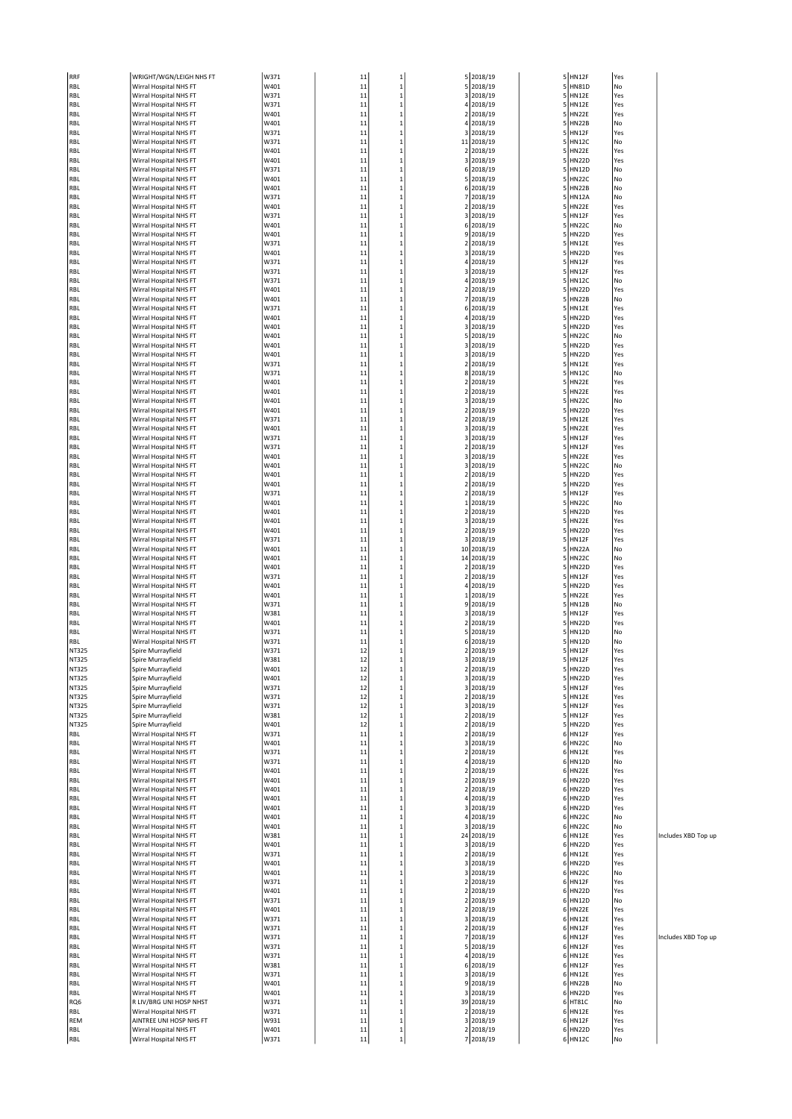| RRF        | WRIGHT/WGN/LEIGH NHS FT                          | W371         | 11       | 1            |             | 5 2018/19              |                | 5 HN12F            | Yes       |
|------------|--------------------------------------------------|--------------|----------|--------------|-------------|------------------------|----------------|--------------------|-----------|
| RBL        | Wirral Hospital NHS FT                           | W401         | 11       | 1            | 5           | 2018/19                | 5              | <b>HN81D</b>       | No        |
| RBL        | Wirral Hospital NHS FT                           | W371         | 11       | 1            | 3           | 2018/19                | 5              | <b>HN12E</b>       | Yes       |
| RBL        | Wirral Hospital NHS FT                           | W371         | 11       | 1            |             | 4 2018/19              |                | 5 HN12E            | Yes       |
| RBL        | Wirral Hospital NHS FT                           | W401         | 11       | $\mathbf 1$  | $\mathbf 2$ | 2018/19                | 5              | HN22E              | Yes       |
| RBL        | Wirral Hospital NHS FT                           | W401         | 11       | 1            | 4           | 2018/19                | 5              | <b>HN22B</b>       | No        |
| RBL        | Wirral Hospital NHS FT                           | W371         | 11       | 1            | 3           | 2018/19                |                | 5 HN12F            | Yes       |
| RBL        | Wirral Hospital NHS FT                           | W371         | 11       | 1            | 11          | 2018/19                | 5              | <b>HN12C</b>       | No        |
| RBL        | Wirral Hospital NHS FT                           | W401         | 11       | 1            | 2           | 2018/19                | 5              | HN22E              | Yes       |
| RBL        | Wirral Hospital NHS FT                           | W401         | 11       | $\mathbf 1$  |             | 3 2018/19              |                | 5 HN22D            | Yes       |
| RBL        | Wirral Hospital NHS FT                           | W371         | 11       | 1            | 6           | 2018/19                | 5              | <b>HN12D</b>       | No        |
| RBL        | Wirral Hospital NHS FT                           | W401         | 11       | 1            | 5           | 2018/19                | 5              | HN22C              | No        |
|            |                                                  | W401         | 11       | $\mathbf 1$  |             |                        |                | 5 HN22B            | No        |
| RBL        | Wirral Hospital NHS FT<br>Wirral Hospital NHS FT | W371         | 11       | 1            | 6<br>7      | 2018/19<br>2018/19     | 5              | <b>HN12A</b>       | No        |
| RBL        |                                                  |              |          |              |             |                        |                |                    |           |
| RBL        | Wirral Hospital NHS FT                           | W401         | 11       | 1            | $\mathbf 2$ | 2018/19                | 5              | <b>HN22E</b>       | Yes       |
| RBL        | Wirral Hospital NHS FT                           | W371         | 11       | 1            |             | 3 2018/19              | 5              | HN12F              | Yes       |
| RBL        | Wirral Hospital NHS FT                           | W401         | 11       | 1            | 6           | 2018/19                | 5              | <b>HN22C</b>       | No        |
| RBL        | Wirral Hospital NHS FT                           | W401         | 11       | 1            | 9           | 2018/19                | 5              | <b>HN22D</b>       | Yes       |
| RBL        | Wirral Hospital NHS FT                           | W371         | 11       | $\mathbf 1$  | 2           | 2018/19                |                | 5 HN12E            | Yes       |
| RBL        | Wirral Hospital NHS FT                           | W401         | 11       | 1            | 3           | 2018/19                | 5              | <b>HN22D</b>       | Yes       |
| RBL        | Wirral Hospital NHS FT                           | W371         | 11       | $\mathbf 1$  | 4           | 2018/19                | 5              | HN12F              | Yes       |
| RBL        | Wirral Hospital NHS FT                           | W371         | 11       | 1            |             | 3 2018/19              | 5              | HN12F              | Yes       |
| RBL        | Wirral Hospital NHS FT                           | W371         | 11       | 1            | 4           | 2018/19                | 5              | <b>HN12C</b>       | No        |
| RBL        | Wirral Hospital NHS FT                           | W401         | 11       | 1            | 2           | 2018/19                | 5              | <b>HN22D</b>       | Yes       |
| RBL        | Wirral Hospital NHS FT                           | W401         | 11       | 1            | 7           | 2018/19                | 5              | <b>HN22B</b>       | No        |
| RBL        | Wirral Hospital NHS FT                           | W371         | 11       | 1            | 6           | 2018/19                | 5              | <b>HN12E</b>       | Yes       |
| RBL        | Wirral Hospital NHS FT                           | W401         | 11       | 1            | 4           | 2018/19                | 5              | <b>HN22D</b>       | Yes       |
| RBL        | Wirral Hospital NHS FT                           | W401         | 11       | 1            | 3           | 2018/19                | 5              | <b>HN22D</b>       | Yes       |
| RBL        | Wirral Hospital NHS FT                           | W401         | 11       | 1            |             | 5 2018/19              | 5              | <b>HN22C</b>       | No        |
| RBL        | Wirral Hospital NHS FT                           | W401         | 11       | 1            | 3           | 2018/19                | 5              | <b>HN22D</b>       | Yes       |
| RBL        | Wirral Hospital NHS FT                           | W401         | 11       | 1            | 3           | 2018/19                | 5              | <b>HN22D</b>       | Yes       |
| RBL        | Wirral Hospital NHS FT                           | W371         | 11       | 1            | 2           | 2018/19                |                | 5 HN12E            | Yes       |
| RBL        | Wirral Hospital NHS FT                           | W371         | 11       | 1            | 8           | 2018/19                | 5              | <b>HN12C</b>       | No        |
| RBL        | Wirral Hospital NHS FT                           | W401         | 11       | 1            | 2           | 2018/19                | 5              | HN22E              | Yes       |
| RBL        | Wirral Hospital NHS FT                           | W401         | 11       | 1            | 2           | 2018/19                |                | 5 HN22E            | Yes       |
| RBL        | Wirral Hospital NHS FT                           | W401         | 11       | 1            | 3           | 2018/19                | 5 <sup>1</sup> | <b>HN22C</b>       | No        |
| RBL        | Wirral Hospital NHS FT                           | W401         | 11       | 1            | 2           | 2018/19                | 5              | <b>HN22D</b>       | Yes       |
| RBL        | Wirral Hospital NHS FT                           | W371         | 11       | $\mathbf 1$  | 2           | 2018/19                |                | 5 HN12E            | Yes       |
| RBL        | Wirral Hospital NHS FT                           | W401         | 11       | 1            | 3           | 2018/19                | 5              | <b>HN22E</b>       | Yes       |
| RBL        | Wirral Hospital NHS FT                           | W371         | 11       | 1            | 3           | 2018/19                | 5              | HN12F              | Yes       |
| RBL        | Wirral Hospital NHS FT                           | W371         | 11       | 1            | 2           | 2018/19                | 5              | HN12F              | Yes       |
| RBL        | Wirral Hospital NHS FT                           | W401         | 11       | 1            | 3           | 2018/19                | 5              | <b>HN22E</b>       | Yes       |
| RBL        | Wirral Hospital NHS FT                           | W401         | 11       | $\mathbf{1}$ | 3           | 2018/19                | 5              | <b>HN22C</b>       | No        |
| RBL        | Wirral Hospital NHS FT                           | W401         | 11       | 1            | 2           | 2018/19                |                | 5 HN22D            | Yes       |
| RBL        | Wirral Hospital NHS FT                           | W401         | 11       | 1            | 2           | 2018/19                | 5              | <b>HN22D</b>       | Yes       |
| RBL        | Wirral Hospital NHS FT                           | W371         | 11       | 1            | 2           | 2018/19                | 5              | HN12F              | Yes       |
| RBL        | Wirral Hospital NHS FT                           | W401         | 11       | 1            |             | 1 2018/19              | 5              | <b>HN22C</b>       | No        |
| RBL        | Wirral Hospital NHS FT                           | W401         | 11       | 1            | 2           | 2018/19                | 5              | <b>HN22D</b>       | Yes       |
| RBL        | Wirral Hospital NHS FT                           | W401         | 11       | 1            | 3           | 2018/19                | 5              | HN22E              | Yes       |
| RBL        | Wirral Hospital NHS FT                           | W401         | 11       | $\mathbf 1$  | 2           | 2018/19                | 5              | <b>HN22D</b>       | Yes       |
| RBL        | Wirral Hospital NHS FT                           | W371         | 11       | 1            | 3           | 2018/19                | 5              | <b>HN12F</b>       | Yes       |
| RBL        | Wirral Hospital NHS FT                           | W401         | 11       | 1            | 10          | 2018/19                | 5              | HN22A              | No        |
| RBL        | Wirral Hospital NHS FT                           | W401         | 11       | 1            | 14          | 2018/19                | 5              | <b>HN22C</b>       | No        |
| RBL        | Wirral Hospital NHS FT                           | W401         | 11       | 1            | 2           | 2018/19                | 5              | <b>HN22D</b>       | Yes       |
| RBL        | Wirral Hospital NHS FT                           | W371         | 11       | 1            | $\mathbf 2$ | 2018/19                | 5              | HN12F              | Yes       |
| RBL        | Wirral Hospital NHS FT                           | W401         | 11       | 1            | 4           | 2018/19                | 5              | <b>HN22D</b>       | Yes       |
| RBL        | Wirral Hospital NHS FT                           | W401         | 11       | 1            | $\mathbf 1$ | 2018/19                | 5              | <b>HN22E</b>       | Yes       |
| RBL        | Wirral Hospital NHS FT                           | W371         | 11       | $\mathbf 1$  | 9           | 2018/19                | 5              | <b>HN12B</b>       | No        |
|            | Wirral Hospital NHS FT                           | W381         | 11       | 1            | 3           | 2018/19                | 5              | HN12F              | Yes       |
| RBL        |                                                  | W401         | 11       | 1            |             | 2 2018/19              | 5              | <b>HN22D</b>       | Yes       |
| RBL<br>RBL | Wirral Hospital NHS FT<br>Wirral Hospital NHS FT | W371         | 11       | $\mathbf 1$  |             | 2018/19                | 5              | <b>HN12D</b>       | No        |
|            |                                                  |              |          | 1            | 5           | 6 2018/19              | 5              | <b>HN12D</b>       |           |
| RBL        | Wirral Hospital NHS FT                           | W371         | 11       |              |             |                        |                |                    | No        |
| NT325      | Spire Murrayfield                                | W371         | 12       | $\mathbf 1$  | 2           | 2018/19<br>2018/19     |                | 5 HN12F            | Yes       |
| NT325      | Spire Murrayfield                                | W381         | 12       | 1            | 3           |                        | 5              | HN12F              | Yes       |
| NT325      | Spire Murrayfield                                | W401         | 12       | 1            | 2           | 2018/19                | 5              | <b>HN22D</b>       | Yes       |
| NT325      | Spire Murrayfield                                | W401         | 12       | 1            |             | 3 2018/19              |                | 5 HN22D            | Yes       |
| NT325      | Spire Murrayfield                                | W371         | 12       | 1            | 3           | 2018/19                | 5              | <b>HN12F</b>       | Yes       |
| NT325      | Spire Murrayfield                                | W371         | 12       | 1            | $\mathbf 2$ | 2018/19                |                | 5 HN12E            | Yes       |
| NT325      | Spire Murrayfield                                | W371         | 12       | $\mathbf 1$  |             | 3 2018/19              |                | 5 HN12F            | Yes       |
| NT325      | Spire Murrayfield                                | W381         | 12       | 1            | 2           | 2018/19                | 5              | <b>HN12F</b>       | Yes       |
| NT325      | Spire Murrayfield                                | W401         | 12       | $\mathbf 1$  | 2           | 2018/19                |                | 5 HN22D            | Yes       |
| RBL        | Wirral Hospital NHS FT                           | W371         | 11       | $\mathbf 1$  |             | 2 2018/19              |                | 6 HN12F            | Yes       |
| RBL        | Wirral Hospital NHS FT                           | W401         | 11       | 1            | 3           | 2018/19                |                | 6 HN22C            | No        |
| RBL        | Wirral Hospital NHS FT                           | W371         | 11       | $\mathbf 1$  | 2           | 2018/19                |                | 6 HN12E            | Yes       |
| RBL        | Wirral Hospital NHS FT                           | W371         | 11       | $\mathbf 1$  |             | 4 2018/19              |                | 6 HN12D            | No        |
| RBL        | Wirral Hospital NHS FT                           | W401         | 11       | 1            | $\mathbf 2$ | 2018/19                |                | 6 HN22E            | Yes       |
| RBL        | Wirral Hospital NHS FT                           | W401         | 11       | 1            | 2           | 2018/19                |                | 6 HN22D            | Yes       |
| RBL        | Wirral Hospital NHS FT                           | W401         | 11       | 1            | 2           | 2018/19                | 6              | <b>HN22D</b>       | Yes       |
| RBL        | Wirral Hospital NHS FT                           | W401         | 11       | 1            |             | 4 2018/19              |                | 6 HN22D            | Yes       |
| RBL        | Wirral Hospital NHS FT                           | W401         | 11       | 1            | 3           | 2018/19                |                | 6 HN22D            | Yes       |
| RBL        | Wirral Hospital NHS FT                           | W401         | 11       | 1            | 4           | 2018/19                |                | 6 HN22C            | No        |
| RBL        | Wirral Hospital NHS FT                           | W401         | 11       | 1            | 3           | 2018/19                |                | 6 HN22C            | No        |
| RBL        | Wirral Hospital NHS FT                           | W381         | 11       | 1            | 24          | 2018/19                |                | 6 HN12E            | Yes       |
| RBL        | Wirral Hospital NHS FT                           | W401         | 11       | 1            | 3           | 2018/19                | 6              | <b>HN22D</b>       | Yes       |
| RBL        | Wirral Hospital NHS FT                           | W371         | 11       | 1            |             | 2 2018/19              |                | 6 HN12E            | Yes       |
| RBL        | Wirral Hospital NHS FT                           | W401         | 11       | 1            | 3           | 2018/19                |                | 6 HN22D            | Yes       |
| RBL        | Wirral Hospital NHS FT                           | W401         | 11       | 1            | 3           | 2018/19                |                | 6 HN22C            | No        |
| RBL        | Wirral Hospital NHS FT                           | W371         | 11       | 1            |             | 2 2018/19              |                | 6 HN12F            | Yes       |
| RBL        | Wirral Hospital NHS FT                           | W401         | 11       | 1            | $\mathbf 2$ | 2018/19                |                | 6 HN22D            | Yes       |
| RBL        | Wirral Hospital NHS FT                           | W371         | 11       | 1            | 2           | 2018/19                | 6              | <b>HN12D</b>       | No        |
| RBL        | Wirral Hospital NHS FT                           | W401         | 11       | 1            |             | 2 2018/19              |                | 6 HN22E            | Yes       |
| RBL        | Wirral Hospital NHS FT                           | W371         | 11       | 1            | 3           | 2018/19                |                | 6 HN12E            | Yes       |
| RBL        | Wirral Hospital NHS FT                           | W371         | 11       | 1            | 2           | 2018/19                |                | 6 HN12F            | Yes       |
| RBL        | Wirral Hospital NHS FT                           | W371         | 11       | 1            | 7           | 2018/19                |                | 6 HN12F            | Yes       |
| RBL        | Wirral Hospital NHS FT                           | W371         | 11       | 1            | 5           | 2018/19                |                | 6 HN12F            | Yes       |
| RBL        | Wirral Hospital NHS FT                           | W371         | 11       | 1            | 4           | 2018/19                | 6              | <b>HN12E</b>       | Yes       |
| RBL        | Wirral Hospital NHS FT                           | W381         | 11       | 1            |             | 6 2018/19              |                | 6 HN12F            | Yes       |
| RBL        | Wirral Hospital NHS FT                           | W371         | 11       | 1            | 3           | 2018/19                |                | 6 HN12E            | Yes       |
| RBL        | Wirral Hospital NHS FT                           | W401         | 11       | $\mathbf 1$  | 9           | 2018/19                |                | 6 HN22B            | No        |
| RBL        | Wirral Hospital NHS FT                           | W401         | 11       | $\mathbf 1$  |             | 3 2018/19              |                | 6 HN22D            | Yes       |
| RQ6        |                                                  | W371         | 11       | 1            |             | 39 2018/19             |                | 6 HT81C            | No        |
|            | R LIV/BRG UNI HOSP NHST                          |              |          |              |             |                        |                |                    |           |
| RBL        | Wirral Hospital NHS FT                           | W371         | 11       | $\mathbf 1$  | 2           | 2018/19                |                | 6 HN12E            | Yes       |
| REM        | AINTREE UNI HOSP NHS FT                          | W931         | 11       | $\mathbf 1$  |             | 3 2018/19              |                | 6 HN12F            | Yes       |
| RBL        | Wirral Hospital NHS FT<br>Wirral Hospital NHS FT | W401<br>W371 | 11<br>11 | 1<br>1       |             | 2 2018/19<br>7 2018/19 |                | 6 HN22D<br>6 HN12C | Yes<br>No |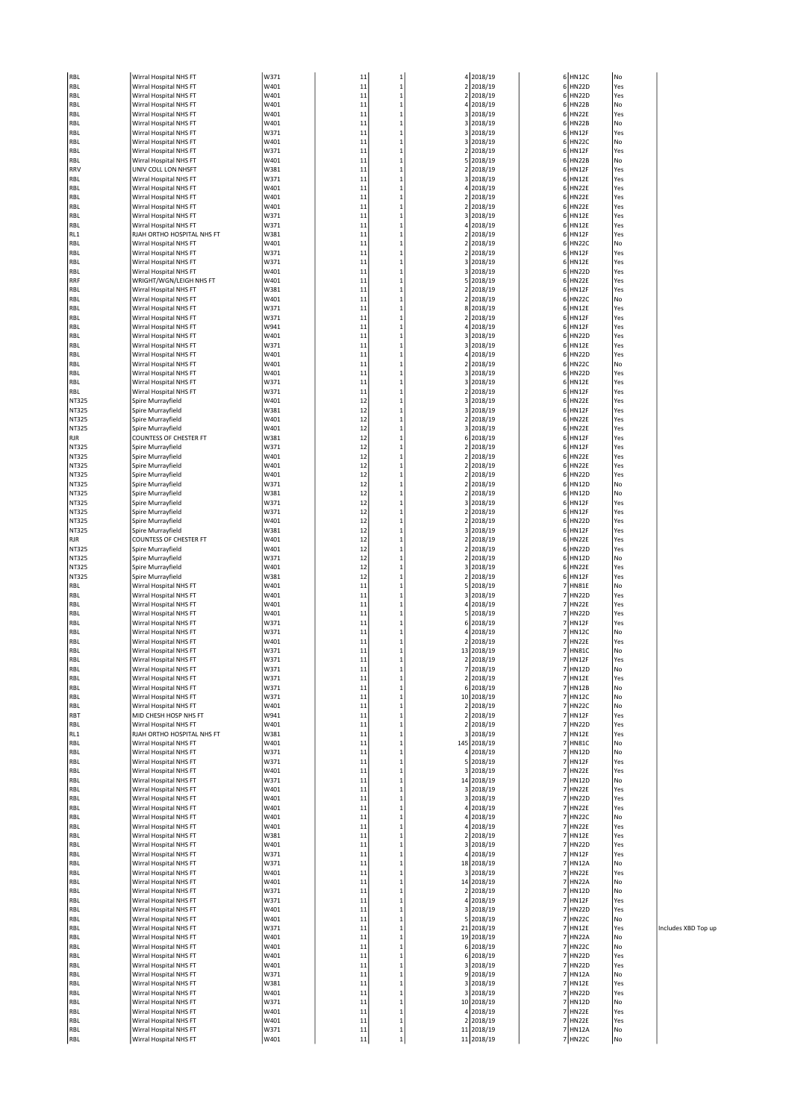| RBL            | Wirral Hospital NHS FT                            | W371         | 11       | 1                            |                | 4 2018/19               |                | 6 HN12C                 | No         |
|----------------|---------------------------------------------------|--------------|----------|------------------------------|----------------|-------------------------|----------------|-------------------------|------------|
| RBL            | Wirral Hospital NHS FT                            | W401         | 11       | $\mathbf 1$                  | $\mathbf 2$    | 2018/19                 |                | 6 HN22D                 | Yes        |
| RBL            | Wirral Hospital NHS FT                            | W401         | 11       | $\mathbf{1}$                 |                | 2 2018/19               |                | 6 HN22D                 | Yes        |
| RBL            | Wirral Hospital NHS FT                            | W401         | 11       | 1                            | 4              | 2018/19                 |                | 6 HN22B                 | No<br>Yes  |
| RBL<br>RBL     | Wirral Hospital NHS FT<br>Wirral Hospital NHS FT  | W401<br>W401 | 11<br>11 | $\mathbf{1}$<br>$\mathbf{1}$ |                | 3 2018/19<br>3 2018/19  |                | 6 HN22E<br>6 HN22B      | No         |
| RBL            | Wirral Hospital NHS FT                            | W371         | 11       | $\mathbf{1}$                 |                | 3 2018/19               |                | 6 HN12F                 | Yes        |
| RBL            | Wirral Hospital NHS FT                            | W401         | 11       | $\mathbf{1}$                 |                | 3 2018/19               |                | 6 HN22C                 | No         |
| RBL            | Wirral Hospital NHS FT                            | W371         | 11       | $\mathbf{1}$                 |                | 2 2018/19               |                | 6 HN12F                 | Yes        |
| RBL            | Wirral Hospital NHS FT                            | W401         | 11       | $\mathbf{1}$                 |                | 5 2018/19               |                | 6 HN22B                 | No         |
| RRV            | UNIV COLL LON NHSFT                               | W381         | 11       | $\mathbf{1}$                 | 2              | 2018/19                 |                | 6 HN12F                 | Yes        |
| RBL            | Wirral Hospital NHS FT                            | W371         | 11       | $\mathbf{1}$                 |                | 3 2018/19               |                | 6 HN12E                 | Yes        |
| RBL            | Wirral Hospital NHS FT<br>Wirral Hospital NHS FT  | W401<br>W401 | 11<br>11 | $\mathbf{1}$<br>$\mathbf{1}$ |                | 4 2018/19<br>2 2018/19  |                | 6 HN22E<br>6 HN22E      | Yes<br>Yes |
| RBL<br>RBL     | Wirral Hospital NHS FT                            | W401         | 11       | $\mathbf{1}$                 |                | 2 2018/19               |                | 6 HN22E                 | Yes        |
| RBL            | Wirral Hospital NHS FT                            | W371         | 11       | $\mathbf{1}$                 |                | 3 2018/19               |                | 6 HN12E                 | Yes        |
| RBL            | Wirral Hospital NHS FT                            | W371         | 11       | $\mathbf{1}$                 | 4              | 2018/19                 |                | 6 HN12E                 | Yes        |
| RL1            | RJAH ORTHO HOSPITAL NHS FT                        | W381         | 11       | $\mathbf{1}$                 |                | 2 2018/19               |                | 6 HN12F                 | Yes        |
| RBL            | Wirral Hospital NHS FT                            | W401         | 11       | $\mathbf{1}$                 |                | 2 2018/19               |                | 6 HN22C                 | No         |
| RBL            | Wirral Hospital NHS FT                            | W371         | 11       | $\mathbf{1}$                 | $\overline{2}$ | 2018/19                 |                | 6 HN12F                 | Yes        |
| RBL            | Wirral Hospital NHS FT                            | W371         | 11       | $\mathbf{1}$                 |                | 3 2018/19               |                | 6 HN12E                 | Yes        |
| RBL<br>RRF     | Wirral Hospital NHS FT<br>WRIGHT/WGN/LEIGH NHS FT | W401<br>W401 | 11<br>11 | $\mathbf{1}$<br>$\mathbf{1}$ | 5              | 3 2018/19<br>2018/19    |                | 6 HN22D<br>6 HN22E      | Yes<br>Yes |
| RBL            | Wirral Hospital NHS FT                            | W381         | 11       | $\mathbf{1}$                 | $\overline{2}$ | 2018/19                 |                | 6 HN12F                 | Yes        |
| RBL            | Wirral Hospital NHS FT                            | W401         | 11       | $\mathbf{1}$                 |                | 2 2018/19               |                | 6 HN22C                 | No         |
| RBL            | Wirral Hospital NHS FT                            | W371         | 11       | $\mathbf{1}$                 |                | 8 2018/19               |                | 6 HN12E                 | Yes        |
| RBL            | Wirral Hospital NHS FT                            | W371         | 11       | $\mathbf{1}$                 |                | 2 2018/19               |                | 6 HN12F                 | Yes        |
| RBL            | Wirral Hospital NHS FT                            | W941         | 11       | $\mathbf{1}$                 |                | 4 2018/19               |                | 6 HN12F                 | Yes        |
| RBL            | Wirral Hospital NHS FT                            | W401         | 11       | $\mathbf{1}$                 | 3              | 2018/19                 |                | 6 HN22D                 | Yes        |
| RBL            | Wirral Hospital NHS FT                            | W371         | 11       | $\mathbf{1}$                 |                | 3 2018/19               |                | 6 HN12E                 | Yes        |
| RBL<br>RBL     | Wirral Hospital NHS FT<br>Wirral Hospital NHS FT  | W401<br>W401 | 11<br>11 | $\mathbf{1}$<br>1            |                | 4 2018/19<br>2 2018/19  |                | 6 HN22D<br>6 HN22C      | Yes<br>No  |
| RBL            | Wirral Hospital NHS FT                            | W401         | 11       | $\mathbf{1}$                 |                | 3 2018/19               |                | 6 HN22D                 | Yes        |
| RBL            | Wirral Hospital NHS FT                            | W371         | 11       | $\mathbf{1}$                 |                | 3 2018/19               |                | 6 HN12E                 | Yes        |
| RBL            | Wirral Hospital NHS FT                            | W371         | 11       | $\mathbf{1}$                 |                | 2 2018/19               |                | 6 HN12F                 | Yes        |
| NT325          | Spire Murrayfield                                 | W401         | 12       | $\mathbf{1}$                 | 3              | 2018/19                 |                | 6 HN22E                 | Yes        |
| NT325          | Spire Murrayfield                                 | W381         | 12       | $\mathbf{1}$                 |                | 3 2018/19               |                | 6 HN12F                 | Yes        |
| NT325          | Spire Murrayfield                                 | W401         | 12       | $\mathbf{1}$                 |                | 2 2018/19               |                | 6 HN22E                 | Yes        |
| NT325          | Spire Murrayfield                                 | W401         | 12       | $\mathbf{1}$                 |                | 3 2018/19               |                | 6 HN22E                 | Yes        |
| RJR            | <b>COUNTESS OF CHESTER FT</b>                     | W381         | 12       | $\mathbf{1}$                 |                | 6 2018/19               |                | 6 HN12F                 | Yes        |
| NT325          | Spire Murrayfield                                 | W371         | 12       | $\mathbf{1}$                 |                | 2 2018/19               |                | 6 HN12F                 | Yes        |
| NT325          | Spire Murrayfield                                 | W401         | 12       | $\mathbf{1}$<br>$\mathbf{1}$ | 2              | 2018/19                 |                | 6 HN22E                 | Yes<br>Yes |
| NT325<br>NT325 | Spire Murrayfield<br>Spire Murrayfield            | W401<br>W401 | 12<br>12 | $\mathbf{1}$                 |                | 2 2018/19<br>2 2018/19  |                | 6 HN22E<br>6 HN22D      | Yes        |
| NT325          | Spire Murrayfield                                 | W371         | 12       | $\mathbf{1}$                 | $\overline{2}$ | 2018/19                 |                | 6 HN12D                 | No         |
| NT325          | Spire Murrayfield                                 | W381         | 12       | $\mathbf{1}$                 |                | 2 2018/19               |                | 6 HN12D                 | No         |
| NT325          | Spire Murrayfield                                 | W371         | 12       | $\mathbf{1}$                 |                | 3 2018/19               |                | 6 HN12F                 | Yes        |
| NT325          | Spire Murrayfield                                 | W371         | 12       | $\mathbf{1}$                 | 2              | 2018/19                 | 6              | HN12F                   | Yes        |
| NT325          | Spire Murrayfield                                 | W401         | 12       | $\mathbf{1}$                 |                | 2 2018/19               |                | 6 HN22D                 | Yes        |
| NT325          | Spire Murrayfield                                 | W381         | 12       | $\mathbf{1}$                 |                | 3 2018/19               |                | 6 HN12F                 | Yes        |
| RJR            | <b>COUNTESS OF CHESTER FT</b>                     | W401         | 12       | $\mathbf{1}$<br>$\mathbf{1}$ | 2              | 2018/19                 |                | 6 HN22E                 | Yes        |
| NT325<br>NT325 | Spire Murrayfield<br>Spire Murrayfield            | W401<br>W371 | 12<br>12 | $\mathbf{1}$                 |                | 2 2018/19<br>2 2018/19  |                | 6 HN22D<br>6 HN12D      | Yes<br>No  |
| NT325          | Spire Murrayfield                                 | W401         | 12       | $\mathbf{1}$                 | 3              | 2018/19                 |                | 6 HN22E                 | Yes        |
| NT325          | Spire Murrayfield                                 | W381         | 12       | $\mathbf{1}$                 | 2              | 2018/19                 |                | 6 HN12F                 | Yes        |
| RBL            | Wirral Hospital NHS FT                            | W401         | 11       | $\mathbf{1}$                 |                | 5 2018/19               |                | 7 HN81E                 | No         |
| RBL            | Wirral Hospital NHS FT                            | W401         | 11       | $\mathbf{1}$                 | 3              | 2018/19                 |                | 7 HN22D                 | Yes        |
| RBL            | Wirral Hospital NHS FT                            | W401         | 11       | $\mathbf{1}$                 |                | 4 2018/19               | 7              | HN22E                   | Yes        |
| RBL            | Wirral Hospital NHS FT                            | W401         | 11       | $\mathbf{1}$                 |                | 5 2018/19               |                | 7 HN22D                 | Yes        |
| RBL            | Wirral Hospital NHS FT                            | W371         | 11       | $\mathbf{1}$                 |                | 6 2018/19               | 7              | 7 HN12F                 | Yes        |
| RBL<br>RBL     | Wirral Hospital NHS FT<br>Wirral Hospital NHS FT  | W371<br>W401 | 11<br>11 | $\mathbf{1}$<br>$\mathbf{1}$ |                | 4 2018/19<br>2 2018/19  |                | <b>HN12C</b><br>7 HN22E | No<br>Yes  |
| RBL            | Wirral Hospital NHS FT                            | W371         | 11       | $\mathbf{1}$                 |                | 13 2018/19              |                | 7 HN81C                 | No         |
| RBL            | Wirral Hospital NHS FT                            | W371         | 11       | $\mathbf{1}$                 |                | 2 2018/19               |                | 7 HN12F                 | Yes        |
| RBL            | Wirral Hospital NHS FT                            | W371         | 11       | $\mathbf{1}$                 | 7              | 2018/19                 |                | 7 HN12D                 | No         |
| RBL            | Wirral Hospital NHS FT                            | W371         | 11       | $\mathbf{1}$                 | $\mathbf 2$    | 2018/19                 |                | 7 HN12E                 | Yes        |
| RBL            | Wirral Hospital NHS FT                            | W371         | 11       | $\mathbf{1}$                 |                | 6 2018/19               |                | 7 HN12B                 | No         |
| RBL            | Wirral Hospital NHS FT                            | W371         | 11       | $\mathbf{1}$                 |                | 10 2018/19              |                | 7 HN12C                 | No         |
| RBL            | Wirral Hospital NHS FT<br>MID CHESH HOSP NHS FT   | W401         | 11<br>11 | $\mathbf{1}$<br>$\mathbf{1}$ |                | 2 2018/19               |                | 7 HN22C<br>7 HN12F      | No<br>Yes  |
| RBT<br>RBL     | Wirral Hospital NHS FT                            | W941<br>W401 | 11       | $\mathbf{1}$                 |                | 2 2018/19<br>2 2018/19  |                | 7 HN22D                 | Yes        |
| RL1            | RJAH ORTHO HOSPITAL NHS FT                        | W381         | 11       | $\,$ 1                       |                | 3 2018/19               |                | 7 HN12E                 | Yes        |
| RBL            | Wirral Hospital NHS FT                            | W401         | 11       | $\mathbf{1}$                 |                | 145 2018/19             |                | 7 HN81C                 | No         |
| RBL            | Wirral Hospital NHS FT                            | W371         | 11       | $\mathbf{1}$                 |                | 4 2018/19               |                | 7 HN12D                 | No         |
| RBL            | Wirral Hospital NHS FT                            | W371         | 11       | $\mathbf 1$                  |                | 5 2018/19               |                | 7 HN12F                 | Yes        |
| RBL            | Wirral Hospital NHS FT                            | W401         | 11       | $\mathbf{1}$                 |                | 3 2018/19               |                | 7 HN22E                 | Yes        |
| RBL            | Wirral Hospital NHS FT                            | W371         | 11       | $\mathbf 1$                  |                | 14 2018/19              |                | 7 HN12D                 | No         |
| RBL            | Wirral Hospital NHS FT                            | W401         | 11       | $\mathbf{1}$                 |                | 3 2018/19               |                | 7 HN22E<br>7 HN22D      | Yes        |
| RBL<br>RBL     | Wirral Hospital NHS FT<br>Wirral Hospital NHS FT  | W401<br>W401 | 11<br>11 | $\mathbf{1}$<br>$\mathbf{1}$ |                | 3 2018/19<br>4 2018/19  |                | 7 HN22E                 | Yes<br>Yes |
| RBL            | Wirral Hospital NHS FT                            | W401         | 11       | $\mathbf{1}$                 |                | 4 2018/19               |                | 7 HN22C                 | No         |
| RBL            | Wirral Hospital NHS FT                            | W401         | 11       | $\mathbf{1}$                 |                | 4 2018/19               |                | 7 HN22E                 | Yes        |
| RBL            | Wirral Hospital NHS FT                            | W381         | 11       | $\mathbf 1$                  |                | 2 2018/19               |                | 7 HN12E                 | Yes        |
| RBL            | Wirral Hospital NHS FT                            | W401         | 11       | $\mathbf{1}$                 |                | 3 2018/19               |                | 7 HN22D                 | Yes        |
| RBL            | Wirral Hospital NHS FT                            | W371         | 11       | $\mathbf{1}$                 |                | 4 2018/19               |                | 7 HN12F                 | Yes        |
| RBL            | Wirral Hospital NHS FT                            | W371         | 11       | $\mathbf 1$                  |                | 18 2018/19              |                | 7 HN12A                 | No         |
| RBL            | Wirral Hospital NHS FT                            | W401         | 11       | $\mathbf{1}$                 |                | 3 2018/19               |                | 7 HN22E                 | Yes        |
| RBL<br>RBL     | Wirral Hospital NHS FT<br>Wirral Hospital NHS FT  | W401<br>W371 | 11<br>11 | $\mathbf{1}$<br>$\mathbf 1$  |                | 14 2018/19<br>2 2018/19 | $\overline{7}$ | 7 HN22A<br><b>HN12D</b> | No<br>No   |
| RBL            | Wirral Hospital NHS FT                            | W371         | 11       | $\mathbf{1}$                 |                | 4 2018/19               |                | 7 HN12F                 | Yes        |
| RBL            | Wirral Hospital NHS FT                            | W401         | 11       | $\mathbf{1}$                 |                | 3 2018/19               |                | 7 HN22D                 | Yes        |
| RBL            | Wirral Hospital NHS FT                            | W401         | 11       | $\mathbf{1}$                 |                | 5 2018/19               |                | 7 HN22C                 | No         |
| RBL            | Wirral Hospital NHS FT                            | W371         | 11       | $\mathbf{1}$                 |                | 21 2018/19              |                | 7 HN12E                 | Yes        |
| RBL            | Wirral Hospital NHS FT                            | W401         | 11       | $\mathbf{1}$                 |                | 19 2018/19              |                | 7 HN22A                 | No         |
| RBL            | Wirral Hospital NHS FT                            | W401         | 11       | $\mathbf{1}$                 |                | 6 2018/19               |                | 7 HN22C                 | No         |
| RBL            | Wirral Hospital NHS FT                            | W401         | 11       | $\mathbf{1}$                 |                | 6 2018/19               |                | 7 HN22D                 | Yes        |
| RBL<br>RBL     | Wirral Hospital NHS FT<br>Wirral Hospital NHS FT  | W401<br>W371 | 11<br>11 | $\mathbf{1}$<br>$\mathbf{1}$ |                | 3 2018/19<br>9 2018/19  |                | 7 HN22D<br>7 HN12A      | Yes<br>No  |
| RBL            | Wirral Hospital NHS FT                            | W381         | 11       | $\mathbf{1}$                 |                | 3 2018/19               |                | 7 HN12E                 | Yes        |
| RBL            | Wirral Hospital NHS FT                            | W401         | 11       | $\mathbf 1$                  |                | 3 2018/19               |                | 7 HN22D                 | Yes        |
| RBL            | Wirral Hospital NHS FT                            | W371         | 11       | $\mathbf{1}$                 |                | 10 2018/19              |                | 7 HN12D                 | No         |
| RBL            | Wirral Hospital NHS FT                            | W401         | 11       | $\mathbf 1$                  |                | 4 2018/19               |                | 7 HN22E                 | Yes        |
| RBL            | Wirral Hospital NHS FT                            | W401         | 11       | $\mathbf{1}$                 |                | 2 2018/19               |                | 7 HN22E                 | Yes        |
| RBL            | Wirral Hospital NHS FT                            | W371         | 11       | $\mathbf{1}$                 |                | 11 2018/19              |                | 7 HN12A                 | No         |
| RBL            | Wirral Hospital NHS FT                            | W401         | 11       | $\,$ 1                       |                | 11 2018/19              |                | 7 HN22C                 | No         |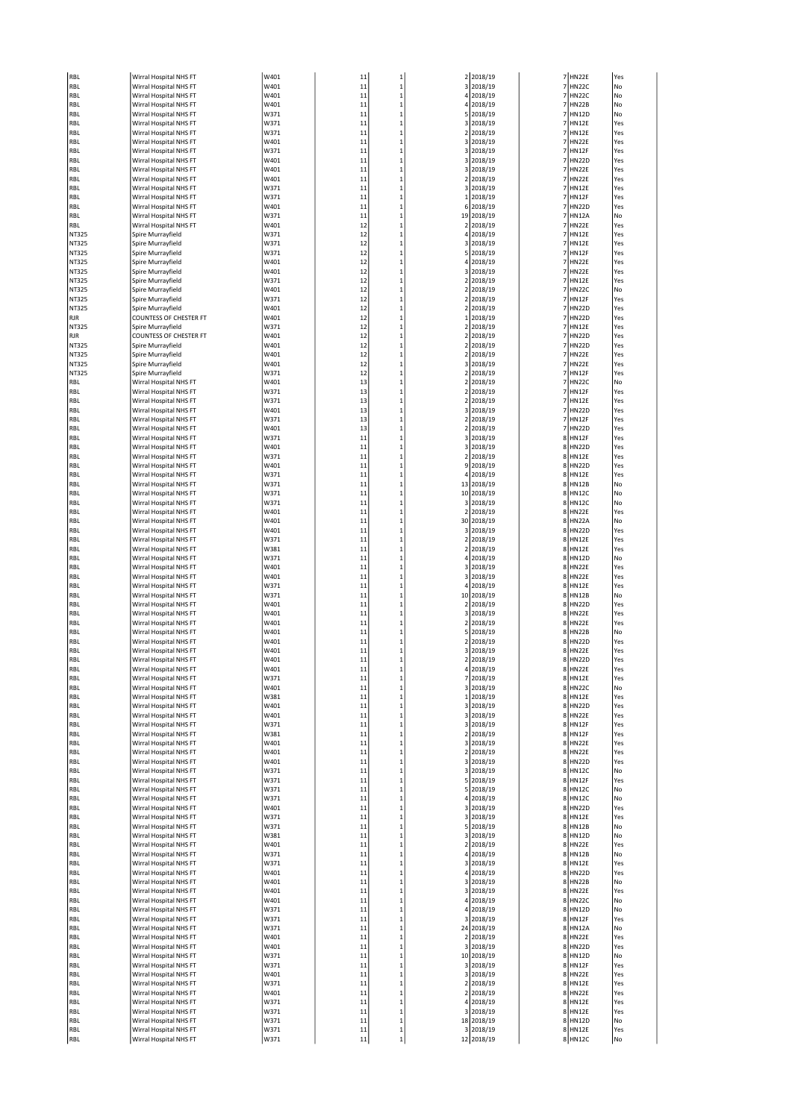| RBL                             | Wirral Hospital NHS FT                           | W401         | 11       | $\mathbf{1}$      |                         | 2 2018/19               |                | 7 HN22E                 | Yes        |
|---------------------------------|--------------------------------------------------|--------------|----------|-------------------|-------------------------|-------------------------|----------------|-------------------------|------------|
| RBL                             | Wirral Hospital NHS FT                           | W401         | 11       | 1                 | 3                       | 2018/19                 | $\overline{7}$ | HN22C                   | No         |
| RBL                             | Wirral Hospital NHS FT                           | W401         | 11       | $\mathbf 1$       | 4                       | 2018/19                 | 7              | <b>HN22C</b>            | No         |
| RBL                             | Wirral Hospital NHS FT                           | W401         | 11       | 1                 | $\overline{4}$          | 2018/19                 | 7              | <b>HN22B</b>            | No         |
| RBL                             | Wirral Hospital NHS FT                           | W371         | 11       | $\mathbf 1$       |                         | 5 2018/19               |                | 7 HN12D                 | No         |
| RBL                             | Wirral Hospital NHS FT                           | W371         | 11       | $\mathbf 1$       | 3                       | 2018/19                 | $\overline{7}$ | <b>HN12E</b>            | Yes        |
| RBL                             | Wirral Hospital NHS FT                           | W371         | 11       | 1                 |                         | 2 2018/19               | $\overline{7}$ | <b>HN12E</b>            | Yes        |
| RBL                             | Wirral Hospital NHS FT                           | W401         | 11       | 1                 |                         | 3 2018/19               | $\overline{7}$ | HN22E                   | Yes        |
| RBL                             | Wirral Hospital NHS FT                           | W371         | 11       | 1                 | 3                       | 2018/19                 | 7              | <b>HN12F</b>            | Yes        |
| RBL                             | Wirral Hospital NHS FT                           | W401         | 11       | 1                 |                         | 3 2018/19               | 7              | <b>HN22D</b>            | Yes        |
| RBL                             | Wirral Hospital NHS FT                           | W401         | 11       | 1                 |                         | 3 2018/19               | $\overline{7}$ | HN22E                   | Yes        |
| RBL                             | Wirral Hospital NHS FT                           | W401         | 11       | 1                 | 2                       | 2018/19                 | $\overline{7}$ | HN22E                   | Yes        |
| RBL                             | Wirral Hospital NHS FT                           | W371         | 11       | 1                 |                         | 3 2018/19               | $\overline{7}$ | <b>HN12E</b>            | Yes        |
| RBL                             | Wirral Hospital NHS FT                           | W371         | 11       | 1                 |                         | 1 2018/19               | 7              | <b>HN12F</b>            | Yes        |
| RBL                             | Wirral Hospital NHS FT                           | W401         | 11       | 1                 | 6                       | 2018/19                 | 7              | <b>HN22D</b>            | Yes        |
| RBL                             | Wirral Hospital NHS FT                           | W371         | 11       | 1                 |                         | 19 2018/19              | 7              | <b>HN12A</b>            | No         |
| RBL                             | Wirral Hospital NHS FT                           | W401         | 12       | 1                 |                         | 2 2018/19               | $\overline{7}$ | HN22E                   | Yes        |
| NT325                           | Spire Murrayfield                                | W371         | 12       | 1                 | $\overline{4}$          | 2018/19                 | 7              | <b>HN12E</b>            | Yes        |
| NT325                           | Spire Murrayfield                                | W371         | 12       | $\mathbf 1$       | 3                       | 2018/19                 | 7              | <b>HN12E</b>            | Yes        |
| NT325                           | Spire Murrayfield                                | W371         | 12       | 1                 |                         | 5 2018/19               | 7              | <b>HN12F</b>            | Yes        |
| NT325                           | Spire Murrayfield                                | W401         | 12       | 1                 | 4                       | 2018/19                 | 7              | HN22E                   | Yes        |
| NT325                           | Spire Murrayfield                                | W401         | 12       | $\mathbf 1$       | 3                       | 2018/19                 | 7              | HN22E                   | Yes        |
| NT325                           | Spire Murrayfield                                | W371         | 12       | 1                 |                         | 2 2018/19               | 7              | <b>HN12E</b>            | Yes        |
| NT325                           | Spire Murrayfield                                | W401         | 12       | 1                 | $\overline{\mathbf{2}}$ | 2018/19                 | 7              | HN22C                   | No         |
| NT325                           | Spire Murrayfield                                | W371         | 12       | 1                 | 2                       | 2018/19                 | $\overline{7}$ | HN12F                   | Yes        |
| NT325                           | Spire Murrayfield                                | W401         | 12       | 1                 |                         | 2 2018/19               | 7              | <b>HN22D</b>            | Yes        |
| RJR                             | COUNTESS OF CHESTER FT                           | W401         | 12       | 1                 |                         | 1 2018/19               | 7              | <b>HN22D</b>            | Yes        |
| NT325                           | Spire Murrayfield                                | W371         | 12       | 1                 | 2                       | 2018/19                 | $\overline{7}$ | <b>HN12E</b>            | Yes        |
| RJR                             | COUNTESS OF CHESTER FT                           | W401         | 12       | 1                 |                         | 2 2018/19               | 7              | <b>HN22D</b>            | Yes        |
| NT325                           | Spire Murrayfield                                | W401         | 12       | 1                 |                         | 2 2018/19               |                | 7 HN22D                 | Yes        |
| NT325                           | Spire Murrayfield                                | W401         | 12       | $\mathbf 1$       | $\overline{\mathbf{2}}$ | 2018/19                 | $\overline{7}$ | HN22E                   | Yes        |
| NT325                           | Spire Murrayfield                                | W401         | 12       | 1                 |                         | 3 2018/19               | $\overline{7}$ | HN22E                   | Yes        |
| NT325                           | Spire Murrayfield                                | W371         | 12       | 1                 |                         | 2 2018/19               | $\overline{7}$ | <b>HN12F</b>            | Yes        |
| RBL                             | Wirral Hospital NHS FT                           | W401         | 13       | 1                 | 2                       | 2018/19                 | 7              | <b>HN22C</b>            | No         |
| RBL                             | Wirral Hospital NHS FT                           | W371         | 13       | 1                 | $\overline{2}$          | 2018/19                 | 7              | <b>HN12F</b>            | Yes        |
| RBL                             | Wirral Hospital NHS FT                           | W371         | 13       | $\mathbf 1$       |                         | 2 2018/19               |                | 7 HN12E                 | Yes        |
| RBL                             | Wirral Hospital NHS FT                           | W401         | 13       | 1                 | 3                       | 2018/19                 | 7              | <b>HN22D</b>            | Yes        |
| RBL                             | Wirral Hospital NHS FT                           | W371         | 13       | 1                 | $\overline{2}$          | 2018/19                 | 7              | HN12F                   | Yes        |
| RBL                             | Wirral Hospital NHS FT                           | W401         | 13       | 1                 |                         | 2 2018/19               | 7              | <b>HN22D</b>            | Yes        |
| RBL                             | Wirral Hospital NHS FT                           | W371         | 11       | 1                 | 3                       | 2018/19                 | 8              | HN12F                   | Yes        |
| RBL                             | Wirral Hospital NHS FT                           | W401         | 11       | 1                 | 3                       | 2018/19                 | 8              | <b>HN22D</b>            | Yes        |
| RBL                             | Wirral Hospital NHS FT                           | W371         | 11       | 1                 |                         | 2 2018/19               |                | 8 HN12E                 | Yes        |
| RBL                             | Wirral Hospital NHS FT                           | W401         | 11       | 1                 | 9                       | 2018/19                 | 8              | <b>HN22D</b>            | Yes        |
| RBL                             | Wirral Hospital NHS FT                           | W371         | 11       | 1                 | 4                       | 2018/19                 | 8              | <b>HN12E</b>            | Yes        |
| RBL                             | Wirral Hospital NHS FT                           | W371<br>W371 | 11       | 1<br>1            |                         | 13 2018/19              |                | 8 HN12B<br><b>HN12C</b> | No<br>No   |
| RBL                             | Wirral Hospital NHS FT<br>Wirral Hospital NHS FT | W371         | 11<br>11 | $\mathbf 1$       | 3                       | 10 2018/19<br>2018/19   | 8<br>8         | <b>HN12C</b>            | No         |
| RBL<br>RBL                      | Wirral Hospital NHS FT                           | W401         | 11       | 1                 |                         | 2 2018/19               |                | 8 HN22E                 | Yes        |
| RBL                             | Wirral Hospital NHS FT                           | W401         | 11       | 1                 |                         | 30 2018/19              |                | 8 HN22A                 | No         |
| RBL                             | Wirral Hospital NHS FT                           | W401         | 11       | 1                 |                         | 3 2018/19               | 8              | <b>HN22D</b>            | Yes        |
| RBL                             | Wirral Hospital NHS FT                           | W371         | 11       | 1                 |                         | 2 2018/19               | 8              | <b>HN12E</b>            | Yes        |
| RBL                             | Wirral Hospital NHS FT                           | W381         | 11       | 1                 | 2                       | 2018/19                 | 8              | <b>HN12E</b>            | Yes        |
| RBL                             | Wirral Hospital NHS FT                           | W371         | 11       | 1                 | 4                       | 2018/19                 |                | 8 HN12D                 | No         |
| RBL                             | Wirral Hospital NHS FT                           | W401         | 11       | 1                 |                         | 3 2018/19               |                | 8 HN22E                 | Yes        |
| RBL                             | Wirral Hospital NHS FT                           | W401         | 11       | 1                 |                         | 3 2018/19               |                | 8 HN22E                 | Yes        |
| RBL                             | Wirral Hospital NHS FT                           | W371         | 11       | 1                 | 4                       | 2018/19                 |                | 8 HN12E                 | Yes        |
| RBL                             | Wirral Hospital NHS FT                           | W371         | 11       | 1                 |                         | 10 2018/19              | 8              | <b>HN12B</b>            | No         |
| RBL                             | Wirral Hospital NHS FT                           | W401         | 11       | 1                 |                         | 2 2018/19               |                | 8 HN22D                 | Yes        |
| RBL                             | Wirral Hospital NHS FT                           | W401         | 11       | 1                 | 3                       | 2018/19                 |                | 8 HN22E                 | Yes        |
| RBL                             | Wirral Hospital NHS FT                           | W401         | 11       | 1                 | $\overline{2}$          | 2018/19                 |                | 8 HN22E                 | Yes        |
| RBL                             | Wirral Hospital NHS FT                           | W401         | 11       | 1                 |                         | 5 2018/19               |                | 8 HN22B                 | No         |
| RBL                             | Wirral Hospital NHS FT                           | W401         | 11       | 1                 | $\overline{2}$          | 2018/19                 | 8              | <b>HN22D</b>            | Yes        |
| RBL                             | Wirral Hospital NHS FT                           | W401         | 11       | 1                 |                         | 3 2018/19               | 8              | HN22E                   | Yes        |
| RBL                             | Wirral Hospital NHS FT                           | W401         | 11       | 1                 |                         | 2 2018/19               |                | 8 HN22D                 | Yes        |
| RBL                             | Wirral Hospital NHS FT                           | W401         | 11       |                   |                         | 2018/19                 |                | HN22E                   | res        |
| RBL                             | Wirral Hospital NHS FT                           | W371         | 11       | $\mathbf 1$       | 7                       | 2018/19                 |                | 8 HN12E                 | Yes        |
| RBL                             | Wirral Hospital NHS FT                           | W401         | 11       | $\mathbf 1$       |                         | 3 2018/19               |                | 8 HN22C                 | No         |
| RBL                             | Wirral Hospital NHS FT                           | W381         | 11       | 1                 |                         | 1 2018/19               |                | 8 HN12E                 | Yes        |
| RBL                             | Wirral Hospital NHS FT                           | W401         | 11       | 1                 |                         | 3 2018/19               |                | 8 HN22D                 | Yes        |
| RBL                             | Wirral Hospital NHS FT                           | W401         | 11       | 1                 |                         | 3 2018/19               |                | 8 HN22E                 | Yes        |
| RBL                             | Wirral Hospital NHS FT                           | W371         | 11       | 1                 |                         | 3 2018/19               |                | 8 HN12F                 | Yes        |
| RBL                             | Wirral Hospital NHS FT                           | W381         | 11       | 1                 |                         | 2 2018/19               |                | 8 HN12F                 | Yes        |
| RBL                             | Wirral Hospital NHS FT                           | W401         | 11       | 1                 |                         | 3 2018/19               |                | 8 HN22E                 | Yes        |
| RBL                             | Wirral Hospital NHS FT                           | W401         | 11       | 1                 |                         | 2 2018/19               |                | 8 HN22E                 | Yes        |
| RBL                             | Wirral Hospital NHS FT                           | W401         | 11       | 1                 |                         | 3 2018/19               |                | 8 HN22D                 | Yes        |
| RBL                             | Wirral Hospital NHS FT                           | W371         | 11       | 1                 |                         | 3 2018/19               |                | 8 HN12C                 | No         |
| RBL                             | Wirral Hospital NHS FT                           | W371         | 11       | 1                 |                         | 5 2018/19               |                | 8 HN12F                 | Yes        |
| RBL                             | Wirral Hospital NHS FT                           | W371         | 11       | 1                 | 5                       | 2018/19                 |                | 8 HN12C                 | No         |
| RBL                             | Wirral Hospital NHS FT                           | W371         | 11       | 1                 |                         | 4 2018/19               |                | 8 HN12C<br>8 HN22D      | No         |
| RBL                             | Wirral Hospital NHS FT<br>Wirral Hospital NHS FT | W401<br>W371 | 11<br>11 | 1<br>1            |                         | 3 2018/19<br>3 2018/19  |                | 8 HN12E                 | Yes<br>Yes |
| RBL<br>RBL                      | Wirral Hospital NHS FT                           | W371         | 11       | 1                 |                         | 5 2018/19               |                | 8 HN12B                 | No         |
| RBL                             | Wirral Hospital NHS FT                           | W381         | 11       | 1                 |                         | 3 2018/19               |                | 8 HN12D                 | No         |
| RBL                             | Wirral Hospital NHS FT                           | W401         | 11       | 1                 | $\overline{2}$          | 2018/19                 |                | 8 HN22E                 | Yes        |
| RBL                             | Wirral Hospital NHS FT                           | W371         | 11       | 1                 |                         | 4 2018/19               |                | 8 HN12B                 | No         |
| RBL                             | Wirral Hospital NHS FT                           | W371         | 11       | 1                 |                         | 3 2018/19               |                | 8 HN12E                 | Yes        |
| RBL                             | Wirral Hospital NHS FT                           | W401         | 11       | 1                 |                         | 4 2018/19               |                | 8 HN22D                 | Yes        |
| RBL                             | Wirral Hospital NHS FT                           | W401         | 11       | 1                 |                         | 3 2018/19               |                | 8 HN22B                 | No         |
| RBL                             | Wirral Hospital NHS FT                           | W401         | 11       | 1                 |                         | 3 2018/19               |                | 8 HN22E                 | Yes        |
| RBL                             | Wirral Hospital NHS FT                           | W401         | 11       | 1                 |                         | 4 2018/19               |                | 8 HN22C                 | No         |
| RBL                             | Wirral Hospital NHS FT                           | W371         | 11       | 1                 |                         | 4 2018/19               |                | 8 HN12D                 | No         |
| RBL                             | Wirral Hospital NHS FT                           | W371         | 11       | 1                 |                         | 3 2018/19               |                | 8 HN12F                 | Yes        |
| RBL                             | Wirral Hospital NHS FT                           | W371         | 11       | 1                 |                         | 24 2018/19              |                | 8 HN12A                 | No         |
| RBL                             | Wirral Hospital NHS FT                           | W401         | 11       | 1                 |                         | 2 2018/19               |                | 8 HN22E                 | Yes        |
| RBL                             | Wirral Hospital NHS FT                           | W401         | 11       | 1                 |                         | 3 2018/19               |                | 8 HN22D                 | Yes        |
| RBL                             | Wirral Hospital NHS FT                           | W371         | 11       | 1                 |                         | 10 2018/19              |                | 8 HN12D                 | No         |
|                                 |                                                  | W371         | 11       | 1                 |                         | 3 2018/19               |                | 8 HN12F                 | Yes        |
|                                 | Wirral Hospital NHS FT                           |              |          |                   |                         |                         |                |                         |            |
|                                 | Wirral Hospital NHS FT                           | W401         | 11       | 1                 |                         | 3 2018/19               |                | 8 HN22E                 | Yes        |
|                                 | Wirral Hospital NHS FT                           | W371         | 11       | 1                 |                         | 2 2018/19               |                | 8 HN12E                 | Yes        |
|                                 | Wirral Hospital NHS FT                           | W401         | 11       | 1                 |                         | 2 2018/19               |                | 8 HN22E                 | Yes        |
| RBL<br>RBL<br>RBL<br>RBL<br>RBL | Wirral Hospital NHS FT                           | W371         | 11       | 1                 |                         | 4 2018/19               |                | 8 HN12E                 | Yes        |
| RBL                             | Wirral Hospital NHS FT                           | W371         | 11       | 1                 |                         | 3 2018/19               |                | 8 HN12E                 | Yes        |
| RBL                             | Wirral Hospital NHS FT                           | W371         | 11       | $\mathbf 1$       |                         | 18 2018/19              |                | 8 HN12D                 | No         |
| RBL<br>RBL                      | Wirral Hospital NHS FT<br>Wirral Hospital NHS FT | W371<br>W371 | 11<br>11 | 1<br>$\mathbf{1}$ |                         | 3 2018/19<br>12 2018/19 |                | 8 HN12E<br>8 HN12C      | Yes<br>No  |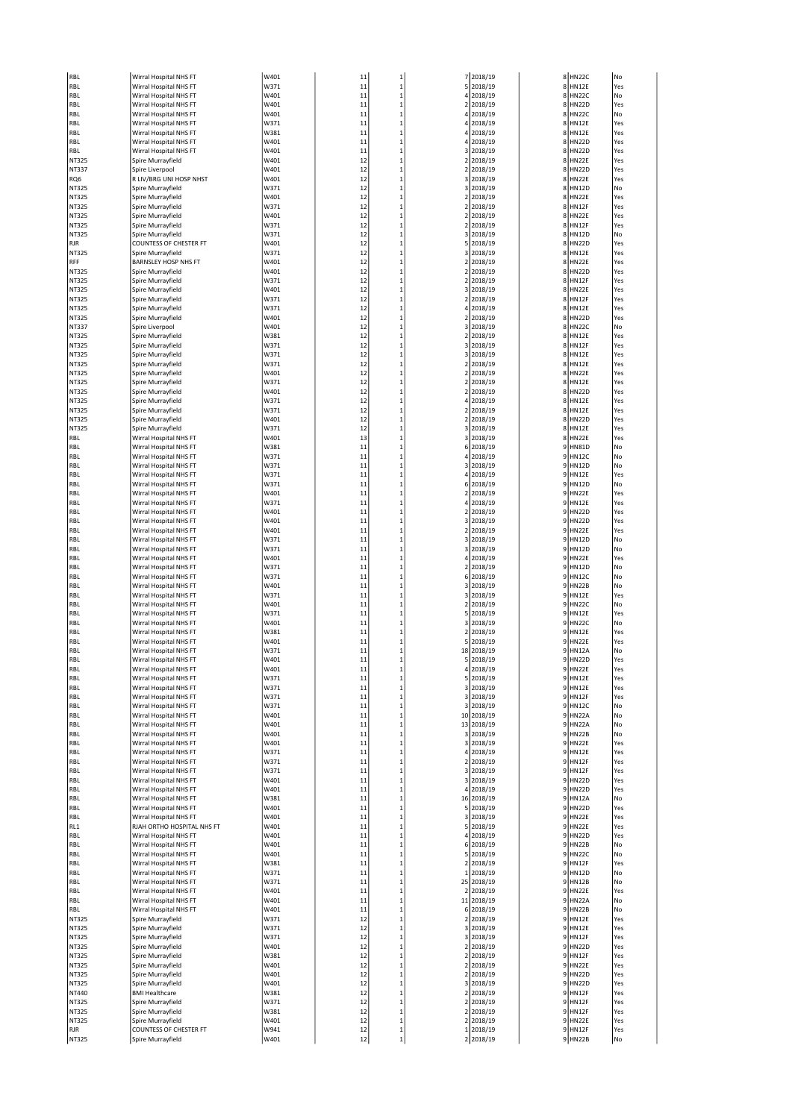| RBL            | Wirral Hospital NHS FT                           | W401         | 11       | $\mathbf{1}$                 |        | 7 2018/19               |              | 8 HN22C                      | No         |
|----------------|--------------------------------------------------|--------------|----------|------------------------------|--------|-------------------------|--------------|------------------------------|------------|
| RBL            | Wirral Hospital NHS FT                           | W371         | 11       | $\mathbf{1}$                 |        | 5 2018/19               | 8            | <b>HN12E</b>                 | Yes        |
| RBL            | Wirral Hospital NHS FT                           | W401         | 11       | $\mathbf 1$                  |        | 4 2018/19               | 8            | <b>HN22C</b>                 | No         |
| RBL            | Wirral Hospital NHS FT                           | W401         | 11       | $\mathbf 1$                  |        | 2 2018/19               | 8            | <b>HN22D</b>                 | Yes        |
| RBL            | Wirral Hospital NHS FT                           | W401         | 11       | $\mathbf 1$                  |        | 4 2018/19               |              | 8 HN22C                      | No         |
| RBL            | Wirral Hospital NHS FT                           | W371         | 11       | $\mathbf{1}$                 |        | 4 2018/19               | 8            | <b>HN12E</b>                 | Yes        |
| RBL            | Wirral Hospital NHS FT                           | W381         | 11       | $\mathbf 1$                  |        | 4 2018/19               | 8            | <b>HN12E</b>                 | Yes        |
| RBL            | Wirral Hospital NHS FT                           | W401         | 11       | $\mathbf 1$                  |        | 4 2018/19               | 8            | <b>HN22D</b>                 | Yes        |
| RBL            | Wirral Hospital NHS FT                           | W401         | 11       | $\mathbf{1}$                 |        | 3 2018/19               | 8            | <b>HN22D</b>                 | Yes        |
| NT325          | Spire Murrayfield                                | W401         | 12       | $\mathbf 1$                  |        | 2 2018/19               | 8            | HN22E                        | Yes        |
| NT337          | Spire Liverpool                                  | W401         | 12       | $\mathbf 1$                  |        | 2 2018/19               |              | 8 HN22D                      | Yes        |
| RQ6            | R LIV/BRG UNI HOSP NHST                          | W401         | 12       | $\mathbf{1}$                 |        | 3 2018/19               |              | 8 HN22E                      | Yes        |
| NT325          | Spire Murrayfield                                | W371         | 12       | $\mathbf 1$                  |        | 3 2018/19               | 8            | <b>HN12D</b>                 | No         |
| NT325          | Spire Murrayfield                                | W401         | 12       | $\mathbf 1$                  |        | 2 2018/19               | 8            | HN22E                        | Yes        |
| NT325          | Spire Murrayfield                                | W371         | 12       | $\mathbf{1}$                 |        | 2 2018/19               | 8            | HN12F                        | Yes        |
| NT325          | Spire Murrayfield                                | W401         | 12       | $\mathbf 1$                  |        | 2 2018/19               | 8            | <b>HN22E</b>                 | Yes        |
| NT325          | Spire Murrayfield                                | W371         | 12       | $\mathbf 1$                  |        | 2 2018/19               |              | 8 HN12F                      | Yes        |
| NT325          | Spire Murrayfield                                | W371         | 12       | $\mathbf{1}$                 |        | 3 2018/19               | 8            | <b>HN12D</b>                 | No         |
| RJR            | <b>COUNTESS OF CHESTER FT</b>                    | W401         | 12       | $\mathbf{1}$                 |        | 5 2018/19               | 8            | <b>HN22D</b>                 | Yes        |
| NT325          | Spire Murrayfield                                | W371         | 12       | $\mathbf 1$                  |        | 3 2018/19               | 8            | <b>HN12E</b>                 | Yes        |
| RFF            | <b>BARNSLEY HOSP NHS FT</b>                      | W401         | 12       | $\mathbf{1}$                 | 2      | 2018/19                 | 8            | <b>HN22E</b>                 | Yes        |
| NT325          | Spire Murrayfield                                | W401         | 12       | $\mathbf{1}$                 |        | 2 2018/19               | 8            | <b>HN22D</b>                 | Yes        |
| NT325          | Spire Murrayfield                                | W371         | 12       | $\mathbf{1}$                 |        | 2 2018/19               |              | 8 HN12F                      | Yes        |
| NT325          | Spire Murrayfield                                | W401         | 12       | $\mathbf{1}$                 |        | 3 2018/19               | 8<br>8       | <b>HN22E</b>                 | Yes        |
| NT325          | Spire Murrayfield                                | W371         | 12       | $\mathbf 1$                  | 2      | 2018/19                 |              | HN12F                        | Yes        |
| NT325          | Spire Murrayfield                                | W371<br>W401 | 12<br>12 | $\mathbf{1}$<br>$\mathbf 1$  |        | 4 2018/19<br>2 2018/19  | 8<br>$\bf 8$ | <b>HN12E</b><br><b>HN22D</b> | Yes<br>Yes |
| NT325          | Spire Murrayfield<br>Spire Liverpool             | W401         | 12       | $\mathbf 1$                  |        | 3 2018/19               | 8            | <b>HN22C</b>                 | No         |
| NT337<br>NT325 | Spire Murrayfield                                | W381         | 12       | $\mathbf{1}$                 |        | 2 2018/19               |              | 8 HN12E                      | Yes        |
| NT325          | Spire Murrayfield                                | W371         | 12       | $\mathbf{1}$                 |        | 3 2018/19               | 8            | HN12F                        | Yes        |
| NT325          | Spire Murrayfield                                | W371         | 12       | $\mathbf{1}$                 |        | 3 2018/19               | 8            | <b>HN12E</b>                 | Yes        |
| NT325          | Spire Murrayfield                                | W371         | 12       | $\mathbf 1$                  |        | 2 2018/19               | 8            | <b>HN12E</b>                 | Yes        |
| NT325          | Spire Murrayfield                                | W401         | 12       | $\mathbf 1$                  | 2      | 2018/19                 | 8            | HN22E                        | Yes        |
| NT325          | Spire Murrayfield                                | W371         | 12       | $\mathbf{1}$                 |        | 2 2018/19               | 8            | <b>HN12E</b>                 | Yes        |
| NT325          | Spire Murrayfield                                | W401         | 12       | $\mathbf 1$                  |        | 2 2018/19               | 8            | <b>HN22D</b>                 | Yes        |
| NT325          | Spire Murrayfield                                | W371         | 12       | $\mathbf{1}$                 |        | 4 2018/19               | 8            | <b>HN12E</b>                 | Yes        |
| NT325          | Spire Murrayfield                                | W371         | 12       | $\mathbf{1}$                 | 2      | 2018/19                 | 8            | <b>HN12E</b>                 | Yes        |
| NT325          | Spire Murrayfield                                | W401         | 12       | $\mathbf 1$                  |        | 2 2018/19               | 8            | <b>HN22D</b>                 | Yes        |
| NT325          | Spire Murrayfield                                | W371         | 12       | $\mathbf 1$                  |        | 3 2018/19               | 8            | <b>HN12E</b>                 | Yes        |
| RBL            | Wirral Hospital NHS FT                           | W401         | 13       | $\mathbf{1}$                 |        | 3 2018/19               | 8            | <b>HN22E</b>                 | Yes        |
| RBL            | Wirral Hospital NHS FT                           | W381         | 11       | $\mathbf{1}$                 |        | 6 2018/19               | 9            | <b>HN81D</b>                 | No         |
| RBL            | Wirral Hospital NHS FT                           | W371         | 11       | $\mathbf 1$                  |        | 4 2018/19               |              | 9 HN12C                      | No         |
| RBL            | Wirral Hospital NHS FT                           | W371         | 11       | $\mathbf{1}$                 |        | 3 2018/19               | 9            | <b>HN12D</b>                 | No         |
| RBL            | Wirral Hospital NHS FT                           | W371         | 11       | $\mathbf 1$                  |        | 4 2018/19               | q            | <b>HN12E</b>                 | Yes        |
| RBL            | Wirral Hospital NHS FT                           | W371         | 11       | $\mathbf 1$                  |        | 6 2018/19               | 9            | <b>HN12D</b>                 | No         |
| RBL            | Wirral Hospital NHS FT                           | W401         | 11       | $\mathbf{1}$                 |        | 2 2018/19               | S            | HN22E                        | Yes        |
| RBL            | Wirral Hospital NHS FT                           | W371         | 11       | $\mathbf{1}$                 |        | 4 2018/19               | 9            | <b>HN12E</b>                 | Yes        |
| RBL            | Wirral Hospital NHS FT                           | W401         | 11       | $\mathbf{1}$                 |        | 2 2018/19               | 9            | <b>HN22D</b>                 | Yes        |
| RBL            | Wirral Hospital NHS FT                           | W401         | 11       | $\mathbf{1}$                 |        | 3 2018/19               | S            | <b>HN22D</b>                 | Yes        |
| RBL            | Wirral Hospital NHS FT                           | W401         | 11       | $\mathbf{1}$                 |        | 2 2018/19               | q            | <b>HN22E</b>                 | Yes        |
| RBL            | Wirral Hospital NHS FT                           | W371         | 11       | $\mathbf{1}$                 |        | 3 2018/19               | q            | <b>HN12D</b>                 | No         |
| RBL            | Wirral Hospital NHS FT                           | W371         | 11       | $\mathbf{1}$                 |        | 3 2018/19               | S            | HN12D                        | No         |
| RBL            | Wirral Hospital NHS FT                           | W401         | 11       | $\mathbf 1$                  |        | 4 2018/19               | 9            | HN22E                        | Yes        |
| RBL            | Wirral Hospital NHS FT                           | W371         | 11       | $\mathbf{1}$                 |        | 2 2018/19               | 9            | <b>HN12D</b>                 | No         |
| RBL            | Wirral Hospital NHS FT                           | W371         | 11       | $\mathbf{1}$                 |        | 6 2018/19               | 9            | <b>HN12C</b>                 | No         |
| RBL            | Wirral Hospital NHS FT                           | W401         | 11       | $\mathbf{1}$                 |        | 3 2018/19               | q            | <b>HN22B</b>                 | No         |
| RBL            | Wirral Hospital NHS FT                           | W371         | 11       | $\mathbf{1}$                 |        | 3 2018/19               | q            | <b>HN12E</b>                 | Yes        |
| RBL            | Wirral Hospital NHS FT                           | W401         | 11       | $\mathbf 1$                  |        | 2 2018/19               | 9            | HN22C                        | No         |
| RBL            | Wirral Hospital NHS FT                           | W371         | 11       | $\mathbf 1$                  |        | 5 2018/19               | 9            | <b>HN12E</b>                 | Yes        |
| RBL            | Wirral Hospital NHS FT                           | W401         | 11       | $\mathbf 1$                  |        | 3 2018/19               | 9            | <b>HN22C</b>                 | No         |
| RBL            | Wirral Hospital NHS FT<br>Wirral Hospital NHS FT | W381         | 11<br>11 | $\mathbf{1}$<br>$\mathbf{1}$ | 2<br>5 | 2018/19                 | 9<br>q       | <b>HN12E</b>                 | Yes<br>Yes |
| RBL            | Wirral Hospital NHS FT                           | W401<br>W371 | 11       | $\mathbf 1$                  |        | 2018/19<br>18 2018/19   | ç            | <b>HN22E</b><br><b>HN12A</b> | No         |
| RBL<br>RBL     | Wirral Hospital NHS FT                           | W401         | 11       | $\mathbf 1$                  |        | 5 2018/19               | 9            | <b>HN22D</b>                 | Yes        |
|                |                                                  | W4U1         | 11       |                              |        | 2018/19                 | У            | HNZZE                        | ۲es        |
| ĸвL<br>RBL     | wirrai Hospital NHS FT<br>Wirral Hospital NHS FT | W371         | 11       | $\mathbf 1$                  |        | 5 2018/19               | 9            | <b>HN12E</b>                 | Yes        |
| RBL            | Wirral Hospital NHS FT                           | W371         | 11       | $\,$ 1                       |        | 3 2018/19               |              | 9 HN12E                      | Yes        |
| RBL            | Wirral Hospital NHS FT                           | W371         | 11       | $\mathbf{1}$                 |        | 3 2018/19               |              | 9 HN12F                      | Yes        |
| RBL            | Wirral Hospital NHS FT                           | W371         | 11       | $\mathbf 1$                  |        | 3 2018/19               |              | 9 HN12C                      | No         |
| RBL            | Wirral Hospital NHS FT                           | W401         | 11       | $\mathbf 1$                  |        | 10 2018/19              |              | 9 HN22A                      | No         |
| RBL            | Wirral Hospital NHS FT                           | W401         | 11       | $\mathbf{1}$                 |        | 13 2018/19              | 9            | <b>HN22A</b>                 | No         |
| RBL            | Wirral Hospital NHS FT                           | W401         | 11       | $\mathbf{1}$                 |        | 3 2018/19               | 9            | <b>HN22B</b>                 | No         |
| RBL            | Wirral Hospital NHS FT                           | W401         | 11       | $\mathbf 1$                  |        | 3 2018/19               |              | 9 HN22E                      | Yes        |
| RBL            | Wirral Hospital NHS FT                           | W371         | 11       | $\mathbf{1}$                 |        | 4 2018/19               | 9            | <b>HN12E</b>                 | Yes        |
| RBL            | Wirral Hospital NHS FT                           | W371         | 11       | $\mathbf{1}$                 |        | 2 2018/19               | q            | HN12F                        | Yes        |
| RBL            | Wirral Hospital NHS FT                           | W371         | 11       | $\mathbf 1$                  |        | 3 2018/19               |              | 9 HN12F                      | Yes        |
| RBL            | Wirral Hospital NHS FT                           | W401         | 11       | $\mathbf{1}$                 |        | 3 2018/19               | S            | <b>HN22D</b>                 | Yes        |
| RBL            | Wirral Hospital NHS FT                           | W401         | 11       | $\mathbf 1$                  |        | 4 2018/19               | 9            | <b>HN22D</b>                 | Yes        |
| RBL            | Wirral Hospital NHS FT                           | W381         | 11       | $\mathbf 1$                  |        | 16 2018/19              |              | 9 HN12A                      | No         |
| RBL            | Wirral Hospital NHS FT                           | W401         | 11       | $\mathbf{1}$                 |        | 5 2018/19               | S            | <b>HN22D</b>                 | Yes        |
| RBL            | Wirral Hospital NHS FT                           | W401         | 11       | $\mathbf 1$                  |        | 3 2018/19               | q            | HN22E                        | Yes        |
| RL1            | RJAH ORTHO HOSPITAL NHS FT                       | W401         | 11       | $\mathbf 1$                  |        | 5 2018/19               | 9            | <b>HN22E</b>                 | Yes        |
| RBL            | Wirral Hospital NHS FT                           | W401         | 11       | 1                            |        | 4 2018/19               | 9            | <b>HN22D</b>                 | Yes        |
| RBL            | Wirral Hospital NHS FT                           | W401         | 11       | $\mathbf 1$                  |        | 6 2018/19               | 9            | <b>HN22B</b>                 | No         |
| RBL            | Wirral Hospital NHS FT                           | W401         | 11       | $\mathbf 1$                  |        | 5 2018/19               | 9            | HN22C                        | No         |
| RBL            | Wirral Hospital NHS FT                           | W381         | 11       | $\mathbf 1$                  |        | 2 2018/19               |              | 9 HN12F                      | Yes        |
| RBL            | Wirral Hospital NHS FT                           | W371         | 11       | $\mathbf 1$                  | 1      | 2018/19                 | 9            | <b>HN12D</b>                 | No         |
| RBL            | Wirral Hospital NHS FT                           | W371         | 11       | $\mathbf 1$                  |        | 25 2018/19              | S            | <b>HN12B</b>                 | No         |
| RBL            | Wirral Hospital NHS FT                           | W401         | 11       | $\mathbf 1$<br>$\mathbf{1}$  |        | 2 2018/19               | 9<br>9       | HN22E                        | Yes        |
| RBL<br>RBL     | Wirral Hospital NHS FT<br>Wirral Hospital NHS FT | W401<br>W401 | 11<br>11 | $\mathbf 1$                  |        | 11 2018/19<br>6 2018/19 | 9            | HN22A<br><b>HN22B</b>        | No<br>No   |
| NT325          | Spire Murrayfield                                | W371         | 12       | $\mathbf 1$                  |        | 2 2018/19               |              | 9 HN12E                      | Yes        |
| NT325          | Spire Murrayfield                                | W371         | 12       | $\mathbf{1}$                 |        | 3 2018/19               |              | 9 HN12E                      | Yes        |
| NT325          | Spire Murrayfield                                | W371         | 12       | 1                            |        | 3 2018/19               | 9            | HN12F                        | Yes        |
| NT325          | Spire Murrayfield                                | W401         | 12       | $\mathbf 1$                  |        | 2 2018/19               |              | 9 HN22D                      | Yes        |
| NT325          | Spire Murrayfield                                | W381         | 12       | $\mathbf{1}$                 |        | 2 2018/19               | 9            | HN12F                        | Yes        |
| NT325          | Spire Murrayfield                                | W401         | 12       | $\mathbf 1$                  |        | 2 2018/19               | 9            | <b>HN22E</b>                 | Yes        |
| NT325          | Spire Murrayfield                                | W401         | 12       | $\mathbf 1$                  |        | 2 2018/19               |              | 9 HN22D                      | Yes        |
| NT325          | Spire Murrayfield                                | W401         | 12       | $\mathbf{1}$                 |        | 3 2018/19               | 9            | <b>HN22D</b>                 | Yes        |
| NT440          | <b>BMI Healthcare</b>                            | W381         | 12       | $\mathbf{1}$                 |        | 2 2018/19               | 9            | HN12F                        | Yes        |
| NT325          | Spire Murrayfield                                | W371         | 12       | $\mathbf 1$                  |        | 2 2018/19               |              | 9 HN12F                      | Yes        |
| NT325          | Spire Murrayfield                                | W381         | 12       | $\mathbf 1$                  |        | 2 2018/19               | 9            | HN12F                        | Yes        |
| NT325          | Spire Murrayfield                                | W401         | 12       | $\mathbf 1$                  |        | 2 2018/19               | 9            | HN22E                        | Yes        |
| RJR            | COUNTESS OF CHESTER FT                           | W941         | 12       | $\,$ 1                       |        | 1 2018/19               |              | 9 HN12F                      | Yes        |
| NT325          | Spire Murrayfield                                | W401         | 12       | $\mathbf 1$                  |        | 2 2018/19               |              | 9 HN22B                      | No         |
|                |                                                  |              |          |                              |        |                         |              |                              |            |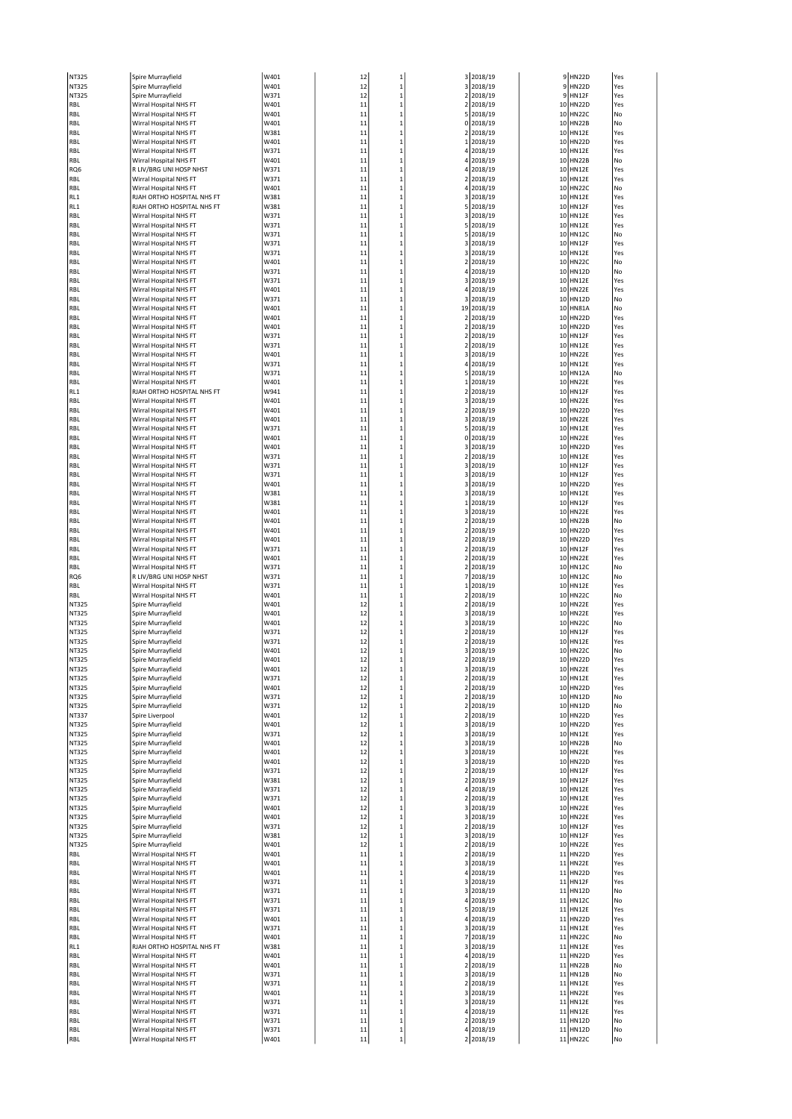| NT325 | Spire Murrayfield          | W401 | 12 | $\mathbf{1}$ |                | 3 2018/19 |    | 9 HN22D      | Yes |
|-------|----------------------------|------|----|--------------|----------------|-----------|----|--------------|-----|
| NT325 | Spire Murrayfield          | W401 | 12 | $\mathbf{1}$ | 3              | 2018/19   |    | 9 HN22D      | Yes |
| NT325 | Spire Murrayfield          | W371 | 12 | $\mathbf{1}$ |                | 2 2018/19 |    | 9 HN12F      | Yes |
| RBL   | Wirral Hospital NHS FT     | W401 | 11 | $\mathbf{1}$ |                | 2 2018/19 |    | 10 HN22D     | Yes |
| RBL   | Wirral Hospital NHS FT     | W401 | 11 | $\mathbf{1}$ |                | 5 2018/19 |    | 10 HN22C     | No  |
| RBL   | Wirral Hospital NHS FT     | W401 | 11 | $\mathbf{1}$ |                | 0 2018/19 |    | 10 HN22B     | No  |
| RBL   | Wirral Hospital NHS FT     | W381 | 11 | $\mathbf{1}$ |                | 2 2018/19 |    | 10 HN12E     | Yes |
| RBL   | Wirral Hospital NHS FT     | W401 | 11 | $\mathbf{1}$ | 1              | 2018/19   |    | 10 HN22D     | Yes |
| RBL   | Wirral Hospital NHS FT     | W371 | 11 | $\mathbf{1}$ |                | 4 2018/19 |    | 10 HN12E     | Yes |
| RBL   | Wirral Hospital NHS FT     | W401 | 11 | $\mathbf{1}$ |                | 4 2018/19 |    | 10 HN22B     | No  |
| RQ6   | R LIV/BRG UNI HOSP NHST    | W371 | 11 | $\mathbf{1}$ |                | 4 2018/19 |    | 10 HN12E     | Yes |
| RBL   | Wirral Hospital NHS FT     | W371 | 11 | $\mathbf{1}$ |                | 2 2018/19 | 10 | <b>HN12E</b> | Yes |
| RBL   | Wirral Hospital NHS FT     | W401 | 11 | $\mathbf{1}$ | 4              | 2018/19   |    | 10 HN22C     | No  |
| RL1   | RJAH ORTHO HOSPITAL NHS FT | W381 | 11 | $\mathbf{1}$ |                | 3 2018/19 |    | 10 HN12E     | Yes |
| RL1   | RJAH ORTHO HOSPITAL NHS FT | W381 | 11 | $\mathbf{1}$ | 5              | 2018/19   |    | 10 HN12F     | Yes |
|       |                            |      |    |              |                |           |    | 10 HN12E     | Yes |
| RBL   | Wirral Hospital NHS FT     | W371 | 11 | $\mathbf{1}$ |                | 3 2018/19 |    |              |     |
| RBL   | Wirral Hospital NHS FT     | W371 | 11 | $\mathbf{1}$ |                | 5 2018/19 |    | 10 HN12E     | Yes |
| RBL   | Wirral Hospital NHS FT     | W371 | 11 | $\mathbf{1}$ |                | 5 2018/19 |    | 10 HN12C     | No  |
| RBL   | Wirral Hospital NHS FT     | W371 | 11 | $\mathbf{1}$ |                | 3 2018/19 |    | 10 HN12F     | Yes |
| RBL   | Wirral Hospital NHS FT     | W371 | 11 | $\mathbf{1}$ |                | 3 2018/19 | 10 | <b>HN12E</b> | Yes |
| RBL   | Wirral Hospital NHS FT     | W401 | 11 | $\mathbf{1}$ |                | 2 2018/19 |    | 10 HN22C     | No  |
| RBL   | Wirral Hospital NHS FT     | W371 | 11 | $\mathbf{1}$ |                | 4 2018/19 |    | 10 HN12D     | No  |
| RBL   | Wirral Hospital NHS FT     | W371 | 11 | $\mathbf{1}$ |                | 3 2018/19 |    | 10 HN12E     | Yes |
| RBL   | Wirral Hospital NHS FT     | W401 | 11 | $\mathbf{1}$ |                | 4 2018/19 |    | 10 HN22E     | Yes |
| RBL   | Wirral Hospital NHS FT     | W371 | 11 | $\mathbf{1}$ |                | 3 2018/19 |    | 10 HN12D     | No  |
| RBL   | Wirral Hospital NHS FT     | W401 | 11 | $\mathbf{1}$ | 19             | 2018/19   | 10 | <b>HN81A</b> | No  |
| RBL   | Wirral Hospital NHS FT     | W401 | 11 | $\mathbf{1}$ |                | 2 2018/19 | 10 | HN22D        | Yes |
| RBL   | Wirral Hospital NHS FT     | W401 | 11 | $\mathbf{1}$ |                | 2 2018/19 |    | 10 HN22D     | Yes |
| RBL   | Wirral Hospital NHS FT     | W371 | 11 | $\mathbf{1}$ | 2              | 2018/19   |    | 10 HN12F     | Yes |
| RBL   | Wirral Hospital NHS FT     | W371 | 11 | $\mathbf{1}$ |                | 2 2018/19 |    | 10 HN12E     | Yes |
| RBL   | Wirral Hospital NHS FT     | W401 | 11 | $\mathbf{1}$ |                | 3 2018/19 | 10 | HN22E        | Yes |
|       |                            | W371 |    |              |                |           |    | 10 HN12E     | Yes |
| RBL   | Wirral Hospital NHS FT     |      | 11 | $\mathbf{1}$ | 4              | 2018/19   |    |              |     |
| RBL   | Wirral Hospital NHS FT     | W371 | 11 | $\mathbf{1}$ | 5              | 2018/19   | 10 | <b>HN12A</b> | No  |
| RBL   | Wirral Hospital NHS FT     | W401 | 11 | $\mathbf{1}$ |                | 1 2018/19 |    | 10 HN22E     | Yes |
| RL1   | RJAH ORTHO HOSPITAL NHS FT | W941 | 11 | $\mathbf{1}$ |                | 2 2018/19 |    | 10 HN12F     | Yes |
| RBL   | Wirral Hospital NHS FT     | W401 | 11 | $\mathbf{1}$ |                | 3 2018/19 | 10 | HN22E        | Yes |
| RBL   | Wirral Hospital NHS FT     | W401 | 11 | $\mathbf{1}$ |                | 2 2018/19 | 10 | <b>HN22D</b> | Yes |
| RBL   | Wirral Hospital NHS FT     | W401 | 11 | $\mathbf{1}$ |                | 3 2018/19 |    | 10 HN22E     | Yes |
| RBL   | Wirral Hospital NHS FT     | W371 | 11 | $\mathbf{1}$ | 5              | 2018/19   |    | 10 HN12E     | Yes |
| RBL   | Wirral Hospital NHS FT     | W401 | 11 | $\mathbf{1}$ |                | 0 2018/19 |    | 10 HN22E     | Yes |
| RBL   | Wirral Hospital NHS FT     | W401 | 11 | $\mathbf{1}$ |                | 3 2018/19 |    | 10 HN22D     | Yes |
| RBL   | Wirral Hospital NHS FT     | W371 | 11 | $\mathbf{1}$ |                | 2 2018/19 |    | 10 HN12E     | Yes |
| RBL   | Wirral Hospital NHS FT     | W371 | 11 | $\mathbf{1}$ |                | 3 2018/19 | 10 | HN12F        | Yes |
| RBL   | Wirral Hospital NHS FT     | W371 | 11 | $\mathbf{1}$ |                | 3 2018/19 |    | 10 HN12F     | Yes |
| RBL   | Wirral Hospital NHS FT     | W401 | 11 | $\mathbf{1}$ | 3              | 2018/19   | 10 | HN22D        | Yes |
| RBL   |                            | W381 | 11 | $\mathbf{1}$ |                |           |    | 10 HN12E     | Yes |
|       | Wirral Hospital NHS FT     |      |    |              |                | 3 2018/19 |    |              |     |
| RBL   | Wirral Hospital NHS FT     | W381 | 11 | $\mathbf{1}$ |                | 1 2018/19 |    | 10 HN12F     | Yes |
| RBL   | Wirral Hospital NHS FT     | W401 | 11 | $\mathbf{1}$ |                | 3 2018/19 |    | 10 HN22E     | Yes |
| RBL   | Wirral Hospital NHS FT     | W401 | 11 | $\mathbf{1}$ |                | 2 2018/19 |    | 10 HN22B     | No  |
| RBL   | Wirral Hospital NHS FT     | W401 | 11 | $\mathbf{1}$ |                | 2 2018/19 |    | 10 HN22D     | Yes |
| RBL   | Wirral Hospital NHS FT     | W401 | 11 | $\mathbf{1}$ | 2              | 2018/19   | 10 | <b>HN22D</b> | Yes |
| RBL   | Wirral Hospital NHS FT     | W371 | 11 | $\mathbf{1}$ | $\overline{2}$ | 2018/19   |    | 10 HN12F     | Yes |
| RBL   | Wirral Hospital NHS FT     | W401 | 11 | $\mathbf{1}$ |                | 2 2018/19 |    | 10 HN22E     | Yes |
| RBL   | Wirral Hospital NHS FT     | W371 | 11 | $\mathbf{1}$ | 2              | 2018/19   |    | 10 HN12C     | No  |
| RQ6   | R LIV/BRG UNI HOSP NHST    | W371 | 11 | $\mathbf{1}$ | $\overline{7}$ | 2018/19   |    | 10 HN12C     | No  |
| RBL   | Wirral Hospital NHS FT     | W371 | 11 | $\mathbf{1}$ |                | 1 2018/19 |    | 10 HN12E     | Yes |
| RBL   | Wirral Hospital NHS FT     | W401 | 11 | $\mathbf{1}$ | 2              | 2018/19   | 10 | HN22C        | No  |
| NT325 | Spire Murrayfield          | W401 | 12 | $\mathbf{1}$ | $\overline{2}$ | 2018/19   |    | 10 HN22E     | Yes |
| NT325 | Spire Murrayfield          | W401 | 12 | $\mathbf{1}$ |                | 3 2018/19 |    | 10 HN22E     | Yes |
| NT325 | Spire Murrayfield          | W401 | 12 | $\mathbf{1}$ |                | 3 2018/19 |    | 10 HN22C     | No  |
| NT325 | Spire Murrayfield          | W371 | 12 | $\mathbf{1}$ |                | 2 2018/19 | 10 | HN12F        | Yes |
| NT325 | Spire Murrayfield          | W371 | 12 | $\mathbf{1}$ |                | 2 2018/19 | 10 | <b>HN12E</b> | Yes |
|       |                            |      |    |              |                |           |    |              |     |
| NT325 | Spire Murrayfield          | W401 | 12 | $\mathbf{1}$ |                | 3 2018/19 |    | 10 HN22C     | No  |
| NT325 | Spire Murrayfield          | W401 | 12 | $\mathbf{1}$ |                | 2 2018/19 |    | 10 HN22D     | Yes |
| NT325 | Spire Murrayfield          | W401 | 12 | 1            |                | 3 2018/19 |    | 10 HN22E     | Yes |
| NT325 | Spire Murrayfield          | W371 | 12 | $\mathbf{1}$ |                | 2 2018/19 |    | 10 HN12E     | Yes |
| NT325 | Spire Murrayfield          | W401 | 12 | $\mathbf{1}$ |                | 2 2018/19 |    | 10 HN22D     | Yes |
| NT325 | Spire Murrayfield          | W371 | 12 | $\mathbf{1}$ |                | 2 2018/19 |    | 10 HN12D     | No  |
| NT325 | Spire Murrayfield          | W371 | 12 | $\mathbf{1}$ |                | 2 2018/19 |    | 10 HN12D     | No  |
| NT337 | Spire Liverpool            | W401 | 12 | $\mathbf{1}$ |                | 2 2018/19 |    | 10 HN22D     | Yes |
| NT325 | Spire Murrayfield          | W401 | 12 | $\mathbf{1}$ |                | 3 2018/19 |    | 10 HN22D     | Yes |
| NT325 | Spire Murrayfield          | W371 | 12 | $\mathbf{1}$ |                | 3 2018/19 |    | 10 HN12E     | Yes |
| NT325 | Spire Murrayfield          | W401 | 12 | $\mathbf{1}$ |                | 3 2018/19 |    | 10 HN22B     | No  |
| NT325 | Spire Murrayfield          | W401 | 12 | $\mathbf{1}$ |                | 3 2018/19 |    | 10 HN22E     | Yes |
| NT325 | Spire Murrayfield          | W401 | 12 | $\mathbf{1}$ |                | 3 2018/19 |    | 10 HN22D     | Yes |
| NT325 | Spire Murrayfield          | W371 | 12 | $\mathbf{1}$ | $\mathbf{2}$   | 2018/19   |    | 10 HN12F     | Yes |
| NT325 | Spire Murrayfield          | W381 | 12 | $\mathbf{1}$ |                | 2 2018/19 |    | 10 HN12F     | Yes |
| NT325 | Spire Murrayfield          | W371 | 12 | $\mathbf{1}$ |                | 4 2018/19 |    | 10 HN12E     | Yes |
| NT325 | Spire Murrayfield          | W371 | 12 | $\mathbf{1}$ |                | 2 2018/19 |    | 10 HN12E     | Yes |
|       | Spire Murrayfield          | W401 | 12 | $\mathbf{1}$ |                | 3 2018/19 |    | 10 HN22E     | Yes |
| NT325 |                            |      | 12 | $\mathbf{1}$ |                |           |    | 10 HN22E     | Yes |
| NT325 | Spire Murrayfield          | W401 |    |              |                | 3 2018/19 |    |              |     |
| NT325 | Spire Murrayfield          | W371 | 12 | $\mathbf{1}$ | 2              | 2018/19   | 10 | HN12F        | Yes |
| NT325 | Spire Murrayfield          | W381 | 12 | $\mathbf{1}$ |                | 3 2018/19 |    | 10 HN12F     | Yes |
| NT325 | Spire Murrayfield          | W401 | 12 | $\mathbf{1}$ |                | 2 2018/19 |    | 10 HN22E     | Yes |
| RBL   | Wirral Hospital NHS FT     | W401 | 11 | $\mathbf{1}$ |                | 2 2018/19 |    | 11 HN22D     | Yes |
| RBL   | Wirral Hospital NHS FT     | W401 | 11 | $\mathbf{1}$ |                | 3 2018/19 | 11 | HN22E        | Yes |
| RBL   | Wirral Hospital NHS FT     | W401 | 11 | $\mathbf{1}$ |                | 4 2018/19 | 11 | <b>HN22D</b> | Yes |
| RBL   | Wirral Hospital NHS FT     | W371 | 11 | $\mathbf{1}$ |                | 3 2018/19 | 11 | <b>HN12F</b> | Yes |
| RBL   | Wirral Hospital NHS FT     | W371 | 11 | $\mathbf{1}$ |                | 3 2018/19 | 11 | <b>HN12D</b> | No  |
| RBL   | Wirral Hospital NHS FT     | W371 | 11 | $\mathbf{1}$ |                | 4 2018/19 |    | 11 HN12C     | No  |
| RBL   | Wirral Hospital NHS FT     | W371 | 11 | $\mathbf{1}$ |                | 5 2018/19 |    | 11 HN12E     | Yes |
| RBL   | Wirral Hospital NHS FT     | W401 | 11 | $\mathbf{1}$ |                | 4 2018/19 | 11 | <b>HN22D</b> | Yes |
| RBL   | Wirral Hospital NHS FT     | W371 | 11 | $\mathbf{1}$ |                | 3 2018/19 | 11 | <b>HN12E</b> | Yes |
| RBL   | Wirral Hospital NHS FT     | W401 | 11 | $\mathbf{1}$ |                | 7 2018/19 | 11 | HN22C        | No  |
| RL1   | RJAH ORTHO HOSPITAL NHS FT | W381 | 11 | $\mathbf{1}$ |                | 3 2018/19 | 11 | HN12E        | Yes |
| RBL   | Wirral Hospital NHS FT     | W401 | 11 | $\mathbf{1}$ |                | 4 2018/19 | 11 | HN22D        | Yes |
|       | Wirral Hospital NHS FT     | W401 | 11 | $\mathbf{1}$ |                | 2 2018/19 |    | 11 HN22B     | No  |
| RBL   | Wirral Hospital NHS FT     |      |    | $\mathbf{1}$ |                |           | 11 |              | No  |
| RBL   |                            | W371 | 11 |              |                | 3 2018/19 |    | <b>HN12B</b> |     |
| RBL   | Wirral Hospital NHS FT     | W371 | 11 | $\mathbf{1}$ |                | 2 2018/19 | 11 | <b>HN12E</b> | Yes |
| RBL   | Wirral Hospital NHS FT     | W401 | 11 | $\mathbf{1}$ |                | 3 2018/19 | 11 | HN22E        | Yes |
| RBL   | Wirral Hospital NHS FT     | W371 | 11 | $\mathbf{1}$ | 3              | 2018/19   | 11 | <b>HN12E</b> | Yes |
| RBL   | Wirral Hospital NHS FT     | W371 | 11 | $\mathbf 1$  |                | 4 2018/19 | 11 | <b>HN12E</b> | Yes |
| RBL   | Wirral Hospital NHS FT     | W371 | 11 | $\mathbf{1}$ |                | 2 2018/19 |    | 11 HN12D     | No  |
| RBL   | Wirral Hospital NHS FT     | W371 | 11 | $\mathbf{1}$ |                | 4 2018/19 |    | 11 HN12D     | No  |
| RBL   | Wirral Hospital NHS FT     | W401 | 11 | $\mathbf 1$  |                | 2 2018/19 |    | 11 HN22C     | No  |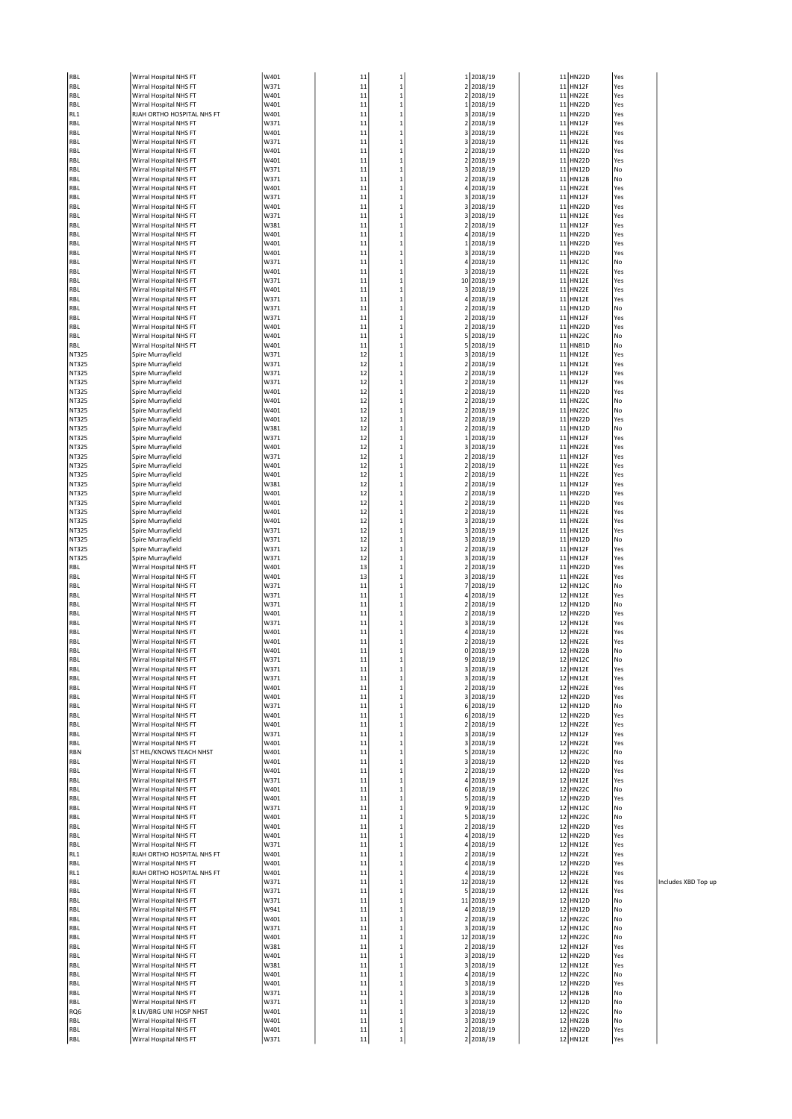| RBL            | Wirral Hospital NHS FT                           | W401         | 11       | $\mathbf{1}$                 |                | 1 2018/19              |          | 11 HN22D                     | Yes        |
|----------------|--------------------------------------------------|--------------|----------|------------------------------|----------------|------------------------|----------|------------------------------|------------|
| RBL            | Wirral Hospital NHS FT                           | W371<br>W401 | 11       | $\mathbf{1}$                 |                | 2 2018/19              | 11       | HN12F                        | Yes        |
| RBL<br>RBL     | Wirral Hospital NHS FT<br>Wirral Hospital NHS FT | W401         | 11<br>11 | $\mathbf{1}$<br>$\mathbf{1}$ | $\mathbf 2$    | 2018/19<br>1 2018/19   | 11<br>11 | HN22E<br><b>HN22D</b>        | Yes<br>Yes |
| RL1            | RJAH ORTHO HOSPITAL NHS FT                       | W401         | 11       | $\mathbf{1}$                 |                | 3 2018/19              |          | 11 HN22D                     | Yes        |
| RBL            | Wirral Hospital NHS FT                           | W371         | 11       | $\mathbf{1}$                 |                | 2 2018/19              | 11       | HN12F                        | Yes        |
| RBL            | Wirral Hospital NHS FT                           | W401         | 11       | $\mathbf{1}$                 |                | 3 2018/19              | 11       | <b>HN22E</b>                 | Yes        |
| RBL            | Wirral Hospital NHS FT                           | W371         | 11       | $\mathbf{1}$                 |                | 3 2018/19              | 11       | <b>HN12E</b>                 | Yes        |
| RBL            | Wirral Hospital NHS FT                           | W401         | 11       | $\mathbf{1}$                 | 2              | 2018/19                | 11       | <b>HN22D</b>                 | Yes        |
| RBL            | Wirral Hospital NHS FT                           | W401         | 11       | $\mathbf{1}$                 | 2              | 2018/19                | 11       | <b>HN22D</b>                 | Yes        |
| RBL            | Wirral Hospital NHS FT                           | W371         | 11       | $\mathbf{1}$                 |                | 3 2018/19              | 11       | <b>HN12D</b>                 | No         |
| RBL            | Wirral Hospital NHS FT                           | W371         | 11       | $\mathbf{1}$                 | 2              | 2018/19                | 11       | <b>HN12B</b>                 | No         |
| RBL            | Wirral Hospital NHS FT                           | W401         | 11       | $\mathbf{1}$                 |                | 4 2018/19              | 11       | <b>HN22E</b>                 | Yes        |
| RBL            | Wirral Hospital NHS FT                           | W371         | 11       | $\mathbf{1}$                 |                | 3 2018/19              | 11       | HN12F                        | Yes        |
| RBL            | Wirral Hospital NHS FT                           | W401         | 11       | $\mathbf{1}$                 | 3              | 2018/19                | 11       | <b>HN22D</b>                 | Yes        |
| RBL            | Wirral Hospital NHS FT                           | W371         | 11       | $\mathbf{1}$                 |                | 3 2018/19              | 11       | <b>HN12E</b>                 | Yes        |
| RBL            | Wirral Hospital NHS FT                           | W381         | 11       | $\mathbf{1}$                 |                | 2 2018/19              | 11       | <b>HN12F</b>                 | Yes        |
| RBL            | Wirral Hospital NHS FT                           | W401         | 11       | $\mathbf{1}$                 |                | 4 2018/19              |          | 11 HN22D                     | Yes        |
| RBL            | Wirral Hospital NHS FT                           | W401         | 11       | $\mathbf{1}$                 |                | 1 2018/19              | 11       | <b>HN22D</b>                 | Yes        |
| RBL            | Wirral Hospital NHS FT                           | W401         | 11       | $\mathbf{1}$                 |                | 3 2018/19              | 11       | <b>HN22D</b>                 | Yes        |
| RBL            | Wirral Hospital NHS FT                           | W371         | 11       | $\mathbf{1}$                 | 4              | 2018/19                | 11       | <b>HN12C</b>                 | No         |
| RBL            | Wirral Hospital NHS FT                           | W401         | 11       | $\mathbf{1}$                 | 3              | 2018/19                | 11       | <b>HN22E</b>                 | Yes        |
| RBL            | Wirral Hospital NHS FT                           | W371         | 11       | $\mathbf{1}$                 |                | 10 2018/19             | 11       | <b>HN12E</b>                 | Yes        |
| RBL            | Wirral Hospital NHS FT                           | W401         | 11       | $\mathbf{1}$                 |                | 3 2018/19              |          | 11 HN22E                     | Yes        |
| RBL            | Wirral Hospital NHS FT                           | W371         | 11       | $\mathbf{1}$                 |                | 4 2018/19              | 11       | <b>HN12E</b>                 | Yes        |
| RBL            | Wirral Hospital NHS FT                           | W371         | 11       | $\mathbf{1}$                 |                | 2 2018/19              | 11       | HN12D                        | No         |
| RBL            | Wirral Hospital NHS FT                           | W371         | 11       | $\mathbf{1}$                 |                | 2 2018/19              | 11       | HN12F                        | Yes        |
| RBL            | Wirral Hospital NHS FT                           | W401         | 11       | $\mathbf{1}$                 | 2              | 2018/19                | 11       | <b>HN22D</b>                 | Yes        |
| RBL            | Wirral Hospital NHS FT                           | W401         | 11       | $\mathbf{1}$                 | 5              | 2018/19                | 11       | <b>HN22C</b>                 | No         |
| RBL            | Wirral Hospital NHS FT                           | W401         | 11       | $\mathbf{1}$                 |                | 5 2018/19              |          | 11 HN81D                     | No         |
| NT325          | Spire Murrayfield                                | W371<br>W371 | 12<br>12 | $\mathbf{1}$<br>$\mathbf{1}$ |                | 3 2018/19<br>2 2018/19 | 11<br>11 | <b>HN12E</b><br><b>HN12E</b> | Yes        |
| NT325          | Spire Murrayfield                                | W371         |          |                              |                |                        |          |                              | Yes        |
| NT325<br>NT325 | Spire Murrayfield<br>Spire Murrayfield           | W371         | 12<br>12 | $\mathbf{1}$<br>$\mathbf{1}$ | 2              | 2 2018/19<br>2018/19   | 11<br>11 | HN12F<br><b>HN12F</b>        | Yes<br>Yes |
| NT325          | Spire Murrayfield                                | W401         | 12       | $\mathbf{1}$                 |                | 2 2018/19              | 11       | <b>HN22D</b>                 | Yes        |
| NT325          | Spire Murrayfield                                | W401         | 12       | $\mathbf{1}$                 |                | 2 2018/19              | 11       | HN22C                        | No         |
| NT325          | Spire Murrayfield                                | W401         | 12       | $\mathbf{1}$                 | 2              | 2018/19                | 11       | HN22C                        | No         |
| NT325          | Spire Murrayfield                                | W401         | 12       | $\mathbf{1}$                 |                | 2 2018/19              | 11       | HN22D                        | Yes        |
| NT325          | Spire Murrayfield                                | W381         | 12       | $\mathbf{1}$                 |                | 2 2018/19              | 11       | <b>HN12D</b>                 | No         |
| NT325          | Spire Murrayfield                                | W371         | 12       | $\mathbf{1}$                 | 1              | 2018/19                | 11       | <b>HN12F</b>                 | Yes        |
| NT325          | Spire Murrayfield                                | W401         | 12       | $\mathbf{1}$                 |                | 3 2018/19              | 11       | HN22E                        | Yes        |
| NT325          | Spire Murrayfield                                | W371         | 12       | $\mathbf{1}$                 |                | 2 2018/19              | 11       | HN12F                        | Yes        |
| NT325          | Spire Murrayfield                                | W401         | 12       | $\mathbf{1}$                 | 2              | 2018/19                | 11       | HN22E                        | Yes        |
| NT325          | Spire Murrayfield                                | W401         | 12       | $\mathbf{1}$                 |                | 2 2018/19              | 11       | <b>HN22E</b>                 | Yes        |
| NT325          | Spire Murrayfield                                | W381         | 12       | $\mathbf{1}$                 |                | 2 2018/19              | 11       | <b>HN12F</b>                 | Yes        |
| NT325          | Spire Murrayfield                                | W401         | 12       | $\mathbf{1}$                 | $\overline{2}$ | 2018/19                | 11       | <b>HN22D</b>                 | Yes        |
| NT325          | Spire Murrayfield                                | W401         | 12       | $\mathbf{1}$                 | 2              | 2018/19                | 11       | <b>HN22D</b>                 | Yes        |
| NT325          | Spire Murrayfield                                | W401         | 12       | $\mathbf{1}$                 |                | 2 2018/19              | 11       | <b>HN22E</b>                 | Yes        |
| NT325          | Spire Murrayfield                                | W401         | 12       | $\mathbf{1}$                 |                | 3 2018/19              |          | 11 HN22E                     | Yes        |
| NT325          | Spire Murrayfield                                | W371         | 12       | $\mathbf{1}$                 |                | 3 2018/19              | 11       | <b>HN12E</b>                 | Yes        |
| NT325          | Spire Murrayfield                                | W371         | 12       | $\mathbf{1}$                 |                | 3 2018/19              | 11       | <b>HN12D</b>                 | No         |
| NT325          | Spire Murrayfield                                | W371         | 12       | $\mathbf{1}$                 | $\overline{2}$ | 2018/19                | 11       | <b>HN12F</b>                 | Yes        |
| NT325          | Spire Murrayfield                                | W371         | 12       | $\mathbf{1}$                 |                | 3 2018/19              | 11       | HN12F                        | Yes        |
| RBL            | Wirral Hospital NHS FT                           | W401         | 13       | $\mathbf{1}$                 |                | 2 2018/19              | 11       | <b>HN22D</b>                 | Yes        |
| RBL            | Wirral Hospital NHS FT                           | W401         | 13       | $\mathbf{1}$                 |                | 3 2018/19              |          | 11 HN22E                     | Yes        |
| RBL            | Wirral Hospital NHS FT                           | W371         | 11       | $\mathbf{1}$                 | 7              | 2018/19                | 12       | HN12C                        | No         |
| RBL            | Wirral Hospital NHS FT                           | W371         | 11       | $\mathbf{1}$                 |                | 4 2018/19              | 12       | <b>HN12E</b>                 | Yes        |
| RBL            | Wirral Hospital NHS FT                           | W371         | 11       | $\mathbf{1}$                 |                | 2 2018/19              | 12       | <b>HN12D</b>                 | No         |
| RBL            | Wirral Hospital NHS FT                           | W401         | 11       | $\mathbf{1}$                 | 2              | 2018/19                | 12       | <b>HN22D</b>                 | Yes        |
| RBL            | Wirral Hospital NHS FT                           | W371         | 11       | $\mathbf{1}$                 |                | 3 2018/19              | 12       | <b>HN12E</b>                 | Yes        |
| RBL            | Wirral Hospital NHS FT                           | W401         | 11       | $\mathbf{1}$                 |                | 4 2018/19              |          | 12 HN22E                     | Yes        |
| RBL            | Wirral Hospital NHS FT                           | W401         | 11       | $\mathbf{1}$                 | 2              | 2018/19                | 12       | HN22E                        | Yes        |
| RBL            | Wirral Hospital NHS FT                           | W401         | 11       | $\mathbf{1}$                 |                | 0 2018/19              | 12       | <b>HN22B</b>                 | No         |
| RBL            | Wirral Hospital NHS FT                           | W371         | 11       | $\mathbf{1}$                 |                | 9 2018/19              | 12       | <b>HN12C</b>                 | No         |
| RBL            | Wirral Hospital NHS FT                           | W371         | 11       |                              |                | 2018/19                | 12       | <b>HN12E</b>                 | Yes        |
| RBL            | Wirral Hospital NHS FT                           | W371         | 11       | $\mathbf{1}$                 |                | 3 2018/19              |          | 12 HN12E                     | Yes        |
| RBL            | Wirral Hospital NHS FT                           | W401         | 11       | $\mathbf{1}$                 |                | 2 2018/19              |          | 12 HN22E                     | Yes        |
| RBL            | Wirral Hospital NHS FT                           | W401         | 11       | $\mathbf{1}$                 |                | 3 2018/19              |          | 12 HN22D<br>12 HN12D         | Yes        |
| RBL            | Wirral Hospital NHS FT                           | W371         | 11       | $\mathbf{1}$                 |                | 6 2018/19              |          |                              | No         |
| RBL            | Wirral Hospital NHS FT                           | W401<br>W401 | 11<br>11 | $\mathbf{1}$<br>$\mathbf{1}$ |                | 6 2018/19<br>2 2018/19 | 12       | <b>HN22D</b><br>12 HN22E     | Yes<br>Yes |
| RBL            | Wirral Hospital NHS FT<br>Wirral Hospital NHS FT | W371         | 11       | $\mathbf{1}$                 |                | 3 2018/19              |          | 12 HN12F                     | Yes        |
| RBL            | Wirral Hospital NHS FT                           | W401         | 11       | $\mathbf{1}$                 |                | 3 2018/19              |          | 12 HN22E                     | Yes        |
| RBL<br>RBN     | ST HEL/KNOWS TEACH NHST                          | W401         | 11       | $\mathbf{1}$                 |                | 5 2018/19              |          | 12 HN22C                     | No         |
| RBL            | Wirral Hospital NHS FT                           | W401         | 11       | $\mathbf{1}$                 |                | 3 2018/19              | 12       | <b>HN22D</b>                 | Yes        |
| RBL            | Wirral Hospital NHS FT                           | W401         | 11       | $\mathbf{1}$                 |                | 2 2018/19              | 12       | HN22D                        | Yes        |
| RBL            | Wirral Hospital NHS FT                           | W371         | 11       | $\mathbf{1}$                 |                | 4 2018/19              | 12       | <b>HN12E</b>                 | Yes        |
| RBL            | Wirral Hospital NHS FT                           | W401         | 11       | $\mathbf{1}$                 |                | 6 2018/19              | 12       | HN22C                        | No         |
| RBL            | Wirral Hospital NHS FT                           | W401         | 11       | $\mathbf{1}$                 |                | 5 2018/19              |          | 12 HN22D                     | Yes        |
| RBL            | Wirral Hospital NHS FT                           | W371         | 11       | $\mathbf{1}$                 |                | 9 2018/19              |          | 12 HN12C                     | No         |
| RBL            | Wirral Hospital NHS FT                           | W401         | 11       | $\mathbf{1}$                 |                | 5 2018/19              | 12       | HN22C                        | No         |
| RBL            | Wirral Hospital NHS FT                           | W401         | 11       | $\mathbf{1}$                 |                | 2 2018/19              | 12       | <b>HN22D</b>                 | Yes        |
| RBL            | Wirral Hospital NHS FT                           | W401         | 11       | $\mathbf{1}$                 |                | 4 2018/19              |          | 12 HN22D                     | Yes        |
| RBL            | Wirral Hospital NHS FT                           | W371         | 11       | $\mathbf{1}$                 |                | 4 2018/19              | 12       | <b>HN12E</b>                 | Yes        |
| RL1            | RJAH ORTHO HOSPITAL NHS FT                       | W401         | 11       | $\mathbf{1}$                 |                | 2 2018/19              |          | 12 HN22E                     | Yes        |
| RBL            | Wirral Hospital NHS FT                           | W401         | 11       | $\mathbf{1}$                 |                | 4 2018/19              |          | 12 HN22D                     | Yes        |
| RL1            | RJAH ORTHO HOSPITAL NHS FT                       | W401         | 11       | $\mathbf{1}$                 |                | 4 2018/19              | 12       | HN22E                        | Yes        |
| RBL            | Wirral Hospital NHS FT                           | W371         | 11       | $\mathbf{1}$                 |                | 12 2018/19             | 12       | <b>HN12E</b>                 | Yes        |
| RBL            | Wirral Hospital NHS FT                           | W371         | 11       | $\mathbf{1}$                 |                | 5 2018/19              |          | 12 HN12E                     | Yes        |
| RBL            | Wirral Hospital NHS FT                           | W371         | 11       | $\mathbf{1}$                 |                | 11 2018/19             |          | 12 HN12D                     | No         |
| RBL            | Wirral Hospital NHS FT                           | W941         | 11       | $\mathbf{1}$                 |                | 4 2018/19              |          | 12 HN12D                     | No         |
| RBL            | Wirral Hospital NHS FT                           | W401         | 11       | $\mathbf{1}$                 |                | 2 2018/19              |          | 12 HN22C                     | No         |
| RBL            | Wirral Hospital NHS FT                           | W371         | 11       | $\mathbf{1}$                 |                | 3 2018/19              |          | 12 HN12C                     | No         |
| RBL            | Wirral Hospital NHS FT                           | W401         | 11       | $\mathbf{1}$                 |                | 12 2018/19             |          | 12 HN22C                     | No         |
| RBL            | Wirral Hospital NHS FT                           | W381         | 11       | $\mathbf{1}$                 |                | 2 2018/19              | 12       | HN12F                        | Yes        |
| RBL            | Wirral Hospital NHS FT                           | W401         | 11       | $\mathbf{1}$                 |                | 3 2018/19              | 12       | HN22D                        | Yes        |
| RBL            | Wirral Hospital NHS FT                           | W381         | 11       | $\mathbf{1}$                 |                | 3 2018/19              |          | 12 HN12E                     | Yes        |
| RBL            | Wirral Hospital NHS FT                           | W401         | 11       | $\mathbf{1}$                 |                | 4 2018/19              |          | 12 HN22C                     | No         |
| RBL            | Wirral Hospital NHS FT                           | W401         | 11       | $\mathbf{1}$                 |                | 3 2018/19              |          | 12 HN22D                     | Yes        |
| RBL            | Wirral Hospital NHS FT                           | W371         | 11       | $\mathbf{1}$                 |                | 3 2018/19              | 12       | <b>HN12B</b>                 | No         |
| RBL            | Wirral Hospital NHS FT                           | W371         | 11       | $\mathbf{1}$                 |                | 3 2018/19              | 12       | <b>HN12D</b>                 | No         |
| RQ6            | R LIV/BRG UNI HOSP NHST                          | W401         | 11       | $\mathbf{1}$                 |                | 3 2018/19              |          | 12 HN22C                     | No         |
| RBL            | Wirral Hospital NHS FT                           | W401         | 11       | $\mathbf{1}$                 |                | 3 2018/19              | 12       | <b>HN22B</b>                 | No         |
| RBL            | Wirral Hospital NHS FT                           | W401         | 11       | $\mathbf{1}$                 |                | 2 2018/19              |          | 12 HN22D                     | Yes        |
| RBL            | Wirral Hospital NHS FT                           | W371         | 11       | $\mathbf{1}$                 |                | 2 2018/19              |          | 12 HN12E                     | Yes        |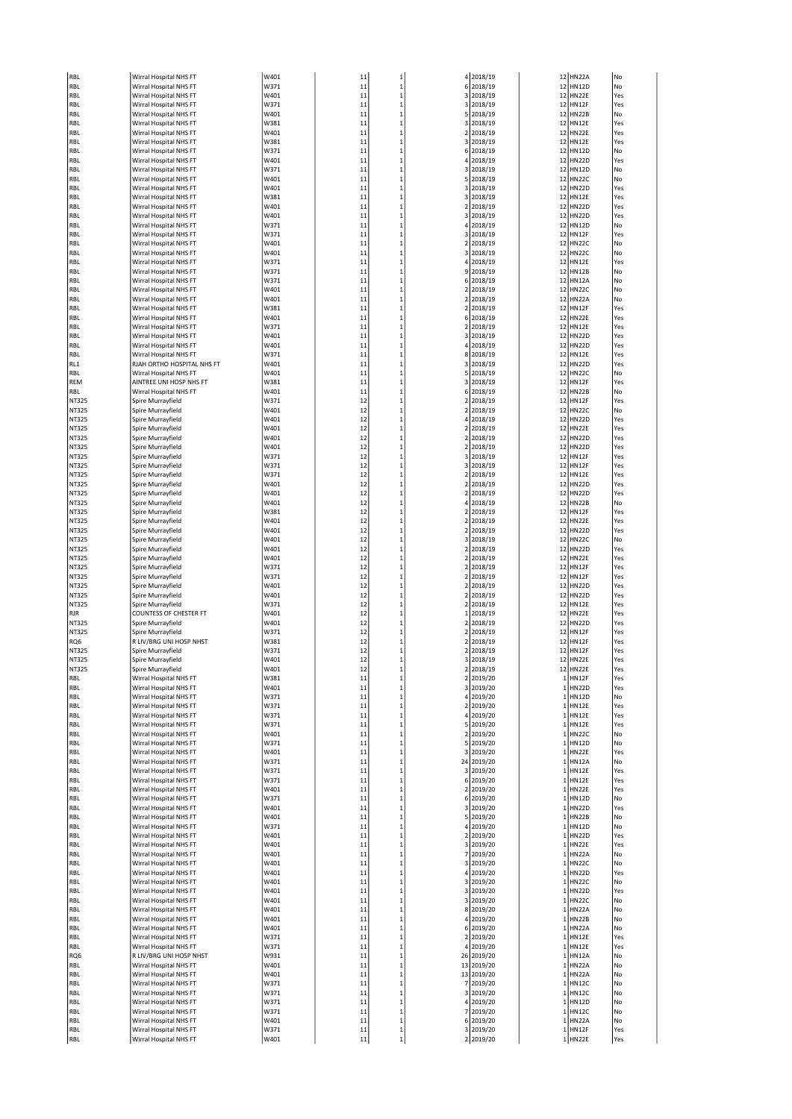| RBL            | Wirral Hospital NHS FT                            | W401         | 11       | $\mathbf{1}$                 |                | 4 2018/19               |              | 12 HN22A                 | No         |
|----------------|---------------------------------------------------|--------------|----------|------------------------------|----------------|-------------------------|--------------|--------------------------|------------|
| RBL            | Wirral Hospital NHS FT                            | W371         | 11       | $\mathbf{1}$                 |                | 6 2018/19               |              | 12 HN12D                 | No         |
| RBL            | Wirral Hospital NHS FT                            | W401         | 11       | $\mathbf{1}$                 |                | 3 2018/19               |              | 12 HN22E                 | Yes        |
| RBL            | Wirral Hospital NHS FT                            | W371         | 11       | $\mathbf{1}$                 |                | 3 2018/19               | 12           | HN12F                    | Yes        |
| RBL<br>RBL     | Wirral Hospital NHS FT<br>Wirral Hospital NHS FT  | W401<br>W381 | 11<br>11 | $\mathbf{1}$<br>$\mathbf{1}$ |                | 5 2018/19<br>3 2018/19  | 12           | HN22B<br>12 HN12E        | No<br>Yes  |
| RBL            | Wirral Hospital NHS FT                            | W401         | 11       | $\mathbf{1}$                 |                | 2 2018/19               | 12           | HN22E                    | Yes        |
| RBL            | Wirral Hospital NHS FT                            | W381         | 11       | $\mathbf{1}$                 |                | 3 2018/19               | 12           | <b>HN12E</b>             | Yes        |
| RBL            | Wirral Hospital NHS FT                            | W371         | 11       | $\mathbf{1}$                 |                | 6 2018/19               | 12           | <b>HN12D</b>             | No         |
| RBL            | Wirral Hospital NHS FT                            | W401         | 11       | $\mathbf{1}$                 | 4              | 2018/19                 | 12           | <b>HN22D</b>             | Yes        |
| RBL            | Wirral Hospital NHS FT                            | W371         | 11       | $\mathbf{1}$                 |                | 3 2018/19               | 12           | <b>HN12D</b>             | No         |
| RBL            | Wirral Hospital NHS FT                            | W401         | 11       | $\mathbf{1}$                 |                | 5 2018/19               |              | 12 HN22C                 | No         |
| RBL            | Wirral Hospital NHS FT                            | W401         | 11       | $\mathbf{1}$                 |                | 3 2018/19               | 12           | <b>HN22D</b>             | Yes        |
| RBL            | Wirral Hospital NHS FT                            | W381<br>W401 | 11       | $\mathbf{1}$                 |                | 3 2018/19               | 12           | <b>HN12E</b><br>HN22D    | Yes        |
| RBL<br>RBL     | Wirral Hospital NHS FT<br>Wirral Hospital NHS FT  | W401         | 11<br>11 | $\mathbf{1}$<br>$\mathbf{1}$ | 3              | 2 2018/19<br>2018/19    | 12<br>12     | <b>HN22D</b>             | Yes<br>Yes |
| RBL            | Wirral Hospital NHS FT                            | W371         | 11       | $\mathbf{1}$                 |                | 4 2018/19               | 12           | <b>HN12D</b>             | No         |
| RBL            | Wirral Hospital NHS FT                            | W371         | 11       | $\mathbf{1}$                 |                | 3 2018/19               |              | 12 HN12F                 | Yes        |
| RBL            | Wirral Hospital NHS FT                            | W401         | 11       | $\mathbf{1}$                 | 2              | 2018/19                 |              | 12 HN22C                 | No         |
| RBL            | Wirral Hospital NHS FT                            | W401         | 11       | $\mathbf{1}$                 |                | 3 2018/19               | 12           | HN22C                    | No         |
| RBL            | Wirral Hospital NHS FT                            | W371         | 11       | $\mathbf{1}$                 |                | 4 2018/19               | 12           | <b>HN12E</b>             | Yes        |
| RBL            | Wirral Hospital NHS FT                            | W371         | 11       | $\mathbf{1}$                 | 9              | 2018/19                 | 12           | <b>HN12B</b>             | No         |
| RBL            | Wirral Hospital NHS FT<br>Wirral Hospital NHS FT  | W371<br>W401 | 11<br>11 | $\mathbf{1}$<br>$\mathbf{1}$ |                | 6 2018/19<br>2 2018/19  | 12<br>12     | HN12A<br>HN22C           | No<br>No   |
| RBL<br>RBL     | Wirral Hospital NHS FT                            | W401         | 11       | $\mathbf{1}$                 |                | 2 2018/19               |              | 12 HN22A                 | No         |
| RBL            | Wirral Hospital NHS FT                            | W381         | 11       | $\mathbf{1}$                 | $\overline{2}$ | 2018/19                 | 12           | HN12F                    | Yes        |
| RBL            | Wirral Hospital NHS FT                            | W401         | 11       | $\mathbf{1}$                 |                | 6 2018/19               | 12           | <b>HN22E</b>             | Yes        |
| RBL            | Wirral Hospital NHS FT                            | W371         | 11       | $\mathbf{1}$                 |                | 2 2018/19               | 12           | <b>HN12E</b>             | Yes        |
| RBL            | Wirral Hospital NHS FT                            | W401         | 11       | $\mathbf{1}$                 | 3              | 2018/19                 | 12           | <b>HN22D</b>             | Yes        |
| RBL            | Wirral Hospital NHS FT                            | W401         | 11       | $\mathbf{1}$                 |                | 4 2018/19               | 12           | <b>HN22D</b>             | Yes        |
| RBL            | Wirral Hospital NHS FT                            | W371         | 11       | $\mathbf{1}$                 |                | 8 2018/19               |              | 12 HN12E                 | Yes        |
| RL1            | RJAH ORTHO HOSPITAL NHS FT                        | W401         | 11       | $\mathbf{1}$                 |                | 3 2018/19               | 12           | <b>HN22D</b>             | Yes        |
| RBL            | Wirral Hospital NHS FT                            | W401         | 11       | $\mathbf{1}$                 |                | 5 2018/19               | 12           | <b>HN22C</b>             | No         |
| REM<br>RBL     | AINTREE UNI HOSP NHS FT<br>Wirral Hospital NHS FT | W381<br>W401 | 11<br>11 | $\mathbf{1}$<br>$\mathbf{1}$ |                | 3 2018/19<br>6 2018/19  | 12<br>12     | HN12F<br>HN22B           | Yes<br>No  |
| NT325          | Spire Murrayfield                                 | W371         | 12       | $\mathbf{1}$                 | $\overline{2}$ | 2018/19                 | 12           | HN12F                    | Yes        |
| NT325          | Spire Murrayfield                                 | W401         | 12       | $\mathbf{1}$                 |                | 2 2018/19               |              | 12 HN22C                 | No         |
| NT325          | Spire Murrayfield                                 | W401         | 12       | $\mathbf{1}$                 |                | 4 2018/19               | 12           | HN22D                    | Yes        |
| NT325          | Spire Murrayfield                                 | W401         | 12       | $\mathbf{1}$                 |                | 2 2018/19               | 12           | <b>HN22E</b>             | Yes        |
| NT325          | Spire Murrayfield                                 | W401         | 12       | $\mathbf{1}$                 |                | 2 2018/19               | 12           | HN22D                    | Yes        |
| NT325          | Spire Murrayfield                                 | W401         | 12       | $\mathbf{1}$                 | 2              | 2018/19                 | 12           | <b>HN22D</b>             | Yes        |
| NT325          | Spire Murrayfield                                 | W371         | 12       | $\mathbf{1}$                 |                | 3 2018/19               |              | 12 HN12F                 | Yes        |
| NT325          | Spire Murrayfield                                 | W371         | 12       | $\mathbf{1}$                 |                | 3 2018/19               |              | 12 HN12F                 | Yes        |
| NT325          | Spire Murrayfield                                 | W371         | 12       | $\mathbf{1}$                 | 2              | 2018/19                 |              | 12 HN12E                 | Yes        |
| NT325          | Spire Murrayfield                                 | W401<br>W401 | 12<br>12 | $\mathbf{1}$<br>$\mathbf{1}$ |                | 2 2018/19               | 12<br>12     | HN22D<br><b>HN22D</b>    | Yes<br>Yes |
| NT325<br>NT325 | Spire Murrayfield<br>Spire Murrayfield            | W401         | 12       | $\mathbf{1}$                 | 4              | 2 2018/19<br>2018/19    | 12           | <b>HN22B</b>             | No         |
| NT325          | Spire Murrayfield                                 | W381         | 12       | $\mathbf{1}$                 | 2              | 2018/19                 | 12           | HN12F                    | Yes        |
| NT325          | Spire Murrayfield                                 | W401         | 12       | $\mathbf{1}$                 |                | 2 2018/19               |              | 12 HN22E                 | Yes        |
| NT325          | Spire Murrayfield                                 | W401         | 12       | $\mathbf{1}$                 | 2              | 2018/19                 |              | 12 HN22D                 | Yes        |
| NT325          | Spire Murrayfield                                 | W401         | 12       | $\mathbf{1}$                 |                | 3 2018/19               | 12           | HN22C                    | No         |
| NT325          | Spire Murrayfield                                 | W401         | 12       | $\mathbf{1}$                 |                | 2 2018/19               | 12           | <b>HN22D</b>             | Yes        |
| NT325          | Spire Murrayfield                                 | W401         | 12       | $\mathbf{1}$                 | $\overline{2}$ | 2018/19                 | 12           | HN22E                    | Yes        |
| NT325          | Spire Murrayfield                                 | W371         | 12       | $\mathbf{1}$                 | 2              | 2018/19                 | 12           | <b>HN12F</b>             | Yes        |
| NT325          | Spire Murrayfield                                 | W371         | 12       | $\mathbf{1}$                 |                | 2 2018/19               | 12           | HN12F                    | Yes        |
| NT325          | Spire Murrayfield                                 | W401<br>W401 | 12<br>12 | $\mathbf{1}$<br>$\mathbf{1}$ | $\overline{2}$ | 2 2018/19<br>2018/19    | 12           | 12 HN22D<br><b>HN22D</b> | Yes<br>Yes |
| NT325<br>NT325 | Spire Murrayfield<br>Spire Murrayfield            | W371         | 12       | $\mathbf{1}$                 |                | 2 2018/19               | 12           | <b>HN12E</b>             | Yes        |
| RJR            | <b>COUNTESS OF CHESTER FT</b>                     | W401         | 12       | $\mathbf{1}$                 | 1              | 2018/19                 | 12           | <b>HN22E</b>             | Yes        |
| NT325          | Spire Murrayfield                                 | W401         | 12       | $\mathbf{1}$                 | 2              | 2018/19                 | 12           | <b>HN22D</b>             | Yes        |
| NT325          | Spire Murrayfield                                 | W371         | 12       | $\mathbf{1}$                 |                | 2 2018/19               | 12           | HN12F                    | Yes        |
| RQ6            | R LIV/BRG UNI HOSP NHST                           | W381         | 12       | $\mathbf{1}$                 |                | 2 2018/19               |              | 12 HN12F                 | Yes        |
| NT325          | Spire Murrayfield                                 | W371         | 12       | $\mathbf{1}$                 |                | 2 2018/19               |              | 12 HN12F                 | Yes        |
| NT325          | Spire Murrayfield                                 | W401         | 12       | $\mathbf{1}$                 |                | 3 2018/19               |              | 12 HN22E                 | Yes        |
| NT325          | Spire Murrayfield                                 | W401         | 12       | $\mathbf{1}$                 | 2              | 2018/19                 |              | 12 HN22E                 | Yes        |
| RBL<br>RBL     | Wirral Hospital NHS FT<br>Wirral Hospital NHS FT  | W381<br>W401 | 11<br>11 | $\mathbf{1}$<br>$\mathbf{1}$ | 2              | 2019/20<br>3 2019/20    | $1\,$        | HN12F<br>1 HN22D         | Yes<br>Yes |
| RBL            | Wirral Hospital NHS FT                            | W371         | 11       | $\mathbf{1}$                 |                | 4 2019/20               |              | 1 HN12D                  | No         |
| RBL            | Wirral Hospital NHS FT                            | W371         | 11       | $\mathbf{1}$                 |                | 2 2019/20               |              | 1 HN12E                  | Yes        |
| RBL            | Wirral Hospital NHS FT                            | W371         | 11       | $\mathbf{1}$                 |                | 4 2019/20               |              | 1 HN12E                  | Yes        |
| RBL            | Wirral Hospital NHS FT                            | W371         | 11       | $\mathbf{1}$                 |                | 5 2019/20               | 1            | HN12E                    | Yes        |
| RBL            | Wirral Hospital NHS FT                            | W401         | 11       | $\mathbf{1}$                 |                | 2 2019/20               | 1            | HN22C                    | No         |
| RBL            | Wirral Hospital NHS FT                            | W371         | 11       | $\mathbf{1}$                 |                | 5 2019/20               |              | 1 HN12D                  | No         |
| RBL            | Wirral Hospital NHS FT<br>Wirral Hospital NHS FT  | W401<br>W371 | 11       | $\mathbf{1}$<br>$\mathbf{1}$ |                | 3 2019/20<br>24 2019/20 | 1            | HN22E<br>1 HN12A         | Yes<br>No  |
| RBL<br>RBL     | Wirral Hospital NHS FT                            | W371         | 11<br>11 | $\mathbf{1}$                 |                | 3 2019/20               | 1            | <b>HN12E</b>             | Yes        |
| RBL            | Wirral Hospital NHS FT                            | W371         | 11       | $\mathbf{1}$                 |                | 6 2019/20               | $\mathbf{1}$ | <b>HN12E</b>             | Yes        |
| RBL            | Wirral Hospital NHS FT                            | W401         | 11       | $\mathbf{1}$                 |                | 2 2019/20               | 1            | HN22E                    | Yes        |
| RBL            | Wirral Hospital NHS FT                            | W371         | 11       | $\mathbf 1$                  |                | 6 2019/20               | 1            | <b>HN12D</b>             | No         |
| RBL            | Wirral Hospital NHS FT                            | W401         | 11       | $\mathbf{1}$                 |                | 3 2019/20               | 1            | <b>HN22D</b>             | Yes        |
| RBL            | Wirral Hospital NHS FT                            | W401         | 11       | $\mathbf{1}$                 |                | 5 2019/20               |              | 1 HN22B                  | No         |
| RBL            | Wirral Hospital NHS FT                            | W371         | 11       | $\mathbf{1}$                 |                | 4 2019/20               | 1            | HN12D                    | No         |
| RBL            | Wirral Hospital NHS FT                            | W401<br>W401 | 11       | $\mathbf{1}$<br>$\mathbf{1}$ |                | 2 2019/20<br>3 2019/20  | 1<br>1       | <b>HN22D</b><br>HN22E    | Yes<br>Yes |
| RBL<br>RBL     | Wirral Hospital NHS FT<br>Wirral Hospital NHS FT  | W401         | 11<br>11 | $\mathbf{1}$                 |                | 7 2019/20               | $1\,$        | HN22A                    | No         |
| RBL            | Wirral Hospital NHS FT                            | W401         | 11       | $\mathbf{1}$                 |                | 3 2019/20               |              | 1 HN22C                  | No         |
| RBL            | Wirral Hospital NHS FT                            | W401         | 11       | $\mathbf{1}$                 |                | 4 2019/20               |              | 1 HN22D                  | Yes        |
| RBL            | Wirral Hospital NHS FT                            | W401         | 11       | $\mathbf{1}$                 |                | 3 2019/20               | $1\,$        | HN22C                    | No         |
| RBL            | Wirral Hospital NHS FT                            | W401         | 11       | $\mathbf{1}$                 |                | 3 2019/20               | 1            | <b>HN22D</b>             | Yes        |
| RBL            | Wirral Hospital NHS FT                            | W401         | 11       | $\mathbf{1}$                 |                | 3 2019/20               | 1            | HN22C                    | No         |
| RBL            | Wirral Hospital NHS FT                            | W401         | 11       | $\mathbf{1}$                 |                | 8 2019/20               | $1\,$        | HN22A                    | No         |
| RBL            | Wirral Hospital NHS FT                            | W401         | 11       | $\mathbf{1}$                 |                | 4 2019/20               |              | 1 HN22B                  | No         |
| RBL<br>RBL     | Wirral Hospital NHS FT<br>Wirral Hospital NHS FT  | W401<br>W371 | 11<br>11 | $\mathbf{1}$<br>$\mathbf{1}$ |                | 6 2019/20<br>2 2019/20  |              | 1 HN22A<br>1 HN12E       | No<br>Yes  |
| RBL            | Wirral Hospital NHS FT                            | W371         | 11       | $\mathbf{1}$                 |                | 4 2019/20               |              | 1 HN12E                  | Yes        |
| RQ6            | R LIV/BRG UNI HOSP NHST                           | W931         | 11       | $\mathbf{1}$                 |                | 26 2019/20              | 1            | <b>HN12A</b>             | No         |
| RBL            | Wirral Hospital NHS FT                            | W401         | 11       | $\mathbf{1}$                 |                | 13 2019/20              | 1            | HN22A                    | No         |
| RBL            | Wirral Hospital NHS FT                            | W401         | 11       | $\mathbf{1}$                 |                | 13 2019/20              |              | 1 HN22A                  | No         |
| RBL            | Wirral Hospital NHS FT                            | W371         | 11       | $\mathbf{1}$                 |                | 7 2019/20               | 1            | <b>HN12C</b>             | No         |
| RBL            | Wirral Hospital NHS FT                            | W371         | 11       | $\mathbf{1}$                 |                | 3 2019/20               |              | 1 HN12C                  | No         |
| RBL            | Wirral Hospital NHS FT                            | W371         | 11       | $\mathbf{1}$                 |                | 4 2019/20               |              | 1 HN12D                  | No         |
| RBL            | Wirral Hospital NHS FT<br>Wirral Hospital NHS FT  | W371<br>W401 | 11<br>11 | $\mathbf{1}$<br>$\mathbf{1}$ |                | 7 2019/20               | $1\,$<br>1   | <b>HN12C</b><br>HN22A    | No<br>No   |
| RBL<br>RBL     | Wirral Hospital NHS FT                            | W371         | 11       | $\mathbf{1}$                 |                | 6 2019/20<br>3 2019/20  |              | 1 HN12F                  | Yes        |
| RBL            | Wirral Hospital NHS FT                            | W401         | 11       | $\mathbf{1}$                 |                | 2 2019/20               |              | 1 HN22E                  | Yes        |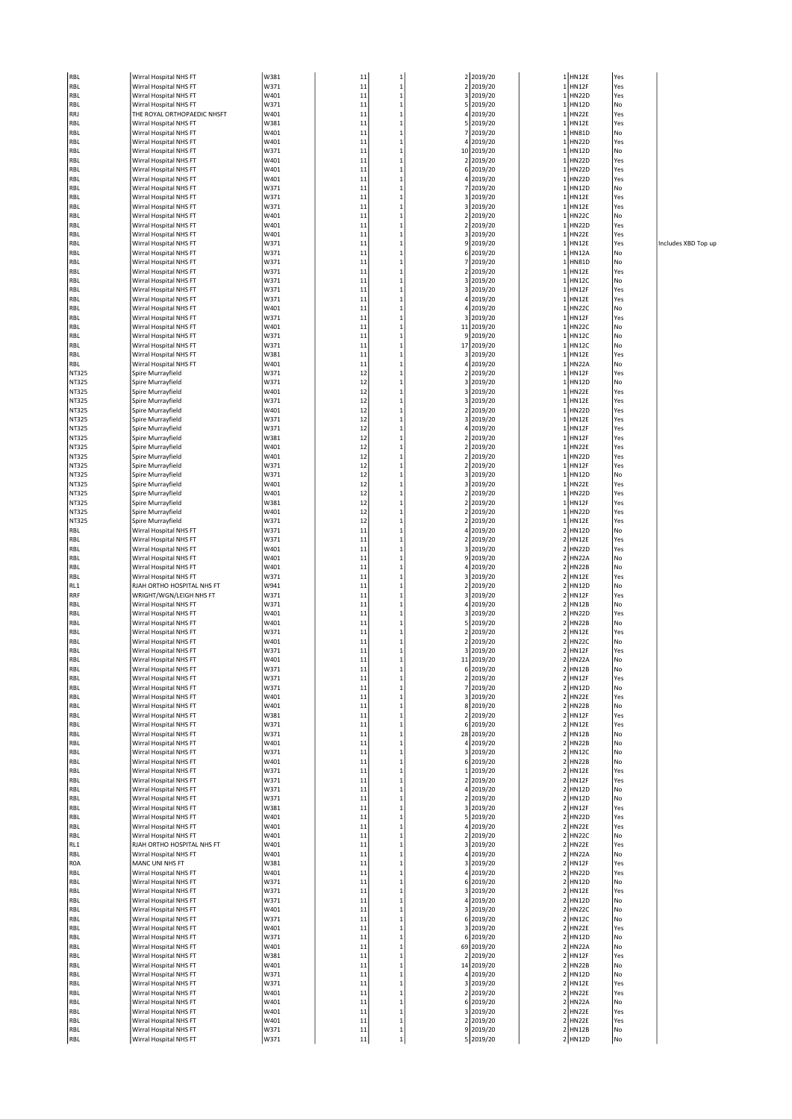| RBL        | Wirral Hospital NHS FT                           | W381         | 11       | $\mathbf{1}$                | 2 2019/20               |                              | $1$ HN12E<br>1 HN12F  | Yes       |
|------------|--------------------------------------------------|--------------|----------|-----------------------------|-------------------------|------------------------------|-----------------------|-----------|
| RBL        | Wirral Hospital NHS FT                           | W371<br>W401 | 11       | $\mathbf 1$                 | 2 2019/20               |                              |                       | Yes       |
| RBL<br>RBL | Wirral Hospital NHS FT<br>Wirral Hospital NHS FT | W371         | 11<br>11 | $\mathbf 1$<br>$\mathbf 1$  | 3 2019/20<br>5 2019/20  | 1<br>1                       | <b>HN22D</b><br>HN12D | Yes<br>No |
| RRJ        | THE ROYAL ORTHOPAEDIC NHSFT                      | W401         | 11       | $\mathbf 1$                 | 4 2019/20               |                              | 1 HN22E               | Yes       |
| RBL        | Wirral Hospital NHS FT                           | W381         | 11       | $\mathbf{1}$                | 5 2019/20               | 1                            | HN12E                 | Yes       |
| RBL        | Wirral Hospital NHS FT                           | W401         | 11       | $\mathbf 1$                 | 7 2019/20               |                              | 1 HN81D               | No        |
| RBL        | Wirral Hospital NHS FT                           | W401         | 11       | $\mathbf 1$                 | 4 2019/20               |                              | 1 HN22D               | Yes       |
| RBL        | Wirral Hospital NHS FT                           | W371         | 11       | $\mathbf 1$                 | 10 2019/20              | 1                            | <b>HN12D</b>          | No        |
| RBL        | Wirral Hospital NHS FT                           | W401         | 11       | $\mathbf 1$                 | 2 2019/20               | $\mathbf 1$                  | HN22D                 | Yes       |
| RBL        | Wirral Hospital NHS FT                           | W401         | 11       | $\mathbf{1}$                | 6 2019/20               |                              | 1 HN22D               | Yes       |
| RBL        | Wirral Hospital NHS FT                           | W401         | 11       | $\mathbf 1$                 | 4 2019/20               | 1                            | HN22D                 | Yes       |
| RBL        | Wirral Hospital NHS FT                           | W371         | 11       | $\mathbf 1$                 | 7 2019/20               |                              | 1 HN12D               | No        |
| RBL        | Wirral Hospital NHS FT                           | W371         | 11       | $\mathbf{1}$                | 3 2019/20               | $\mathbf 1$                  | <b>HN12E</b>          | Yes       |
| RBL        | Wirral Hospital NHS FT                           | W371         | 11       | $\mathbf 1$                 | 3 2019/20               | 1                            | <b>HN12E</b>          | Yes       |
| RBL        | Wirral Hospital NHS FT                           | W401         | 11       | $\mathbf{1}$                | 2 2019/20               | $\mathbf 1$                  | HN22C                 | No        |
| RBL        | Wirral Hospital NHS FT                           | W401         | 11       | $\mathbf{1}$                | 2 2019/20               |                              | 1 HN22D               | Yes       |
| RBL        | Wirral Hospital NHS FT                           | W401         | 11       | $\mathbf 1$                 | 3 2019/20               |                              | 1 HN22E               | Yes       |
| RBL        | Wirral Hospital NHS FT                           | W371         | 11       | $\mathbf 1$                 | 9 2019/20               | $\mathbf 1$                  | <b>HN12E</b>          | Yes       |
| RBL        | Wirral Hospital NHS FT                           | W371         | 11       | $\mathbf{1}$                | 6 2019/20               | $\mathbf 1$                  | <b>HN12A</b>          | No        |
| RBL        | Wirral Hospital NHS FT                           | W371         | 11       | $\mathbf{1}$                | 7 2019/20               | 1                            | <b>HN81D</b>          | No        |
| RBL        | Wirral Hospital NHS FT                           | W371         | 11       | $\mathbf 1$                 | 2 2019/20               | 1                            | <b>HN12E</b>          | Yes       |
| RBL        | Wirral Hospital NHS FT                           | W371         | 11       | $\overline{1}$              | 3 2019/20               |                              | 1 HN12C               | No        |
| RBL        | Wirral Hospital NHS FT                           | W371         | 11       | $\mathbf 1$                 | 3 2019/20               |                              | 1 HN12F               | Yes       |
| RBL        | Wirral Hospital NHS FT                           | W371         | 11       | $\mathbf{1}$                | 4 2019/20               | 1                            | <b>HN12E</b>          | Yes       |
| RBL        | Wirral Hospital NHS FT                           | W401<br>W371 | 11       | $\mathbf{1}$                | 4 2019/20               |                              | 1 HN22C               | No        |
| RBL        | Wirral Hospital NHS FT<br>Wirral Hospital NHS FT | W401         | 11<br>11 | $\mathbf 1$<br>$\mathbf{1}$ | 3 2019/20               | 1                            | 1 HN12F<br>HN22C      | Yes<br>No |
| RBL<br>RBL | Wirral Hospital NHS FT                           | W371         | 11       | $\mathbf{1}$                | 11 2019/20<br>9 2019/20 |                              | $1$ HN12C             | No        |
| RBL        | Wirral Hospital NHS FT                           | W371         | 11       | $\mathbf 1$                 | 17 2019/20              |                              | 1 HN12C               | No        |
| RBL        | Wirral Hospital NHS FT                           | W381         | 11       | $\mathbf{1}$                | 3 2019/20               | 1                            | HN12E                 | Yes       |
| RBL        | Wirral Hospital NHS FT                           | W401         | 11       | $\mathbf 1$                 | 4 2019/20               |                              | 1 HN22A               | No        |
| NT325      | Spire Murrayfield                                | W371         | 12       | $\mathbf 1$                 | 2 2019/20               |                              | 1 HN12F               | Yes       |
| NT325      | Spire Murrayfield                                | W371         | 12       | $\mathbf 1$                 | 3 2019/20               | 1                            | <b>HN12D</b>          | No        |
| NT325      | Spire Murrayfield                                | W401         | 12       | $\mathbf 1$                 | 3 2019/20               | $\mathbf 1$                  | HN22E                 | Yes       |
| NT325      | Spire Murrayfield                                | W371         | 12       | $\mathbf 1$                 | 3 2019/20               |                              | 1 HN12E               | Yes       |
| NT325      | Spire Murrayfield                                | W401         | 12       | $\mathbf 1$                 | 2 2019/20               | 1                            | HN22D                 | Yes       |
| NT325      | Spire Murrayfield                                | W371         | 12       | $\mathbf 1$                 | 3 2019/20               | $\mathbf 1$                  | HN12E                 | Yes       |
| NT325      | Spire Murrayfield                                | W371         | 12       | $\mathbf 1$                 | 4 2019/20               | $\mathbf 1$                  | HN12F                 | Yes       |
| NT325      | Spire Murrayfield                                | W381         | 12       | $\mathbf 1$                 | 2 2019/20               | 1                            | HN12F                 | Yes       |
| NT325      | Spire Murrayfield                                | W401         | 12       | $\mathbf 1$                 | 2 2019/20               | $\mathbf 1$                  | HN22E                 | Yes       |
| NT325      | Spire Murrayfield                                | w401         | 12       | $\mathbf 1$                 | 2 2019/20               |                              | 1 HN22D               | Yes       |
| NT325      | Spire Murrayfield                                | W371         | 12       | $\mathbf 1$                 | 2 2019/20               | 1                            | HN12F                 | Yes       |
| NT325      | Spire Murrayfield                                | W371         | 12       | $\mathbf 1$                 | 3 2019/20               |                              | 1 HN12D               | No        |
| NT325      | Spire Murrayfield                                | W401         | 12       | $\mathbf 1$                 | 3 2019/20               | 1                            | HN22E                 | Yes       |
| NT325      | Spire Murrayfield                                | W401         | 12       | $\mathbf{1}$                | 2 2019/20               | 1                            | <b>HN22D</b>          | Yes       |
| NT325      | Spire Murrayfield                                | W381         | 12       | $\mathbf 1$                 | 2 2019/20               | 1                            | HN12F                 | Yes       |
| NT325      | Spire Murrayfield                                | W401         | 12       | $\mathbf{1}$                | 2 2019/20               |                              | 1 HN22D               | Yes       |
| NT325      | Spire Murrayfield                                | W371         | 12       | $\mathbf 1$                 | 2 2019/20               |                              | 1 HN12E               | Yes       |
| RBL        | Wirral Hospital NHS FT                           | W371         | 11       | $\mathbf 1$                 | 4 2019/20               | $\overline{\mathbf{c}}$      | <b>HN12D</b>          | No        |
| RBL        | Wirral Hospital NHS FT                           | W371         | 11       | $\mathbf{1}$                | 2 2019/20               |                              | 2 HN12E               | Yes       |
| RBL        | Wirral Hospital NHS FT                           | W401         | 11       | $\mathbf 1$                 | 3 2019/20               |                              | 2 HN22D               | Yes       |
| RBL        | Wirral Hospital NHS FT                           | W401         | 11       | $\mathbf 1$                 | 9 2019/20               | $\overline{\mathbf{2}}$      | HN22A                 | No        |
| RBL        | Wirral Hospital NHS FT                           | W401         | 11       | $\mathbf{1}$                | 4 2019/20               | 2                            | HN22B                 | No        |
| RBL        | Wirral Hospital NHS FT                           | W371         | 11       | $\mathbf 1$                 | 3 2019/20               |                              | 2 HN12E               | Yes       |
| RL1        | RJAH ORTHO HOSPITAL NHS FT                       | W941         | 11       | $\mathbf 1$                 | 2 2019/20               |                              | 2 HN12D               | No        |
| RRF        | WRIGHT/WGN/LEIGH NHS FT                          | W371         | 11       | $\mathbf{1}$                | 3 2019/20               |                              | 2 HN12F               | Yes       |
| RBL        | Wirral Hospital NHS FT                           | W371         | 11       | $\mathbf 1$                 | 4 2019/20               |                              | 2 HN12B               | No        |
| RBL        | Wirral Hospital NHS FT                           | W401<br>W401 | 11       | $\mathbf 1$<br>$\mathbf 1$  | 3 2019/20<br>5 2019/20  | $\overline{\mathbf{2}}$<br>2 | <b>HN22D</b>          | Yes<br>No |
| RBL        | Wirral Hospital NHS FT                           | W371         | 11       | $\mathbf{1}$                |                         |                              | HN22B<br>2 HN12E      | Yes       |
| RBL<br>RBL | Wirral Hospital NHS FT<br>Wirral Hospital NHS FT | W401         | 11<br>11 | $\mathbf{1}$                | 2 2019/20<br>2 2019/20  | 2                            | HN22C                 | No        |
|            |                                                  | W371         | 11       | $\mathbf{1}$                |                         | 2                            |                       | Yes       |
| RBL<br>RBL | Wirral Hospital NHS FT<br>Wirral Hospital NHS FT | W401         | 11       | $\overline{1}$              | 3 2019/20<br>11 2019/20 |                              | HN12F<br>2 HN22A      | No        |
| RBL        | Nirral Hospital NHS FT                           | W371         | 11       |                             | 6 2019/20               |                              | <b>HN12B</b>          | No        |
| RBL        | Wirral Hospital NHS FT                           | W371         | 11       | $\mathbf 1$                 | 2 2019/20               |                              | 2 HN12F               | Yes       |
| RBL        | Wirral Hospital NHS FT                           | W371         | 11       | $\mathbf 1$                 | 7 2019/20               |                              | 2 HN12D               | No        |
| RBL        | Wirral Hospital NHS FT                           | W401         | 11       | $\mathbf 1$                 | 3 2019/20               |                              | 2 HN22E               | Yes       |
| RBL        | Wirral Hospital NHS FT                           | W401         | 11       | $\mathbf{1}$                | 8 2019/20               |                              | 2 HN22B               | No        |
| RBL        | Wirral Hospital NHS FT                           | W381         | 11       | $\mathbf 1$                 | 2 2019/20               |                              | 2 HN12F               | Yes       |
| RBL        | Wirral Hospital NHS FT                           | W371         | 11       | 1                           | 6 2019/20               |                              | 2 HN12E               | Yes       |
| RBL        | Wirral Hospital NHS FT                           | W371         | 11       | $\mathbf 1$                 | 28 2019/20              |                              | 2 HN12B               | No        |
| RBL        | Wirral Hospital NHS FT                           | W401         | 11       | $\mathbf 1$                 | 4 2019/20               |                              | 2 HN22B               | No        |
| RBL        | Wirral Hospital NHS FT                           | W371         | 11       | 1                           | 3 2019/20               |                              | 2 HN12C               | No        |
| RBL        | Wirral Hospital NHS FT                           | W401         | 11       | $\mathbf 1$                 | 6 2019/20               |                              | 2 HN22B               | No        |
| RBL        | Wirral Hospital NHS FT                           | W371         | 11       | $\mathbf 1$                 | 1 2019/20               |                              | 2 HN12E               | Yes       |
| RBL        | Wirral Hospital NHS FT                           | W371         | 11       | $\mathbf{1}$                | 2 2019/20               |                              | 2 HN12F               | Yes       |
| RBL        | Wirral Hospital NHS FT                           | W371         | 11       | $\mathbf 1$                 | 4 2019/20               |                              | 2 HN12D               | No        |
| RBL        | Wirral Hospital NHS FT                           | W371         | 11       | $\mathbf 1$                 | 2 2019/20               |                              | 2 HN12D               | No        |
| RBL        | Wirral Hospital NHS FT                           | W381         | 11       | $\mathbf 1$                 | 3 2019/20               |                              | 2 HN12F               | Yes       |
| RBL        | Wirral Hospital NHS FT                           | W401         | 11       | $\mathbf 1$                 | 5 2019/20               |                              | 2 HN22D               | Yes       |
| RBL        | Wirral Hospital NHS FT                           | W401         | 11       | $\mathbf 1$                 | 4 2019/20               |                              | 2 HN22E               | Yes       |
| RBL        | Wirral Hospital NHS FT                           | W401         | 11       | $\mathbf{1}$                | 2 2019/20               |                              | 2 HN22C               | No        |
| RL1        | RJAH ORTHO HOSPITAL NHS FT                       | W401         | 11       | $\mathbf 1$                 | 3 2019/20               |                              | 2 HN22E               | Yes       |
| RBL        | Wirral Hospital NHS FT                           | W401         | 11       | 1                           | 4 2019/20               |                              | 2 HN22A               | No        |
| ROA        | MANC UNI NHS FT                                  | W381         | 11       | $\mathbf 1$                 | 3 2019/20               |                              | 2 HN12F               | Yes       |
| RBL        | Wirral Hospital NHS FT                           | W401         | 11       | $\mathbf 1$                 | 4 2019/20               |                              | 2 HN22D               | Yes       |
| RBL        | Wirral Hospital NHS FT                           | W371         | 11       | $\mathbf{1}$                | 6 2019/20               |                              | 2 HN12D               | No        |
| RBL        | Wirral Hospital NHS FT                           | W371         | 11       | $\mathbf{1}$                | 3 2019/20               |                              | 2 HN12E               | Yes       |
| RBL        | Wirral Hospital NHS FT                           | W371         | 11       | $\mathbf 1$                 | 4 2019/20               |                              | 2 HN12D               | No        |
| RBL        | Wirral Hospital NHS FT                           | W401         | 11       | $\mathbf 1$                 | 3 2019/20               |                              | 2 HN22C               | No        |
| RBL        | Wirral Hospital NHS FT                           | W371         | 11       | $\mathbf 1$                 | 6 2019/20               |                              | 2 HN12C               | No        |
| RBL        | Wirral Hospital NHS FT                           | W401         | 11       | $\mathbf 1$                 | 3 2019/20               |                              | 2 HN22E<br>2 HN12D    | Yes       |
| RBL        | Wirral Hospital NHS FT<br>Wirral Hospital NHS FT | W371<br>W401 | 11<br>11 | $\mathbf{1}$<br>$\mathbf 1$ | 6 2019/20<br>69 2019/20 |                              | 2 HN22A               | No<br>No  |
| RBL<br>RBL | Wirral Hospital NHS FT                           | W381         | 11       | $\mathbf 1$                 | 2 2019/20               |                              | 2 HN12F               | Yes       |
| RBL        | Wirral Hospital NHS FT                           | W401         | 11       | $\mathbf 1$                 | 14 2019/20              |                              | 2 HN22B               | No        |
| RBL        | Wirral Hospital NHS FT                           | W371         | 11       | $\mathbf{1}$                | 4 2019/20               |                              | 2 HN12D               | No        |
| RBL        | Wirral Hospital NHS FT                           | W371         | 11       | 1                           | 3 2019/20               |                              | 2 HN12E               | Yes       |
| RBL        | Wirral Hospital NHS FT                           | W401         | 11       | $\mathbf 1$                 | 2 2019/20               |                              | 2 HN22E               | Yes       |
| RBL        | Wirral Hospital NHS FT                           | W401         | 11       | $\mathbf 1$                 | 6 2019/20               |                              | 2 HN22A               | No        |
| RBL        | Wirral Hospital NHS FT                           | W401         | 11       | $\mathbf{1}$                | 3 2019/20               |                              | 2 HN22E               | Yes       |
| RBL        | Wirral Hospital NHS FT                           | W401         | 11       | $\mathbf{1}$                | 2 2019/20               |                              | 2 HN22E               | Yes       |
| RBL        | Wirral Hospital NHS FT                           | W371         | 11       | $\mathbf 1$                 | 9 2019/20               |                              | 2 HN12B               | No        |
| RBL        | Wirral Hospital NHS FT                           | W371         | 11       | $\mathbf 1$                 | 5 2019/20               |                              | 2 HN12D               | No        |
|            |                                                  |              |          |                             |                         |                              |                       |           |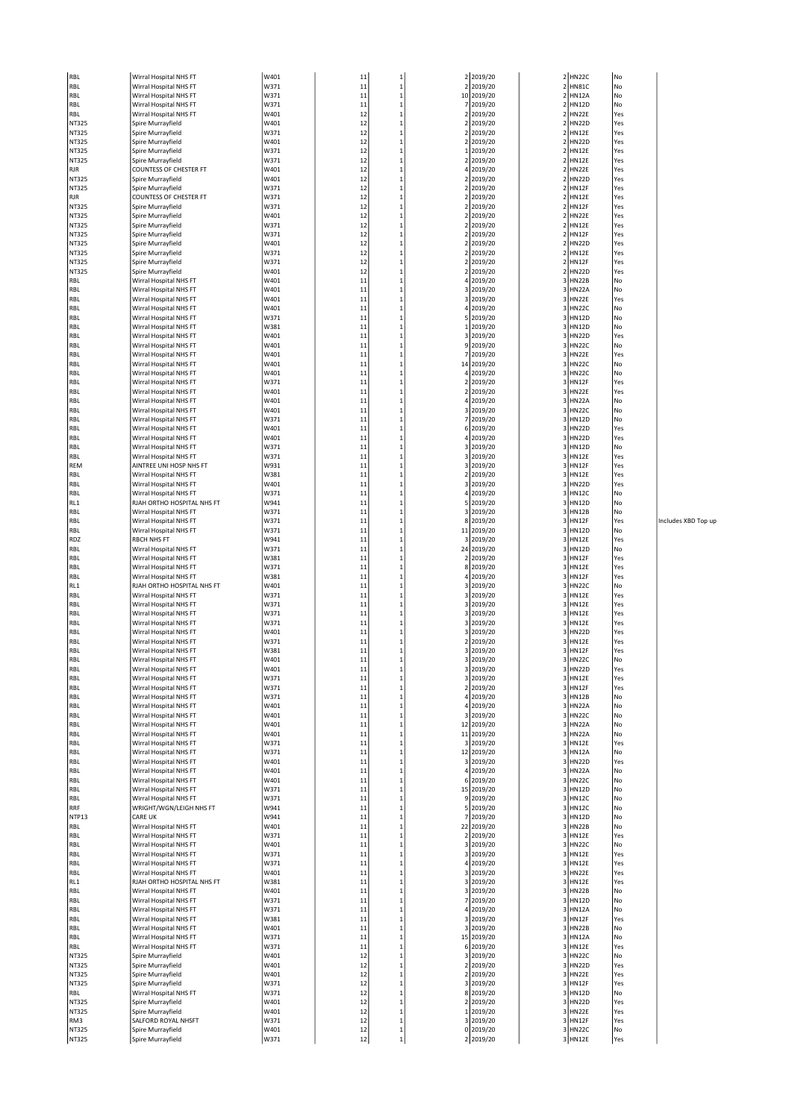| RBL          | Wirral Hospital NHS FT        | W401 | 11     | 1            |    | 2 2019/20  |                         | 2 HN22C      | No  |
|--------------|-------------------------------|------|--------|--------------|----|------------|-------------------------|--------------|-----|
| RBL          | Wirral Hospital NHS FT        | W371 | 11     | $\mathbf 1$  |    | 2 2019/20  | $\mathbf 2$             | <b>HN81C</b> | No  |
| <b>RBL</b>   | Wirral Hospital NHS FT        | W371 | 11     | 1            |    | 10 2019/20 | $\mathbf 2$             | <b>HN12A</b> | No  |
| <b>RBL</b>   | Wirral Hospital NHS FT        | W371 | 11     | $\mathbf{1}$ |    | 7 2019/20  | $\overline{2}$          | <b>HN12D</b> | No  |
|              |                               |      |        |              |    |            |                         |              |     |
| <b>RBL</b>   | Wirral Hospital NHS FT        | W401 | 12     | $\mathbf 1$  |    | 2 2019/20  | $\overline{\mathbf{2}}$ | <b>HN22E</b> | Yes |
| <b>NT325</b> | Spire Murrayfield             | W401 | 12     | $\mathbf 1$  |    | 2 2019/20  | $\overline{\mathbf{c}}$ | <b>HN22D</b> | Yes |
| <b>NT325</b> | Spire Murrayfield             | W371 | 12     | $\mathbf{1}$ |    | 2 2019/20  | $\overline{2}$          | <b>HN12E</b> | Yes |
| <b>NT325</b> | Spire Murrayfield             | W401 | 12     | $\mathbf 1$  |    | 2 2019/20  | $\boldsymbol{2}$        | <b>HN22D</b> | Yes |
| <b>NT325</b> | Spire Murrayfield             | W371 | 12     | $\mathbf 1$  |    | 1 2019/20  |                         | 2 HN12E      | Yes |
| <b>NT325</b> | Spire Murrayfield             | W371 | 12     | $\mathbf{1}$ |    | 2 2019/20  | $\overline{2}$          | <b>HN12E</b> | Yes |
| <b>RJR</b>   | <b>COUNTESS OF CHESTER FT</b> | W401 | 12     | $\mathbf 1$  |    | 4 2019/20  | $\overline{2}$          | <b>HN22E</b> | Yes |
| <b>NT325</b> | Spire Murrayfield             | W401 | 12     | $\mathbf 1$  |    | 2 2019/20  | $\mathbf 2$             | <b>HN22D</b> | Yes |
| <b>NT325</b> | Spire Murrayfield             | W371 | 12     | $\mathbf{1}$ | 2  | 2019/20    | $\overline{2}$          | <b>HN12F</b> | Yes |
| <b>RJR</b>   | <b>COUNTESS OF CHESTER FT</b> | W371 | 12     | $\mathbf{1}$ |    | 2 2019/20  | $\overline{\mathbf{2}}$ | <b>HN12E</b> | Yes |
| <b>NT325</b> | Spire Murrayfield             | W371 | 12     | $\mathbf 1$  |    | 2 2019/20  |                         | 2 HN12F      | Yes |
| <b>NT325</b> | Spire Murrayfield             | W401 | 12     | $\mathbf 1$  |    | 2 2019/20  | $\overline{\mathbf{c}}$ | <b>HN22E</b> | Yes |
|              |                               |      |        |              |    |            |                         |              |     |
| <b>NT325</b> | Spire Murrayfield             | W371 | 12     | $\mathbf{1}$ |    | 2 2019/20  | $\overline{2}$          | <b>HN12E</b> | Yes |
| <b>NT325</b> | Spire Murrayfield             | W371 | 12     | $\mathbf{1}$ |    | 2 2019/20  | $\overline{\mathbf{2}}$ | <b>HN12F</b> | Yes |
| <b>NT325</b> | Spire Murrayfield             | W401 | 12     | $\mathbf 1$  | 2  | 2019/20    | $\overline{\mathbf{c}}$ | <b>HN22D</b> | Yes |
| <b>NT325</b> | Spire Murrayfield             | W371 | 12     | $\mathbf{1}$ | 2  | 2019/20    | $\overline{\mathbf{c}}$ | <b>HN12E</b> | Yes |
| <b>NT325</b> | Spire Murrayfield             | W371 | 12     | $\mathbf{1}$ |    | 2 2019/20  | $\overline{2}$          | <b>HN12F</b> | Yes |
| <b>NT325</b> | Spire Murrayfield             | W401 | 12     | $\mathbf 1$  |    | 2 2019/20  | $\overline{\mathbf{c}}$ | <b>HN22D</b> | Yes |
| RBL          | Wirral Hospital NHS FT        | W401 | 11     | $\mathbf 1$  |    | 4 2019/20  | 3                       | <b>HN22B</b> | No  |
| <b>RBL</b>   | Wirral Hospital NHS FT        | W401 | 11     | $\mathbf{1}$ |    | 3 2019/20  | 3                       | <b>HN22A</b> | No  |
| RBL          | Wirral Hospital NHS FT        | W401 | 11     | $\mathbf 1$  |    | 3 2019/20  | 3                       | <b>HN22E</b> | Yes |
| <b>RBL</b>   |                               | W401 | 11     |              |    |            | 3                       | <b>HN22C</b> | No  |
|              | Wirral Hospital NHS FT        |      |        | $\mathbf 1$  |    | 4 2019/20  |                         |              |     |
| RBL          | Wirral Hospital NHS FT        | W371 | 11     | $\mathbf 1$  |    | 5 2019/20  | 3                       | <b>HN12D</b> | No  |
| RBL          | Wirral Hospital NHS FT        | W381 | 11     | $\mathbf 1$  |    | 1 2019/20  | 3                       | <b>HN12D</b> | No  |
| RBL          | Wirral Hospital NHS FT        | W401 | 11     | $\mathbf{1}$ |    | 3 2019/20  | 3                       | <b>HN22D</b> | Yes |
| RBL          | Wirral Hospital NHS FT        | W401 | 11     | $\mathbf{1}$ |    | 9 2019/20  | 3                       | <b>HN22C</b> | No  |
| RBL          | Wirral Hospital NHS FT        | W401 | 11     | $\mathbf 1$  |    | 7 2019/20  | 3                       | <b>HN22E</b> | Yes |
| <b>RBL</b>   | Wirral Hospital NHS FT        | W401 | 11     | $\mathbf{1}$ |    | 14 2019/20 | 3                       | <b>HN22C</b> | No  |
| RBL          | Wirral Hospital NHS FT        | W401 | 11     | $\mathbf 1$  |    | 4 2019/20  | 3                       | <b>HN22C</b> | No  |
| RBL          | Wirral Hospital NHS FT        | W371 | 11     | $\mathbf 1$  |    | 2 2019/20  | $\overline{\mathbf{3}}$ | <b>HN12F</b> | Yes |
| <b>RBL</b>   | Wirral Hospital NHS FT        | W401 | 11     | $\mathbf{1}$ |    | 2 2019/20  | 3                       | <b>HN22E</b> | Yes |
| RBL          | Wirral Hospital NHS FT        | W401 | 11     | $\mathbf 1$  |    | 4 2019/20  | 3                       | <b>HN22A</b> | No  |
| RBL          | Wirral Hospital NHS FT        | W401 | 11     | $\mathbf 1$  |    | 3 2019/20  | 3                       | <b>HN22C</b> | No  |
|              |                               |      |        |              |    |            |                         |              |     |
| RBL          | Wirral Hospital NHS FT        | W371 | 11     | $\mathbf{1}$ | 7  | 2019/20    | 3                       | <b>HN12D</b> | No  |
| RBL          | Wirral Hospital NHS FT        | W401 | 11     | $\mathbf{1}$ |    | 6 2019/20  | 3                       | <b>HN22D</b> | Yes |
| RBL          | Wirral Hospital NHS FT        | W401 | 11     | $\mathbf 1$  |    | 4 2019/20  |                         | 3 HN22D      | Yes |
| RBL          | Wirral Hospital NHS FT        | W371 | 11     | $\mathbf 1$  |    | 3 2019/20  | 3                       | <b>HN12D</b> | No  |
| RBL          | Wirral Hospital NHS FT        | W371 | 11     | $\mathbf{1}$ |    | 3 2019/20  | 3                       | <b>HN12E</b> | Yes |
| REM          | AINTREE UNI HOSP NHS FT       | W931 | 11     | $\mathbf 1$  |    | 3 2019/20  | 3                       | <b>HN12F</b> | Yes |
| RBL          | Wirral Hospital NHS FT        | W381 | 11     | $\mathbf 1$  |    | 2 2019/20  | 3                       | <b>HN12E</b> | Yes |
| RBL          | Wirral Hospital NHS FT        | W401 | 11     | $\mathbf{1}$ |    | 3 2019/20  | 3                       | <b>HN22D</b> | Yes |
| <b>RBL</b>   | Wirral Hospital NHS FT        | W371 | 11     | $\mathbf{1}$ |    | 4 2019/20  | 3                       | <b>HN12C</b> | No  |
|              |                               |      |        |              |    |            |                         |              |     |
| RL1          | RJAH ORTHO HOSPITAL NHS FT    | W941 | 11     | $\mathbf 1$  |    | 5 2019/20  | 3                       | <b>HN12D</b> | No  |
| RBL          | Wirral Hospital NHS FT        | W371 | 11     | $\mathbf 1$  |    | 3 2019/20  | 3                       | <b>HN12B</b> | No  |
| <b>RBL</b>   | Wirral Hospital NHS FT        | W371 | 11     | $\mathbf{1}$ |    | 8 2019/20  | 3                       | <b>HN12F</b> | Yes |
| RBL          | Wirral Hospital NHS FT        | W371 | 11     | $\mathbf 1$  | 11 | 2019/20    | 3                       | <b>HN12D</b> | No  |
| <b>RDZ</b>   | <b>RBCH NHS FT</b>            | W941 | 11     | $\mathbf 1$  |    | 3 2019/20  | 3                       | <b>HN12E</b> | Yes |
| <b>RBL</b>   | Wirral Hospital NHS FT        | W371 | 11     | $\mathbf{1}$ |    | 24 2019/20 | 3                       | <b>HN12D</b> | No  |
| RBL          | Wirral Hospital NHS FT        | W381 | 11     | $\mathbf 1$  |    | 2 2019/20  | 3                       | <b>HN12F</b> | Yes |
| RBL          | Wirral Hospital NHS FT        | W371 | 11     | $\mathbf 1$  |    | 8 2019/20  | 3                       | <b>HN12E</b> | Yes |
| RBL          | Wirral Hospital NHS FT        | W381 | 11     | $\mathbf 1$  |    | 4 2019/20  | 3                       | HN12F        | Yes |
| RL1          | RJAH ORTHO HOSPITAL NHS FT    | W401 | 11     | $\mathbf 1$  |    | 3 2019/20  | 3                       | <b>HN22C</b> | No  |
| <b>RBL</b>   | Wirral Hospital NHS FT        | W371 | 11     | $\mathbf 1$  |    | 3 2019/20  | 3                       | <b>HN12E</b> | Yes |
|              | Wirral Hospital NHS FT        |      |        |              |    |            |                         |              |     |
| RBL          |                               | W371 | 11     | $\mathbf 1$  |    | 3 2019/20  | 3                       | <b>HN12E</b> | Yes |
| RBL          | Wirral Hospital NHS FT        | W371 | 11     | $\mathbf 1$  |    | 3 2019/20  | 3                       | <b>HN12E</b> | Yes |
| <b>RBL</b>   | Wirral Hospital NHS FT        | W371 | 11     | $\mathbf{1}$ |    | 3 2019/20  | 3                       | <b>HN12E</b> | Yes |
| RBL          | Wirral Hospital NHS FT        | W401 | 11     | $\mathbf{1}$ |    | 3 2019/20  | 3                       | <b>HN22D</b> | Yes |
| <b>RBL</b>   | Wirral Hospital NHS FT        | W371 | 11     | 1            |    | 2 2019/20  | 3                       | <b>HN12E</b> | Yes |
| <b>RBL</b>   | Wirral Hospital NHS FT        | W381 | 11     | $\mathbf{1}$ |    | 3 2019/20  | 3                       | HN12F        | Yes |
| RBL          | Wirral Hospital NHS FT        | W401 | 11     | $\mathbf 1$  |    | 3 2019/20  |                         | 3 HN22C      | No  |
| <b>RBL</b>   | Wirral Hospital NHS FT        | W401 | $11\,$ | 1            |    | 3 2019/20  |                         | 3 HN22D      | Yes |
| RBL          | Wirral Hospital NHS FT        | W371 | 11     | $\mathbf{1}$ |    | 3 2019/20  | 3                       | <b>HN12E</b> | Yes |
| RBL          | Wirral Hospital NHS FT        | W371 | 11     | $\mathbf 1$  |    | 2 2019/20  |                         | 3 HN12F      | Yes |
| RBL          | Wirral Hospital NHS FT        | W371 | $11\,$ | $\mathbf 1$  |    | 4 2019/20  |                         | 3 HN12B      | No  |
| RBL          | Wirral Hospital NHS FT        | W401 | 11     | $\mathbf 1$  |    |            | 3                       | <b>HN22A</b> | No  |
|              |                               |      |        |              |    | 4 2019/20  |                         |              |     |
| RBL          | Wirral Hospital NHS FT        | W401 | 11     | $\mathbf 1$  |    | 3 2019/20  | 3                       | <b>HN22C</b> | No  |
| RBL          | Wirral Hospital NHS FT        | W401 | 11     | $\,1\,$      |    | 12 2019/20 |                         | 3 HN22A      | No  |
| RBL          | Wirral Hospital NHS FT        | W401 | 11     | $\mathbf 1$  |    | 11 2019/20 | 3                       | <b>HN22A</b> | No  |
| RBL          | Wirral Hospital NHS FT        | W371 | 11     | $\mathbf 1$  |    | 3 2019/20  | 3                       | <b>HN12E</b> | Yes |
| RBL          | Wirral Hospital NHS FT        | W371 | 11     | $\,1\,$      |    | 12 2019/20 | 3                       | <b>HN12A</b> | No  |
| RBL          | Wirral Hospital NHS FT        | W401 | 11     | $\mathbf 1$  |    | 3 2019/20  | 3                       | <b>HN22D</b> | Yes |
| RBL          | Wirral Hospital NHS FT        | W401 | 11     | $\,$ 1       |    | 4 2019/20  | 3                       | <b>HN22A</b> | No  |
| RBL          | Wirral Hospital NHS FT        | W401 | 11     | $\,1\,$      |    | 6 2019/20  | 3                       | <b>HN22C</b> | No  |
| RBL          | Wirral Hospital NHS FT        | W371 | 11     | $\mathbf 1$  |    | 15 2019/20 | 3                       | <b>HN12D</b> | No  |
| RBL          | Wirral Hospital NHS FT        | W371 | 11     | $\,$ 1       |    | 9 2019/20  | 3                       | <b>HN12C</b> | No  |
| RRF          | WRIGHT/WGN/LEIGH NHS FT       | W941 | 11     | $\,1\,$      |    | 5 2019/20  | 3                       | <b>HN12C</b> | No  |
| NTP13        | CARE UK                       | W941 | 11     | $\mathbf 1$  |    | 7 2019/20  | 3                       | <b>HN12D</b> | No  |
| RBL          | Wirral Hospital NHS FT        | W401 | 11     | $\,$ 1       |    | 22 2019/20 | 3                       | <b>HN22B</b> | No  |
| <b>RBL</b>   | Wirral Hospital NHS FT        | W371 | 11     | $\mathbf 1$  |    | 2 2019/20  | 3                       | <b>HN12E</b> | Yes |
| RBL          |                               | W401 | 11     |              |    | 3 2019/20  | 3                       | <b>HN22C</b> | No  |
|              | Wirral Hospital NHS FT        |      |        | $\mathbf 1$  |    |            |                         |              |     |
| <b>RBL</b>   | Wirral Hospital NHS FT        | W371 | 11     | $\,1\,$      |    | 3 2019/20  | 3                       | <b>HN12E</b> | Yes |
| RBL          | Wirral Hospital NHS FT        | W371 | 11     | $\mathbf 1$  |    | 4 2019/20  | 3                       | <b>HN12E</b> | Yes |
| RBL          | Wirral Hospital NHS FT        | W401 | 11     | $\mathbf 1$  |    | 3 2019/20  | 3                       | <b>HN22E</b> | Yes |
| RL1          | RJAH ORTHO HOSPITAL NHS FT    | W381 | 11     | $\,1\,$      |    | 3 2019/20  | 3                       | <b>HN12E</b> | Yes |
| RBL          | Wirral Hospital NHS FT        | W401 | 11     | $\mathbf 1$  |    | 3 2019/20  | 3                       | <b>HN22B</b> | No  |
| RBL          | Wirral Hospital NHS FT        | W371 | 11     | $\,$ 1       |    | 7 2019/20  |                         | 3 HN12D      | No  |
| RBL          | Wirral Hospital NHS FT        | W371 | 11     | $\,1\,$      |    | 4 2019/20  | 3                       | <b>HN12A</b> | No  |
| RBL          | Wirral Hospital NHS FT        | W381 | 11     | $\mathbf 1$  |    | 3 2019/20  | 3                       | <b>HN12F</b> | Yes |
| RBL          | Wirral Hospital NHS FT        | W401 | 11     | $\,$ 1       |    | 3 2019/20  |                         | 3 HN22B      | No  |
| RBL          | Wirral Hospital NHS FT        | W371 | 11     | $\mathbf 1$  |    | 15 2019/20 | 3                       | <b>HN12A</b> | No  |
| RBL          | Wirral Hospital NHS FT        | W371 | 11     | $\mathbf 1$  |    | 6 2019/20  | 3                       | <b>HN12E</b> | Yes |
|              |                               | W401 | 12     | $\,$ 1       |    |            |                         | 3 HN22C      |     |
| <b>NT325</b> | Spire Murrayfield             |      |        |              |    | 3 2019/20  |                         |              | No  |
| <b>NT325</b> | Spire Murrayfield             | W401 | 12     | $\mathbf 1$  |    | 2 2019/20  | 3                       | <b>HN22D</b> | Yes |
| <b>NT325</b> | Spire Murrayfield             | W401 | 12     | $\mathbf 1$  |    | 2 2019/20  | 3                       | <b>HN22E</b> | Yes |
| <b>NT325</b> | Spire Murrayfield             | W371 | 12     | $\,1\,$      |    | 3 2019/20  | 3                       | <b>HN12F</b> | Yes |
| RBL          | Wirral Hospital NHS FT        | W371 | 12     | $\mathbf 1$  |    | 8 2019/20  | 3                       | <b>HN12D</b> | No  |
| NT325        | Spire Murrayfield             | W401 | 12     | $\,$ 1       |    | 2 2019/20  | 3                       | <b>HN22D</b> | Yes |
| <b>NT325</b> | Spire Murrayfield             | W401 | 12     | $\,1\,$      |    | 1 2019/20  |                         | 3 HN22E      | Yes |
| RM3          | SALFORD ROYAL NHSFT           | W371 | 12     | $\mathbf 1$  |    | 3 2019/20  | $\overline{\mathbf{3}}$ | <b>HN12F</b> | Yes |
| <b>NT325</b> | Spire Murrayfield             | W401 | 12     | $\,$ 1       |    | 0 2019/20  |                         | 3 HN22C      | No  |
| <b>NT325</b> | Spire Murrayfield             | W371 | 12     | $\mathbf{1}$ |    | 2 2019/20  |                         | 3 HN12E      | Yes |
|              |                               |      |        |              |    |            |                         |              |     |